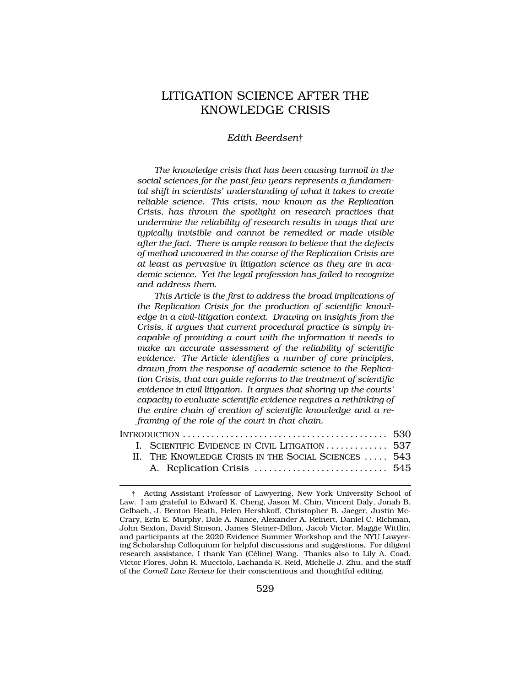# LITIGATION SCIENCE AFTER THE KNOWLEDGE CRISIS

#### *Edith Beerdsen*†

*The knowledge crisis that has been causing turmoil in the social sciences for the past few years represents a fundamental shift in scientists' understanding of what it takes to create reliable science. This crisis, now known as the Replication Crisis, has thrown the spotlight on research practices that undermine the reliability of research results in ways that are typically invisible and cannot be remedied or made visible after the fact. There is ample reason to believe that the defects of method uncovered in the course of the Replication Crisis are at least as pervasive in litigation science as they are in academic science. Yet the legal profession has failed to recognize and address them.* 

*This Article is the first to address the broad implications of the Replication Crisis for the production of scientific knowledge in a civil*-*litigation context. Drawing on insights from the Crisis, it argues that current procedural practice is simply incapable of providing a court with the information it needs to make an accurate assessment of the reliability of scientific evidence. The Article identifies a number of core principles, drawn from the response of academic science to the Replication Crisis, that can guide reforms to the treatment of scientific evidence in civil litigation. It argues that shoring up the courts' capacity to evaluate scientific evidence requires a rethinking of the entire chain of creation of scientific knowledge and a reframing of the role of the court in that chain.* 

| INTRODUCTION $\ldots \ldots \ldots \ldots \ldots \ldots \ldots \ldots \ldots \ldots \ldots \ldots$ |                                                      |  |
|----------------------------------------------------------------------------------------------------|------------------------------------------------------|--|
|                                                                                                    | I. SCIENTIFIC EVIDENCE IN CIVIL LITIGATION  537      |  |
|                                                                                                    | II. THE KNOWLEDGE CRISIS IN THE SOCIAL SCIENCES  543 |  |
|                                                                                                    |                                                      |  |

<sup>†</sup> Acting Assistant Professor of Lawyering, New York University School of Law. I am grateful to Edward K. Cheng, Jason M. Chin, Vincent Daly, Jonah B. Gelbach, J. Benton Heath, Helen Hershkoff, Christopher B. Jaeger, Justin Mc-Crary, Erin E. Murphy, Dale A. Nance, Alexander A. Reinert, Daniel C. Richman, John Sexton, David Simson, James Steiner-Dillon, Jacob Victor, Maggie Wittlin, and participants at the 2020 Evidence Summer Workshop and the NYU Lawyering Scholarship Colloquium for helpful discussions and suggestions. For diligent research assistance, I thank Yan (Céline) Wang. Thanks also to Lily A. Coad, Victor Flores, John R. Mucciolo, Lachanda R. Reid, Michelle J. Zhu, and the staff of the *Cornell Law Review* for their conscientious and thoughtful editing.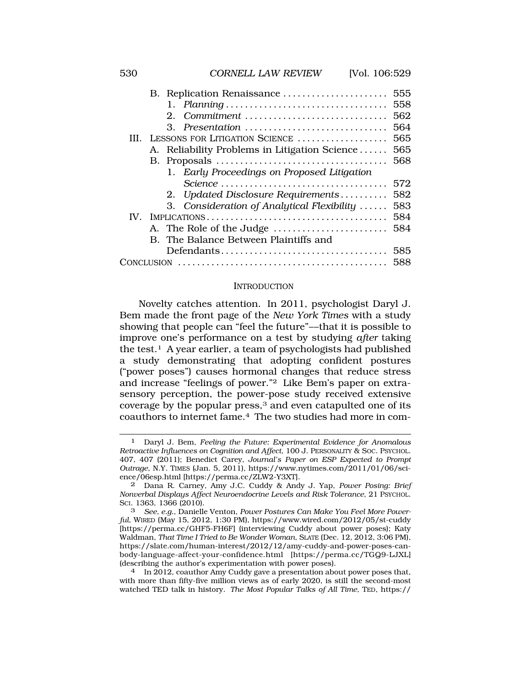|             | B. Replication Renaissance                    | 555 |
|-------------|-----------------------------------------------|-----|
|             |                                               | 558 |
|             | 2. Commitment                                 | 562 |
|             | 3. Presentation                               | 564 |
| HL.         | LESSONS FOR LITIGATION SCIENCE                | 565 |
|             | A. Reliability Problems in Litigation Science | 565 |
|             |                                               | 568 |
|             | 1. Early Proceedings on Proposed Litigation   |     |
|             |                                               | 572 |
|             | 2. Updated Disclosure Requirements            | 582 |
|             | 3. Consideration of Analytical Flexibility    | 583 |
| $W_{\cdot}$ |                                               | 584 |
|             | A. The Role of the Judge                      | 584 |
|             | B. The Balance Between Plaintiffs and         |     |
|             | Defendants                                    | 585 |
|             |                                               | 588 |
|             |                                               |     |

#### **INTRODUCTION**

Novelty catches attention. In 2011, psychologist Daryl J. Bem made the front page of the *New York Times* with a study showing that people can "feel the future"––that it is possible to improve one's performance on a test by studying *after* taking the test.1 A year earlier, a team of psychologists had published a study demonstrating that adopting confident postures ("power poses") causes hormonal changes that reduce stress and increase "feelings of power."2 Like Bem's paper on extrasensory perception, the power-pose study received extensive coverage by the popular press,<sup>3</sup> and even catapulted one of its coauthors to internet fame.4 The two studies had more in com-

<sup>1</sup> Daryl J. Bem, *Feeling the Future: Experimental Evidence for Anomalous Retroactive Influences on Cognition and Affect*, 100 J. PERSONALITY & SOC. PSYCHOL. 407, 407 (2011); Benedict Carey, *Journal's Paper on ESP Expected to Prompt Outrage*, N.Y. TIMES (Jan. 5, 2011), <https://www.nytimes.com/2011/01/06/sci>ence/06esp.html [<https://perma.cc/ZLW2-Y3XT>].

<sup>2</sup> Dana R. Carney, Amy J.C. Cuddy & Andy J. Yap, *Power Posing: Brief Nonverbal Displays Affect Neuroendocrine Levels and Risk Tolerance*, 21 PSYCHOL. SCI. 1363, 1366 (2010).

<sup>3</sup> *See, e.g.*, Danielle Venton, *Power Postures Can Make You Feel More Powerful*, WIRED (May 15, 2012, 1:30 PM), <https://www.wired.com/2012/05/st-cuddy> [[https://perma.cc/GHF5-FH6F\]](https://perma.cc/GHF5-FH6F) (interviewing Cuddy about power poses); Katy Waldman, *That Time I Tried to Be Wonder Woman*, SLATE (Dec. 12, 2012, 3:06 PM), <https://slate.com/human-interest/2012/12/amy-cuddy-and-power-poses-can>body-language-affect-your-confidence.html [<https://perma.cc/TGQ9-LJXL>] (describing the author's experimentation with power poses). 4 In 2012, coauthor Amy Cuddy gave a presentation about power poses that,

with more than fifty-five million views as of early 2020, is still the second-most watched TED talk in history. *The Most Popular Talks of All Time*, TED, https://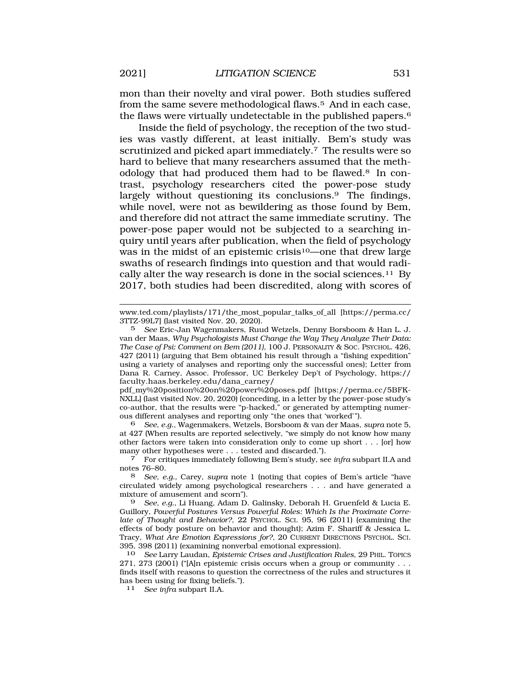mon than their novelty and viral power. Both studies suffered from the same severe methodological flaws.5 And in each case, the flaws were virtually undetectable in the published papers.6

Inside the field of psychology, the reception of the two studies was vastly different, at least initially. Bem's study was scrutinized and picked apart immediately.<sup>7</sup> The results were so hard to believe that many researchers assumed that the methodology that had produced them had to be flawed.8 In contrast, psychology researchers cited the power-pose study largely without questioning its conclusions.<sup>9</sup> The findings, while novel, were not as bewildering as those found by Bem, and therefore did not attract the same immediate scrutiny. The power-pose paper would not be subjected to a searching inquiry until years after publication, when the field of psychology was in the midst of an epistemic crisis<sup>10</sup>—one that drew large swaths of research findings into question and that would radically alter the way research is done in the social [sciences.11](https://sciences.11) By 2017, both studies had been discredited, along with scores of

pdf\_my%20position%20on%20power%20poses.pdf [\[https://perma.cc/5BFK](https://perma.cc/5BFK)-NXLL] (last visited Nov. 20, 2020) (conceding, in a letter by the power-pose study's co-author, that the results were "p-hacked," or generated by attempting numerous different analyses and reporting only "the ones that 'worked'").

6 *See, e.g.*, Wagenmakers, Wetzels, Borsboom & van der Maas, *supra* note 5, at 427 (When results are reported selectively, "we simply do not know how many other factors were taken into consideration only to come up short . . . [or] how many other hypotheses were . . . tested and discarded."). 7 For critiques immediately following Bem's study, see *infra* subpart II.A and

9 *See, e.g.*, Li Huang, Adam D. Galinsky, Deborah H. Gruenfeld & Lucia E. Guillory, *Powerful Postures Versus Powerful Roles: Which Is the Proximate Correlate of Thought and Behavior?*, 22 PSYCHOL. SCI. 95, 96 (2011) (examining the effects of body posture on behavior and thought); Azim F. Shariff & Jessica L. Tracy, *What Are Emotion Expressions for?*, 20 CURRENT DIRECTIONS PSYCHOL. SCI. 395, 398 (2011) (examining nonverbal emotional expression).

10 *See* Larry Laudan, *Epistemic Crises and Justification Rules*, 29 PHIL. TOPICS 271, 273 (2001) ("[A]n epistemic crisis occurs when a group or community  $\ldots$ finds itself with reasons to question the correctness of the rules and structures it has been using for fixing beliefs.").

11 *See infra* subpart II.A.

[www.ted.com/playlists/171/the\\_most\\_popular\\_talks\\_of\\_all](www.ted.com/playlists/171/the_most_popular_talks_of_all) [\[https://perma.cc/](https://perma.cc) 3TTZ-99L7] (last visited Nov. 20, 2020).

<sup>5</sup> *See* Eric-Jan Wagenmakers, Ruud Wetzels, Denny Borsboom & Han L. J. van der Maas, *Why Psychologists Must Change the Way They Analyze Their Data: The Case of Psi: Comment on Bem (2011)*, 100 J. PERSONALITY & SOC. PSYCHOL. 426, 427 (2011) (arguing that Bem obtained his result through a "fishing expedition" using a variety of analyses and reporting only the successful ones); Letter from Dana R. Carney, Assoc. Professor, UC Berkeley Dep't of Psychology, https:// [faculty.haas.berkeley.edu/dana\\_carney](https://faculty.haas.berkeley.edu/dana_carney)/

notes 76–80.

<sup>8</sup> *See, e.g.*, Carey, *supra* note 1 (noting that copies of Bem's article "have circulated widely among psychological researchers . . . and have generated a mixture of amusement and scorn").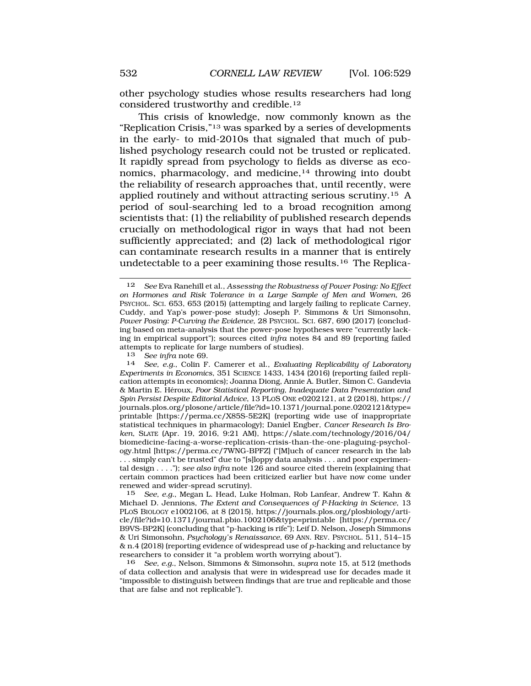other psychology studies whose results researchers had long considered trustworthy and [credible.12](https://credible.12)

This crisis of knowledge, now commonly known as the "Replication Crisis,"13 was sparked by a series of developments in the early- to mid-2010s that signaled that much of published psychology research could not be trusted or replicated. It rapidly spread from psychology to fields as diverse as economics, pharmacology, and medicine, $14$  throwing into doubt the reliability of research approaches that, until recently, were applied routinely and without attracting serious [scrutiny.15](https://scrutiny.15) A period of soul-searching led to a broad recognition among scientists that: (1) the reliability of published research depends crucially on methodological rigor in ways that had not been sufficiently appreciated; and (2) lack of methodological rigor can contaminate research results in a manner that is entirely undetectable to a peer examining those [results.16](https://results.16) The Replica-

<sup>13</sup>*See infra* note 69. 14 *See, e.g.*, Colin F. Camerer et al., *Evaluating Replicability of Laboratory Experiments in Economics*, 351 SCIENCE 1433, 1434 (2016) (reporting failed replication attempts in economics); Joanna Diong, Annie A. Butler, Simon C. Gandevia & Martin E. H´eroux, *Poor Statistical Reporting, Inadequate Data Presentation and Spin Persist Despite Editorial Advice*, 13 PLOS ONE e0202121, at 2 (2018), https:// journals.plos.org/plosone/article/file?id=10.1371/journal.pone.0202121&type= printable [\[https://perma.cc/X85S-5E2K](https://perma.cc/X85S-5E2K)] (reporting wide use of inappropriate statistical techniques in pharmacology); Daniel Engber, *Cancer Research Is Broken*, SLATE (Apr. 19, 2016, 9:21 AM), [https://slate.com/technology/2016/04/](https://slate.com/technology/2016/04) biomedicine-facing-a-worse-replication-crisis-than-the-one-plaguing-psychology.html [[https://perma.cc/7WNG-BPFZ\]](https://perma.cc/7WNG-BPFZ) ("[M]uch of cancer research in the lab . . . simply can't be trusted" due to "[s]loppy data analysis . . . and poor experimental design . . . ."); *see also infra* note 126 and source cited therein (explaining that certain common practices had been criticized earlier but have now come under renewed and wider-spread scrutiny).<br>15 See, e.g., Megan L. Head, Luk

15 *See, e.g.*, Megan L. Head, Luke Holman, Rob Lanfear, Andrew T. Kahn & Michael D. Jennions, *The Extent and Consequences of P-Hacking in Science*, 13 PLOS BIOLOGY e1002106, at 8 (2015),<https://journals.plos.org/plosbiology/arti>cle/file?id=10.1371/journal.pbio.1002106&type=printable [[https://perma.cc/](https://perma.cc) B9VS-BP2K] (concluding that "p-hacking is rife"); Leif D. Nelson, Joseph Simmons & Uri Simonsohn*, Psychology's Renaissance*, 69 ANN. REV. PSYCHOL. 511, 514–15 & n.4 (2018) (reporting evidence of widespread use of *p*-hacking and reluctance by researchers to consider it "a problem worth worrying about").

16 *See, e.g.*, Nelson, Simmons & Simonsohn, *supra* note 15, at 512 (methods of data collection and analysis that were in widespread use for decades made it "impossible to distinguish between findings that are true and replicable and those that are false and not replicable").

<sup>12</sup> *See* Eva Ranehill et al., *Assessing the Robustness of Power Posing: No Effect on Hormones and Risk Tolerance in a Large Sample of Men and Women*, 26 PSYCHOL. SCI. 653, 653 (2015) (attempting and largely failing to replicate Carney, Cuddy, and Yap's power-pose study); Joseph P. Simmons & Uri Simonsohn, *Power Posing: P-Curving the Evidence*, 28 PSYCHOL. SCI. 687, 690 (2017) (concluding based on meta-analysis that the power-pose hypotheses were "currently lacking in empirical support"); sources cited *infra* notes 84 and 89 (reporting failed attempts to replicate for large numbers of studies).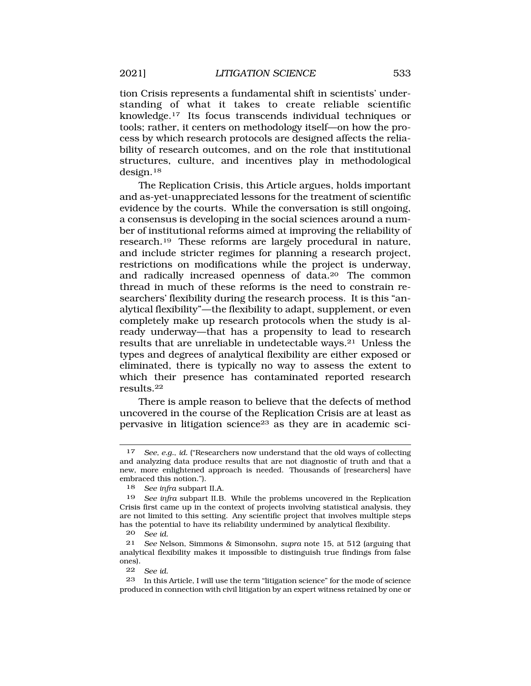tion Crisis represents a fundamental shift in scientists' understanding of what it takes to create reliable scientific [knowledge.17](https://knowledge.17) Its focus transcends individual techniques or tools; rather, it centers on methodology itself—on how the process by which research protocols are designed affects the reliability of research outcomes, and on the role that institutional structures, culture, and incentives play in methodological [design.18](https://design.18)

The Replication Crisis, this Article argues, holds important and as-yet-unappreciated lessons for the treatment of scientific evidence by the courts. While the conversation is still ongoing, a consensus is developing in the social sciences around a number of institutional reforms aimed at improving the reliability of [research.19](https://research.19) These reforms are largely procedural in nature, and include stricter regimes for planning a research project, restrictions on modifications while the project is underway, and radically increased openness of data.20 The common thread in much of these reforms is the need to constrain researchers' flexibility during the research process. It is this "analytical flexibility"—the flexibility to adapt, supplement, or even completely make up research protocols when the study is already underway—that has a propensity to lead to research results that are unreliable in undetectable ways.21 Unless the types and degrees of analytical flexibility are either exposed or eliminated, there is typically no way to assess the extent to which their presence has contaminated reported research [results.22](https://results.22)

There is ample reason to believe that the defects of method uncovered in the course of the Replication Crisis are at least as pervasive in litigation science23 as they are in academic sci-

20 *See id.* 

22 *See id.* 

<sup>17</sup> *See, e.g.*, *id.* ("Researchers now understand that the old ways of collecting and analyzing data produce results that are not diagnostic of truth and that a new, more enlightened approach is needed. Thousands of [researchers] have embraced this notion.").

<sup>18</sup> *See infra* subpart II.A.

<sup>19</sup> *See infra* subpart II.B. While the problems uncovered in the Replication Crisis first came up in the context of projects involving statistical analysis, they are not limited to this setting. Any scientific project that involves multiple steps has the potential to have its reliability undermined by analytical flexibility.

<sup>21</sup> *See* Nelson, Simmons & Simonsohn, *supra* note 15, at 512 (arguing that analytical flexibility makes it impossible to distinguish true findings from false ones).

<sup>23</sup> In this Article, I will use the term "litigation science" for the mode of science produced in connection with civil litigation by an expert witness retained by one or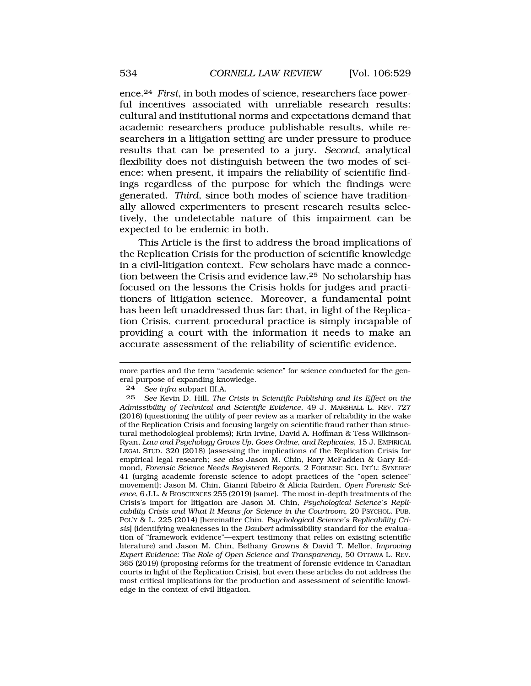ence.24 *First*, in both modes of science, researchers face powerful incentives associated with unreliable research results: cultural and institutional norms and expectations demand that academic researchers produce publishable results, while researchers in a litigation setting are under pressure to produce results that can be presented to a jury. *Second*, analytical flexibility does not distinguish between the two modes of science: when present, it impairs the reliability of scientific findings regardless of the purpose for which the findings were generated. *Third*, since both modes of science have traditionally allowed experimenters to present research results selectively, the undetectable nature of this impairment can be expected to be endemic in both.

This Article is the first to address the broad implications of the Replication Crisis for the production of scientific knowledge in a civil-litigation context. Few scholars have made a connection between the Crisis and evidence law.25 No scholarship has focused on the lessons the Crisis holds for judges and practitioners of litigation science. Moreover, a fundamental point has been left unaddressed thus far: that, in light of the Replication Crisis, current procedural practice is simply incapable of providing a court with the information it needs to make an accurate assessment of the reliability of scientific evidence.

more parties and the term "academic science" for science conducted for the general purpose of expanding knowledge.

<sup>24</sup> *See infra* subpart III.A.

<sup>25</sup> *See* Kevin D. Hill, *The Crisis in Scientific Publishing and Its Effect on the Admissibility of Technical and Scientific Evidence*, 49 J. MARSHALL L. REV. 727 (2016) (questioning the utility of peer review as a marker of reliability in the wake of the Replication Crisis and focusing largely on scientific fraud rather than structural methodological problems); Krin Irvine, David A. Hoffman & Tess Wilkinson-Ryan, *Law and Psychology Grows Up, Goes Online, and Replicates*, 15 J. EMPIRICAL LEGAL STUD. 320 (2018) (assessing the implications of the Replication Crisis for empirical legal research; *see also* Jason M. Chin, Rory McFadden & Gary Edmond, *Forensic Science Needs Registered Reports*, 2 FORENSIC SCI. INT'L: SYNERGY 41 (urging academic forensic science to adopt practices of the "open science" movement); Jason M. Chin, Gianni Ribeiro & Alicia Rairden, *Open Forensic Science*, 6 J.L. & BIOSCIENCES 255 (2019) (same). The most in-depth treatments of the Crisis's import for litigation are Jason M. Chin, *Psychological Science's Replicability Crisis and What It Means for Science in the Courtroom*, 20 PSYCHOL. PUB. POL'Y & L. 225 (2014) [hereinafter Chin, *Psychological Science's Replicability Crisis*] (identifying weaknesses in the *Daubert* admissibility standard for the evaluation of "framework evidence"—expert testimony that relies on existing scientific literature) and Jason M. Chin, Bethany Growns & David T. Mellor, *Improving Expert Evidence: The Role of Open Science and Transparency*, 50 OTTAWA L. REV. 365 (2019) (proposing reforms for the treatment of forensic evidence in Canadian courts in light of the Replication Crisis), but even these articles do not address the most critical implications for the production and assessment of scientific knowledge in the context of civil litigation.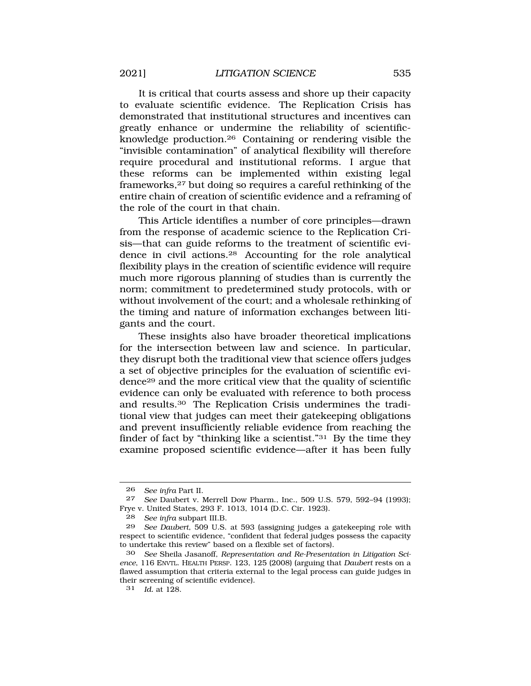It is critical that courts assess and shore up their capacity to evaluate scientific evidence. The Replication Crisis has demonstrated that institutional structures and incentives can greatly enhance or undermine the reliability of scientificknowledge [production.26](https://production.26) Containing or rendering visible the "invisible contamination" of analytical flexibility will therefore require procedural and institutional reforms. I argue that these reforms can be implemented within existing legal frameworks,27 but doing so requires a careful rethinking of the entire chain of creation of scientific evidence and a reframing of the role of the court in that chain.

This Article identifies a number of core principles—drawn from the response of academic science to the Replication Crisis—that can guide reforms to the treatment of scientific evidence in civil [actions.28](https://actions.28) Accounting for the role analytical flexibility plays in the creation of scientific evidence will require much more rigorous planning of studies than is currently the norm; commitment to predetermined study protocols, with or without involvement of the court; and a wholesale rethinking of the timing and nature of information exchanges between litigants and the court.

These insights also have broader theoretical implications for the intersection between law and science. In particular, they disrupt both the traditional view that science offers judges a set of objective principles for the evaluation of scientific evidence29 and the more critical view that the quality of scientific evidence can only be evaluated with reference to both process and [results.30](https://results.30) The Replication Crisis undermines the traditional view that judges can meet their gatekeeping obligations and prevent insufficiently reliable evidence from reaching the finder of fact by "thinking like a scientist."31 By the time they examine proposed scientific evidence—after it has been fully

<sup>26</sup> *See infra* Part II.

<sup>27</sup> *See* Daubert v. Merrell Dow Pharm., Inc., 509 U.S. 579, 592–94 (1993); Frye v. United States, 293 F. 1013, 1014 (D.C. Cir. 1923).

<sup>28</sup> *See infra* subpart III.B.

<sup>29</sup> *See Daubert*, 509 U.S. at 593 (assigning judges a gatekeeping role with respect to scientific evidence, "confident that federal judges possess the capacity to undertake this review" based on a flexible set of factors).

<sup>30</sup> *See* Sheila Jasanoff, *Representation and Re-Presentation in Litigation Science*, 116 ENVTL. HEALTH PERSP. 123, 125 (2008) (arguing that *Daubert* rests on a flawed assumption that criteria external to the legal process can guide judges in their screening of scientific evidence).

<sup>31</sup> *Id.* at 128.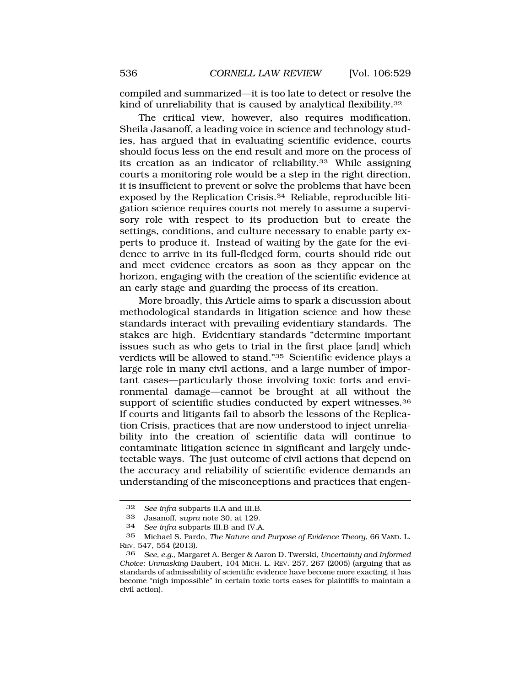compiled and summarized—it is too late to detect or resolve the kind of unreliability that is caused by analytical [flexibility.32](https://flexibility.32) 

The critical view, however, also requires modification. Sheila Jasanoff, a leading voice in science and technology studies, has argued that in evaluating scientific evidence, courts should focus less on the end result and more on the process of its creation as an indicator of [reliability.33](https://reliability.33) While assigning courts a monitoring role would be a step in the right direction, it is insufficient to prevent or solve the problems that have been exposed by the Replication [Crisis.34](https://Crisis.34) Reliable, reproducible litigation science requires courts not merely to assume a supervisory role with respect to its production but to create the settings, conditions, and culture necessary to enable party experts to produce it. Instead of waiting by the gate for the evidence to arrive in its full-fledged form, courts should ride out and meet evidence creators as soon as they appear on the horizon, engaging with the creation of the scientific evidence at an early stage and guarding the process of its creation.

More broadly, this Article aims to spark a discussion about methodological standards in litigation science and how these standards interact with prevailing evidentiary standards. The stakes are high. Evidentiary standards "determine important issues such as who gets to trial in the first place [and] which verdicts will be allowed to stand."35 Scientific evidence plays a large role in many civil actions, and a large number of important cases—particularly those involving toxic torts and environmental damage—cannot be brought at all without the support of scientific studies conducted by expert witnesses.<sup>36</sup> If courts and litigants fail to absorb the lessons of the Replication Crisis, practices that are now understood to inject unreliability into the creation of scientific data will continue to contaminate litigation science in significant and largely undetectable ways. The just outcome of civil actions that depend on the accuracy and reliability of scientific evidence demands an understanding of the misconceptions and practices that engen-

<sup>32</sup> *See infra* subparts II.A and III.B.

<sup>33</sup> Jasanoff*, supra* note 30, at 129.

<sup>34</sup> *See infra* subparts III.B and IV.A.

<sup>35</sup> Michael S. Pardo, *The Nature and Purpose of Evidence Theory*, 66 VAND. L. REV. 547, 554 (2013).

<sup>36</sup> *See, e.g.*, Margaret A. Berger & Aaron D. Twerski, *Uncertainty and Informed Choice: Unmasking* Daubert, 104 MICH. L. REV. 257, 267 (2005) (arguing that as standards of admissibility of scientific evidence have become more exacting, it has become "nigh impossible" in certain toxic torts cases for plaintiffs to maintain a civil action).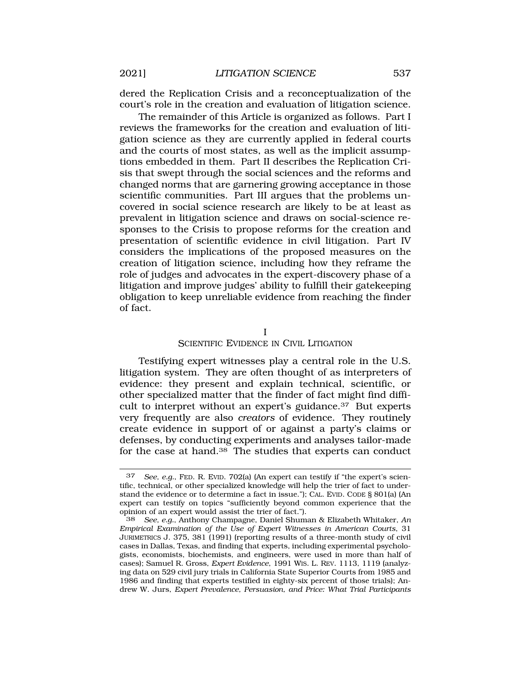dered the Replication Crisis and a reconceptualization of the court's role in the creation and evaluation of litigation science.

The remainder of this Article is organized as follows. Part I reviews the frameworks for the creation and evaluation of litigation science as they are currently applied in federal courts and the courts of most states, as well as the implicit assumptions embedded in them. Part II describes the Replication Crisis that swept through the social sciences and the reforms and changed norms that are garnering growing acceptance in those scientific communities. Part III argues that the problems uncovered in social science research are likely to be at least as prevalent in litigation science and draws on social-science responses to the Crisis to propose reforms for the creation and presentation of scientific evidence in civil litigation. Part IV considers the implications of the proposed measures on the creation of litigation science, including how they reframe the role of judges and advocates in the expert-discovery phase of a litigation and improve judges' ability to fulfill their gatekeeping obligation to keep unreliable evidence from reaching the finder of fact.

I

## SCIENTIFIC EVIDENCE IN CIVIL LITIGATION

Testifying expert witnesses play a central role in the U.S. litigation system. They are often thought of as interpreters of evidence: they present and explain technical, scientific, or other specialized matter that the finder of fact might find difficult to interpret without an expert's [guidance.37](https://guidance.37) But experts very frequently are also *creators* of evidence. They routinely create evidence in support of or against a party's claims or defenses, by conducting experiments and analyses tailor-made for the case at hand.38 The studies that experts can conduct

<sup>37</sup> *See, e.g.*, FED. R. EVID. 702(a) (An expert can testify if "the expert's scientific, technical, or other specialized knowledge will help the trier of fact to understand the evidence or to determine a fact in issue."); CAL. EVID. CODE § 801(a) (An expert can testify on topics "sufficiently beyond common experience that the opinion of an expert would assist the trier of fact.").<br>38 See, e.g., Anthony Champagne, Daniel Shum

<sup>38</sup> *See, e.g.*, Anthony Champagne, Daniel Shuman & Elizabeth Whitaker, *An Empirical Examination of the Use of Expert Witnesses in American Courts*, 31 JURIMETRICS J. 375, 381 (1991) (reporting results of a three-month study of civil cases in Dallas, Texas, and finding that experts, including experimental psychologists, economists, biochemists, and engineers, were used in more than half of cases); Samuel R. Gross, *Expert Evidence*, 1991 WIS. L. REV. 1113, 1119 (analyzing data on 529 civil jury trials in California State Superior Courts from 1985 and 1986 and finding that experts testified in eighty-six percent of those trials); Andrew W. Jurs, *Expert Prevalence, Persuasion, and Price: What Trial Participants*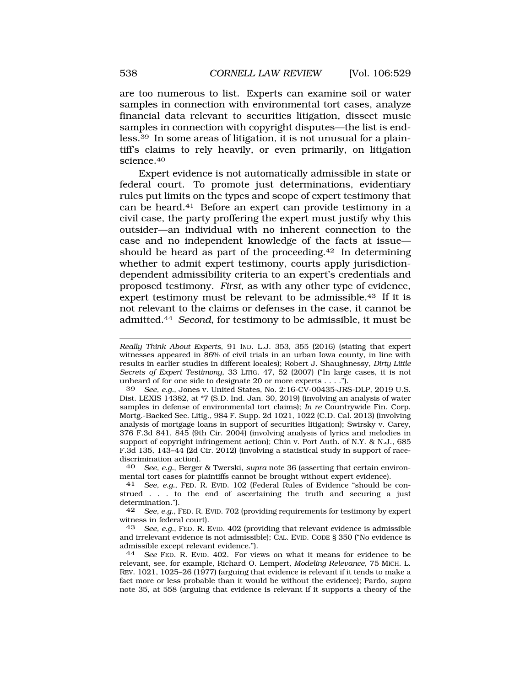are too numerous to list. Experts can examine soil or water samples in connection with environmental tort cases, analyze financial data relevant to securities litigation, dissect music samples in connection with copyright disputes—the list is endless.39 In some areas of litigation, it is not unusual for a plaintiff's claims to rely heavily, or even primarily, on litigation [science.40](https://science.40) 

Expert evidence is not automatically admissible in state or federal court. To promote just determinations, evidentiary rules put limits on the types and scope of expert testimony that can be [heard.41](https://heard.41) Before an expert can provide testimony in a civil case, the party proffering the expert must justify why this outsider—an individual with no inherent connection to the case and no independent knowledge of the facts at issue should be heard as part of the [proceeding.42](https://proceeding.42) In determining whether to admit expert testimony, courts apply jurisdictiondependent admissibility criteria to an expert's credentials and proposed testimony. *First*, as with any other type of evidence, expert testimony must be relevant to be [admissible.43](https://admissible.43) If it is not relevant to the claims or defenses in the case, it cannot be [admitted.44](https://admitted.44) *Second*, for testimony to be admissible, it must be

39 *See, e.g.*, Jones v. United States, No. 2:16-CV-00435-JRS-DLP, 2019 U.S. Dist. LEXIS 14382, at \*7 (S.D. Ind. Jan. 30, 2019) (involving an analysis of water samples in defense of environmental tort claims); *In re* Countrywide Fin. Corp. Mortg.-Backed Sec. Litig., 984 F. Supp. 2d 1021, 1022 (C.D. Cal. 2013) (involving analysis of mortgage loans in support of securities litigation); Swirsky v. Carey, 376 F.3d 841, 845 (9th Cir. 2004) (involving analysis of lyrics and melodies in support of copyright infringement action); Chin v. Port Auth. of N.Y. & N.J., 685 F.3d 135, 143–44 (2d Cir. 2012) (involving a statistical study in support of racediscrimination action).

40 *See, e.g.*, Berger & Twerski, *supra* note 36 (asserting that certain environmental tort cases for plaintiffs cannot be brought without expert evidence).

41 *See, e.g.*, FED. R. EVID. 102 (Federal Rules of Evidence "should be construed . . . to the end of ascertaining the truth and securing a just determination.").

42 *See, e.g.*, FED. R. EVID. 702 (providing requirements for testimony by expert witness in federal court).<br>43 See e.g. FED R F

43 *See, e.g.*, FED. R. EVID. 402 (providing that relevant evidence is admissible and irrelevant evidence is not admissible); CAL. EVID. CODE § 350 ("No evidence is admissible except relevant evidence.").

44 *See* FED. R. EVID. 402. For views on what it means for evidence to be relevant, see, for example, Richard O. Lempert, *Modeling Relevance*, 75 MICH. L. REV. 1021, 1025–26 (1977) (arguing that evidence is relevant if it tends to make a fact more or less probable than it would be without the evidence); Pardo, *supra*  note 35, at 558 (arguing that evidence is relevant if it supports a theory of the

*Really Think About Experts*, 91 IND. L.J. 353, 355 (2016) (stating that expert witnesses appeared in 86% of civil trials in an urban Iowa county, in line with results in earlier studies in different locales); Robert J. Shaughnessy, *Dirty Little Secrets of Expert Testimony*, 33 LITIG. 47, 52 (2007) ("In large cases, it is not unheard of for one side to designate 20 or more experts . . . .").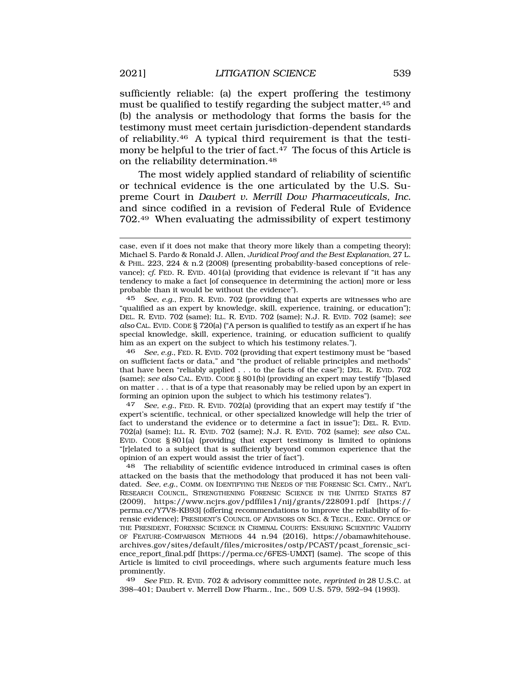sufficiently reliable: (a) the expert proffering the testimony must be qualified to testify regarding the subject matter, 45 and (b) the analysis or methodology that forms the basis for the testimony must meet certain jurisdiction-dependent standards of [reliability.46](https://reliability.46) A typical third requirement is that the testimony be helpful to the trier of fact.<sup>47</sup> The focus of this Article is on the reliability [determination.48](https://determination.48)

The most widely applied standard of reliability of scientific or technical evidence is the one articulated by the U.S. Supreme Court in *Daubert v. Merrill Dow Pharmaceuticals, Inc.*  and since codified in a revision of Federal Rule of Evidence 702.49 When evaluating the admissibility of expert testimony

45 *See, e.g.*, FED. R. EVID. 702 (providing that experts are witnesses who are "qualified as an expert by knowledge, skill, experience, training, or education"); DEL. R. EVID. 702 (same); ILL. R. EVID. 702 (same); N.J. R. EVID. 702 (same); *see also* CAL. EVID. CODE § 720(a) ("A person is qualified to testify as an expert if he has special knowledge, skill, experience, training, or education sufficient to qualify him as an expert on the subject to which his testimony relates.").

46 *See, e.g.*, FED. R. EVID. 702 (providing that expert testimony must be "based on sufficient facts or data," and "the product of reliable principles and methods" that have been "reliably applied . . . to the facts of the case"); DEL. R. EVID. 702 (same); *see also* CAL. EVID. CODE § 801(b) (providing an expert may testify "[b]ased on matter . . . that is of a type that reasonably may be relied upon by an expert in forming an opinion upon the subject to which his testimony relates").

47 *See, e.g.*, FED. R. EVID. 702(a) (providing that an expert may testify if "the expert's scientific, technical, or other specialized knowledge will help the trier of fact to understand the evidence or to determine a fact in issue"); DEL. R. EVID. 702(a) (same); ILL. R. EVID. 702 (same); N.J. R. EVID. 702 (same); *see also* CAL. EVID. CODE § 801(a) (providing that expert testimony is limited to opinions "[r]elated to a subject that is sufficiently beyond common experience that the opinion of an expert would assist the trier of fact").

48 The reliability of scientific evidence introduced in criminal cases is often attacked on the basis that the methodology that produced it has not been validated. *See, e.g.*, COMM. ON IDENTIFYING THE NEEDS OF THE FORENSIC SCI. CMTY., NAT'L RESEARCH COUNCIL, STRENGTHENING FORENSIC SCIENCE IN THE UNITED STATES 87 (2009), <https://www.ncjrs.gov/pdffiles1/nij/grants/228091.pdf>[https:// perma.cc/Y7V8-KB93] (offering recommendations to improve the reliability of forensic evidence); PRESIDENT'S COUNCIL OF ADVISORS ON SCI. & TECH., EXEC. OFFICE OF THE PRESIDENT, FORENSIC SCIENCE IN CRIMINAL COURTS: ENSURING SCIENTIFIC VALIDITY OF FEATURE-COMPARISON METHODS 44 n.94 (2016), <https://obamawhitehouse>. [archives.gov/sites/default/files/microsites/ostp/PCAST/pcast\\_forensic\\_sci](https://archives.gov/sites/default/files/microsites/ostp/PCAST/pcast_forensic_sci)ence\_report\_final.pdf [<https://perma.cc/6FES-UMXT>] (same). The scope of this Article is limited to civil proceedings, where such arguments feature much less prominently.

49 *See* FED. R. EVID. 702 & advisory committee note, *reprinted in* 28 U.S.C. at 398–401; Daubert v. Merrell Dow Pharm., Inc., 509 U.S. 579, 592–94 (1993).

case, even if it does not make that theory more likely than a competing theory); Michael S. Pardo & Ronald J. Allen, *Juridical Proof and the Best Explanation*, 27 L. & PHIL. 223, 224 & n.2 (2008) (presenting probability-based conceptions of relevance); *cf.* FED. R. EVID. 401(a) (providing that evidence is relevant if "it has any tendency to make a fact [of consequence in determining the action] more or less probable than it would be without the evidence").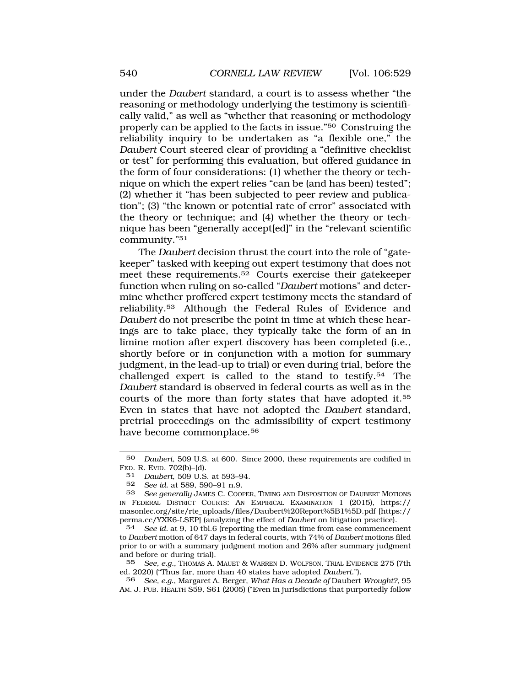under the *Daubert* standard, a court is to assess whether "the reasoning or methodology underlying the testimony is scientifically valid," as well as "whether that reasoning or methodology properly can be applied to the facts in issue."50 Construing the reliability inquiry to be undertaken as "a flexible one," the *Daubert* Court steered clear of providing a "definitive checklist or test" for performing this evaluation, but offered guidance in the form of four considerations: (1) whether the theory or technique on which the expert relies "can be (and has been) tested"; (2) whether it "has been subjected to peer review and publication"; (3) "the known or potential rate of error" associated with the theory or technique; and (4) whether the theory or technique has been "generally accept[ed]" in the "relevant scientific community."51

The *Daubert* decision thrust the court into the role of "gatekeeper" tasked with keeping out expert testimony that does not meet these [requirements.52](https://requirements.52) Courts exercise their gatekeeper function when ruling on so-called "*Daubert* motions" and determine whether proffered expert testimony meets the standard of [reliability.53](https://reliability.53) Although the Federal Rules of Evidence and *Daubert* do not prescribe the point in time at which these hearings are to take place, they typically take the form of an in limine motion after expert discovery has been completed (i.e., shortly before or in conjunction with a motion for summary judgment, in the lead-up to trial) or even during trial, before the challenged expert is called to the stand to [testify.54](https://testify.54) The *Daubert* standard is observed in federal courts as well as in the courts of the more than forty states that have adopted it.55 Even in states that have not adopted the *Daubert* standard, pretrial proceedings on the admissibility of expert testimony have become commonplace.<sup>56</sup>

56 *See, e.g.*, Margaret A. Berger, *What Has a Decade of* Daubert *Wrought?*, 95 AM. J. PUB. HEALTH S59, S61 (2005) ("Even in jurisdictions that purportedly follow

<sup>50</sup> *Daubert*, 509 U.S. at 600. Since 2000, these requirements are codified in FED. R. EVID. 702(b)–(d).

<sup>51</sup> *Daubert*, 509 U.S. at 593–94.

<sup>52</sup> *See id.* at 589, 590–91 n.9.

<sup>53</sup> *See generally* JAMES C. COOPER, TIMING AND DISPOSITION OF DAUBERT MOTIONS IN FEDERAL DISTRICT COURTS: AN EMPIRICAL EXAMINATION 1 (2015), https:// masonlec.org/site/rte\_uploads/files/Daubert%20Report%5B1%5D.pdf [https:// perma.cc/YXK6-LSEP] (analyzing the effect of *Daubert* on litigation practice).

<sup>54</sup> *See id.* at 9, 10 tbl.6 (reporting the median time from case commencement to *Daubert* motion of 647 days in federal courts, with 74% of *Daubert* motions filed prior to or with a summary judgment motion and 26% after summary judgment and before or during trial).<br>55 See, e.g., Thomas A.

<sup>55</sup> *See, e.g.*, THOMAS A. MAUET & WARREN D. WOLFSON, TRIAL EVIDENCE 275 (7th ed. 2020) ("Thus far, more than 40 states have adopted *Daubert*.").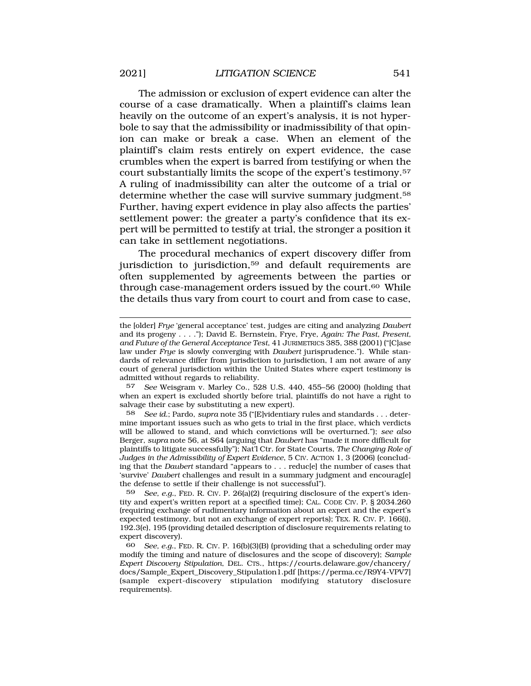The admission or exclusion of expert evidence can alter the course of a case dramatically. When a plaintiff's claims lean heavily on the outcome of an expert's analysis, it is not hyperbole to say that the admissibility or inadmissibility of that opinion can make or break a case. When an element of the plaintiff's claim rests entirely on expert evidence, the case crumbles when the expert is barred from testifying or when the court substantially limits the scope of the expert's [testimony.57](https://testimony.57)  A ruling of inadmissibility can alter the outcome of a trial or determine whether the case will survive summary judgment.<sup>58</sup> Further, having expert evidence in play also affects the parties' settlement power: the greater a party's confidence that its expert will be permitted to testify at trial, the stronger a position it can take in settlement negotiations.

The procedural mechanics of expert discovery differ from jurisdiction to jurisdiction,<sup>59</sup> and default requirements are often supplemented by agreements between the parties or through case-management orders issued by the court.<sup>60</sup> While the details thus vary from court to court and from case to case,

57 *See* Weisgram v. Marley Co., 528 U.S. 440, 455–56 (2000) (holding that when an expert is excluded shortly before trial, plaintiffs do not have a right to salvage their case by substituting a new expert).

58 *See id.*; Pardo, *supra* note 35 ("[E]videntiary rules and standards . . . determine important issues such as who gets to trial in the first place, which verdicts will be allowed to stand, and which convictions will be overturned."); *see also*  Berger, *supra* note 56, at S64 (arguing that *Daubert* has "made it more difficult for plaintiffs to litigate successfully"); Nat'l Ctr. for State Courts, *The Changing Role of Judges in the Admissibility of Expert Evidence*, 5 CIV. ACTION 1, 3 (2006) (concluding that the *Daubert* standard "appears to . . . reduc[e] the number of cases that 'survive' *Daubert* challenges and result in a summary judgment and encourag[e] the defense to settle if their challenge is not successful").

59 *See, e.g.*, FED. R. CIV. P. 26(a)(2) (requiring disclosure of the expert's identity and expert's written report at a specified time); CAL. CODE CIV. P. § 2034.260 (requiring exchange of rudimentary information about an expert and the expert's expected testimony, but not an exchange of expert reports); TEX. R. CIV. P. 166(i), 192.3(e), 195 (providing detailed description of disclosure requirements relating to expert discovery).

60 *See, e.g.*, FED. R. CIV. P. 16(b)(3)(B) (providing that a scheduling order may modify the timing and nature of disclosures and the scope of discovery); *Sample Expert Discovery Stipulation*, DEL. CTS., [https://courts.delaware.gov/chancery/](https://courts.delaware.gov/chancery) docs/Sample\_Expert\_Discovery\_Stipulation1.pdf [<https://perma.cc/R9Y4-VPV7>] (sample expert-discovery stipulation modifying statutory disclosure requirements).

the [older] *Frye* 'general acceptance' test, judges are citing and analyzing *Daubert*  and its progeny . . . ."); David E. Bernstein, Frye*,* Frye*, Again: The Past, Present, and Future of the General Acceptance Test*, 41 JURIMETRICS 385, 388 (2001) ("[C]ase law under *Frye* is slowly converging with *Daubert* jurisprudence."). While standards of relevance differ from jurisdiction to jurisdiction, I am not aware of any court of general jurisdiction within the United States where expert testimony is admitted without regards to reliability.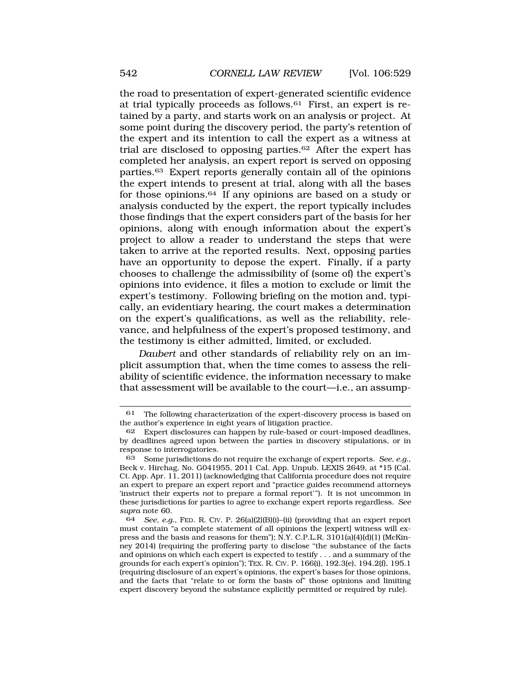the road to presentation of expert-generated scientific evidence at trial typically proceeds as follows. $61$  First, an expert is retained by a party, and starts work on an analysis or project. At some point during the discovery period, the party's retention of the expert and its intention to call the expert as a witness at trial are disclosed to opposing [parties.62](https://parties.62) After the expert has completed her analysis, an expert report is served on opposing [parties.63](https://parties.63) Expert reports generally contain all of the opinions the expert intends to present at trial, along with all the bases for those [opinions.64](https://opinions.64) If any opinions are based on a study or analysis conducted by the expert, the report typically includes those findings that the expert considers part of the basis for her opinions, along with enough information about the expert's project to allow a reader to understand the steps that were taken to arrive at the reported results. Next, opposing parties have an opportunity to depose the expert. Finally, if a party chooses to challenge the admissibility of (some of) the expert's opinions into evidence, it files a motion to exclude or limit the expert's testimony. Following briefing on the motion and, typically, an evidentiary hearing, the court makes a determination on the expert's qualifications, as well as the reliability, relevance, and helpfulness of the expert's proposed testimony, and the testimony is either admitted, limited, or excluded.

*Daubert* and other standards of reliability rely on an implicit assumption that, when the time comes to assess the reliability of scientific evidence, the information necessary to make that assessment will be available to the court—i.e., an assump-

<sup>61</sup> The following characterization of the expert-discovery process is based on the author's experience in eight years of litigation practice.

<sup>62</sup> Expert disclosures can happen by rule-based or court-imposed deadlines, by deadlines agreed upon between the parties in discovery stipulations, or in response to interrogatories.

<sup>63</sup> Some jurisdictions do not require the exchange of expert reports. *See, e.g.*, Beck v. Hirchag, No. G041955, 2011 Cal. App. Unpub. LEXIS 2649, at \*15 (Cal. Ct. App. Apr. 11, 2011) (acknowledging that California procedure does not require an expert to prepare an expert report and "practice guides recommend attorneys 'instruct their experts *not* to prepare a formal report'"). It is not uncommon in these jurisdictions for parties to agree to exchange expert reports regardless. *See supra* note 60.

<sup>64</sup> *See, e.g.*, FED. R. CIV. P. 26(a)(2)(B)(i)–(ii) (providing that an expert report must contain "a complete statement of all opinions the [expert] witness will express and the basis and reasons for them"); N.Y. C.P.L.R. 3101(a)(4)(d)(1) (McKinney 2014) (requiring the proffering party to disclose "the substance of the facts and opinions on which each expert is expected to testify . . . and a summary of the grounds for each expert's opinion"); TEX. R. CIV. P. 166(i), 192.3(e), 194.2(f), 195.1 (requiring disclosure of an expert's opinions, the expert's bases for those opinions, and the facts that "relate to or form the basis of" those opinions and limiting expert discovery beyond the substance explicitly permitted or required by rule).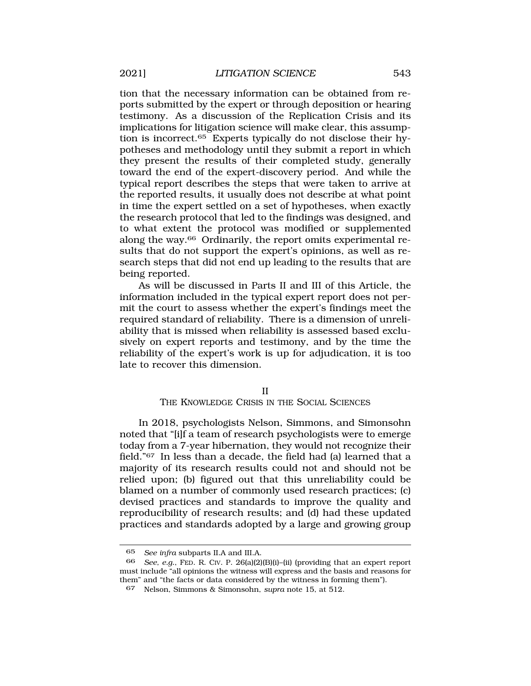tion that the necessary information can be obtained from reports submitted by the expert or through deposition or hearing testimony. As a discussion of the Replication Crisis and its implications for litigation science will make clear, this assumption is [incorrect.65](https://incorrect.65) Experts typically do not disclose their hypotheses and methodology until they submit a report in which they present the results of their completed study, generally toward the end of the expert-discovery period. And while the typical report describes the steps that were taken to arrive at the reported results, it usually does not describe at what point in time the expert settled on a set of hypotheses, when exactly the research protocol that led to the findings was designed, and to what extent the protocol was modified or supplemented along the way.66 Ordinarily, the report omits experimental results that do not support the expert's opinions, as well as research steps that did not end up leading to the results that are being reported.

As will be discussed in Parts II and III of this Article, the information included in the typical expert report does not permit the court to assess whether the expert's findings meet the required standard of reliability. There is a dimension of unreliability that is missed when reliability is assessed based exclusively on expert reports and testimony, and by the time the reliability of the expert's work is up for adjudication, it is too late to recover this dimension.

#### II

#### THE KNOWLEDGE CRISIS IN THE SOCIAL SCIENCES

In 2018, psychologists Nelson, Simmons, and Simonsohn noted that "[i]f a team of research psychologists were to emerge today from a 7-year hibernation, they would not recognize their field."67 In less than a decade, the field had (a) learned that a majority of its research results could not and should not be relied upon; (b) figured out that this unreliability could be blamed on a number of commonly used research practices; (c) devised practices and standards to improve the quality and reproducibility of research results; and (d) had these updated practices and standards adopted by a large and growing group

<sup>65</sup> *See infra* subparts II.A and III.A.

<sup>66</sup> *See, e.g.*, FED. R. CIV. P. 26(a)(2)(B)(i)–(ii) (providing that an expert report must include "all opinions the witness will express and the basis and reasons for them" and "the facts or data considered by the witness in forming them").

<sup>67</sup> Nelson, Simmons & Simonsohn, *supra* note 15, at 512.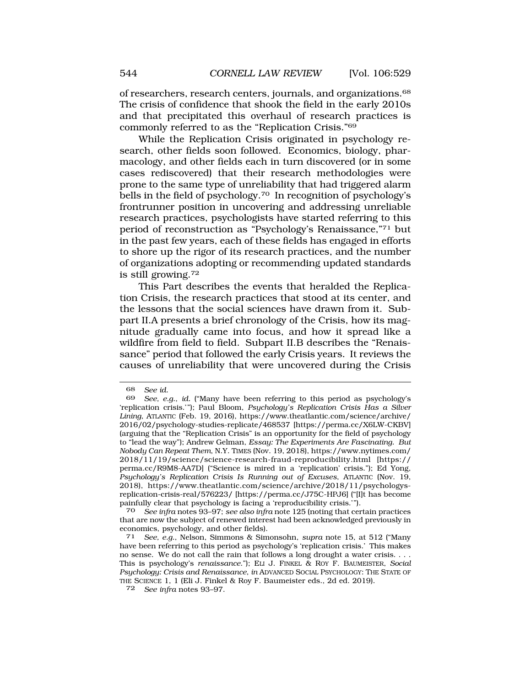of researchers, research centers, journals, and [organizations.68](https://organizations.68)  The crisis of confidence that shook the field in the early 2010s and that precipitated this overhaul of research practices is commonly referred to as the "Replication Crisis."69

While the Replication Crisis originated in psychology research, other fields soon followed. Economics, biology, pharmacology, and other fields each in turn discovered (or in some cases rediscovered) that their research methodologies were prone to the same type of unreliability that had triggered alarm bells in the field of [psychology.70](https://psychology.70) In recognition of psychology's frontrunner position in uncovering and addressing unreliable research practices, psychologists have started referring to this period of reconstruction as "Psychology's Renaissance,"71 but in the past few years, each of these fields has engaged in efforts to shore up the rigor of its research practices, and the number of organizations adopting or recommending updated standards is still [growing.72](https://growing.72) 

This Part describes the events that heralded the Replication Crisis, the research practices that stood at its center, and the lessons that the social sciences have drawn from it. Subpart II.A presents a brief chronology of the Crisis, how its magnitude gradually came into focus, and how it spread like a wildfire from field to field. Subpart II.B describes the "Renaissance" period that followed the early Crisis years. It reviews the causes of unreliability that were uncovered during the Crisis

<sup>68</sup> *See id.* 

<sup>69</sup> *See, e.g.*, *id.* ("Many have been referring to this period as psychology's 'replication crisis.'"); Paul Bloom, *Psychology's Replication Crisis Has a Silver Lining*, ATLANTIC (Feb. 19, 2016), [https://www.theatlantic.com/science/archive/](https://www.theatlantic.com/science/archive) 2016/02/psychology-studies-replicate/468537 [\[https://perma.cc/X6LW-CKBV](https://perma.cc/X6LW-CKBV)] (arguing that the "Replication Crisis" is an opportunity for the field of psychology to "lead the way"); Andrew Gelman, *Essay: The Experiments Are Fascinating. But Nobody Can Repeat Them*, N.Y. TIMES (Nov. 19, 2018), [https://www.nytimes.com/](https://www.nytimes.com) 2018/11/19/science/science-research-fraud-reproducibility.html [https:// perma.cc/R9M8-AA7D] ("Science is mired in a 'replication' crisis."); Ed Yong, *Psychology's Replication Crisis Is Running out of Excuses*, ATLANTIC (Nov. 19, 2018), <https://www.theatlantic.com/science/archive/2018/11/psychologys>replication-crisis-real/576223/ [<https://perma.cc/J75C-HPJ6>] ("[I]t has become painfully clear that psychology is facing a 'reproducibility crisis.'").

<sup>70</sup> *See infra* notes 93–97; *see also infra* note 125 (noting that certain practices that are now the subject of renewed interest had been acknowledged previously in economics, psychology, and other fields).

<sup>71</sup> *See, e.g.*, Nelson, Simmons & Simonsohn, *supra* note 15, at 512 ("Many have been referring to this period as psychology's 'replication crisis.' This makes no sense. We do not call the rain that follows a long drought a water crisis. . . . This is psychology's *renaissance*."); ELI J. FINKEL & ROY F. BAUMEISTER, *Social Psychology: Crisis and Renaissance*, *in* ADVANCED SOCIAL PSYCHOLOGY: THE STATE OF THE SCIENCE 1, 1 (Eli J. Finkel & Roy F. Baumeister eds., 2d ed. 2019).

<sup>72</sup> *See infra* notes 93–97.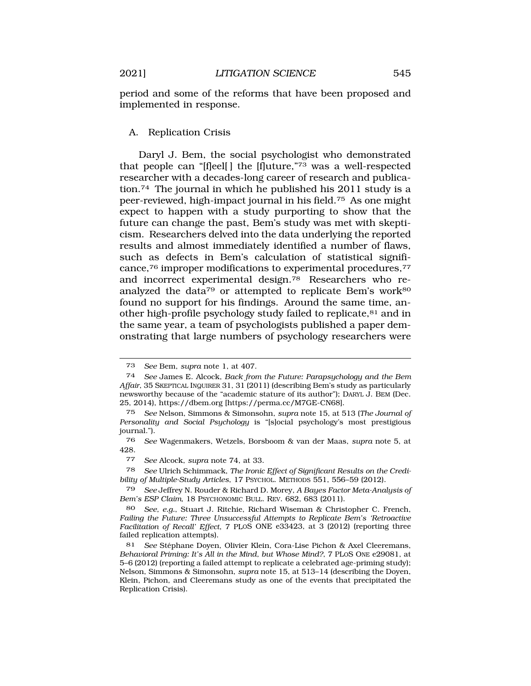period and some of the reforms that have been proposed and implemented in response.

# A. Replication Crisis

Daryl J. Bem, the social psychologist who demonstrated that people can "[f]eel[ ] the [f]uture,"73 was a well-respected researcher with a decades-long career of research and publication.74 The journal in which he published his 2011 study is a peer-reviewed, high-impact journal in his [field.75](https://field.75) As one might expect to happen with a study purporting to show that the future can change the past, Bem's study was met with skepticism. Researchers delved into the data underlying the reported results and almost immediately identified a number of flaws, such as defects in Bem's calculation of statistical significance,76 improper modifications to experimental procedures,77 and incorrect experimental [design.78](https://design.78) Researchers who reanalyzed the data<sup>79</sup> or attempted to replicate Bem's work<sup>80</sup> found no support for his findings. Around the same time, another high-profile psychology study failed to replicate,<sup>81</sup> and in the same year, a team of psychologists published a paper demonstrating that large numbers of psychology researchers were

<sup>73</sup> *See* Bem, *supra* note 1, at 407.

<sup>74</sup> *See* James E. Alcock, *Back from the Future: Parapsychology and the Bem Affair*, 35 SKEPTICAL INQUIRER 31, 31 (2011) (describing Bem's study as particularly newsworthy because of the "academic stature of its author"); DARYL J. BEM (Dec. 25, 2014),<https://dbem.org>[\[https://perma.cc/M7GE-CN68](https://perma.cc/M7GE-CN68)].

<sup>75</sup> *See* Nelson, Simmons & Simonsohn, *supra* note 15, at 513 (*The Journal of Personality and Social Psychology* is "[s]ocial psychology's most prestigious journal.").

<sup>76</sup> *See* Wagenmakers, Wetzels, Borsboom & van der Maas, *supra* note 5, at 428.

<sup>77</sup> *See* Alcock, *supra* note 74, at 33.

<sup>78</sup> *See* Ulrich Schimmack, *The Ironic Effect of Significant Results on the Credibility of Multiple-Study Articles*, 17 PSYCHOL. METHODS 551, 556–59 (2012).

<sup>79</sup> *See* Jeffrey N. Rouder & Richard D. Morey, *A Bayes Factor Meta-Analysis of Bem's ESP Claim*, 18 PSYCHONOMIC BULL. REV. 682, 683 (2011).

<sup>80</sup> *See, e.g.*, Stuart J. Ritchie, Richard Wiseman & Christopher C. French, *Failing the Future: Three Unsuccessful Attempts to Replicate Bem's 'Retroactive Facilitation of Recall' Effect*, 7 PLOS ONE e33423, at 3 (2012) (reporting three failed replication attempts).

<sup>81</sup> See Stéphane Doyen, Olivier Klein, Cora-Lise Pichon & Axel Cleeremans, *Behavioral Priming: It's All in the Mind, but Whose Mind?*, 7 PLOS ONE e29081, at 5–6 (2012) (reporting a failed attempt to replicate a celebrated age-priming study); Nelson, Simmons & Simonsohn, *supra* note 15, at 513–14 (describing the Doyen, Klein, Pichon, and Cleeremans study as one of the events that precipitated the Replication Crisis).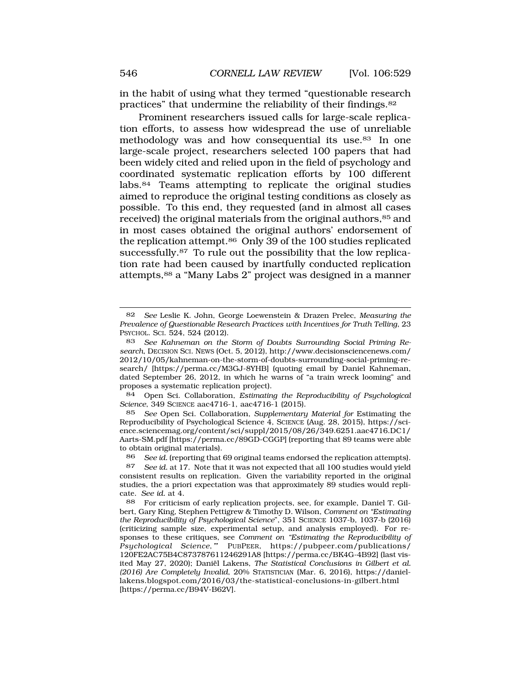Prominent researchers issued calls for large-scale replication efforts, to assess how widespread the use of unreliable methodology was and how consequential its use.83 In one large-scale project, researchers selected 100 papers that had been widely cited and relied upon in the field of psychology and coordinated systematic replication efforts by 100 different labs.84 Teams attempting to replicate the original studies aimed to reproduce the original testing conditions as closely as possible. To this end, they requested (and in almost all cases received) the original materials from the original authors,  $85$  and in most cases obtained the original authors' endorsement of the replication attempt.<sup>86</sup> Only 39 of the 100 studies replicated [successfully.87](https://successfully.87) To rule out the possibility that the low replication rate had been caused by inartfully conducted replication attempts,88 a "Many Labs 2" project was designed in a manner

84 Open Sci. Collaboration, *Estimating the Reproducibility of Psychological Science*, 349 SCIENCE aac4716-1, aac4716-1 (2015).

85 *See* Open Sci. Collaboration, *Supplementary Material for* Estimating the Reproducibility of Psychological Science 4, SCIENCE (Aug. 28, 2015),<https://sci>[ence.sciencemag.org/content/sci/suppl/2015/08/26/349.6251.aac4716.DC1](https://ence.sciencemag.org/content/sci/suppl/2015/08/26/349.6251.aac4716.DC1)/ Aarts-SM.pdf [<https://perma.cc/89GD-CGGP>] (reporting that 89 teams were able to obtain original materials).

86 *See id.* (reporting that 69 original teams endorsed the replication attempts).

87 *See id.* at 17. Note that it was not expected that all 100 studies would yield consistent results on replication. Given the variability reported in the original studies, the a priori expectation was that approximately 89 studies would replicate. *See id.* at 4.

88 For criticism of early replication projects, see*,* for example, Daniel T. Gilbert, Gary King, Stephen Pettigrew & Timothy D. Wilson, *Comment on "Estimating the Reproducibility of Psychological Science*", 351 SCIENCE 1037-b, 1037-b (2016) (criticizing sample size, experimental setup, and analysis employed). For responses to these critiques, see *Comment on "Estimating the Reproducibility of*  PUBPEER, <https://pubpeer.com/publications>/ 120FE2AC75B4C873787611246291A8 [\[https://perma.cc/BK4G-4B92\]](https://perma.cc/BK4G-4B92) (last visited May 27, 2020); Daniël Lakens, *The Statistical Conclusions in Gilbert et al. (2016) Are Completely Invalid*, 20% STATISTICIAN (Mar. 6, 2016), <https://daniel>[lakens.blogspot.com/2016/03/the-statistical-conclusions-in-gilbert.html](https://lakens.blogspot.com/2016/03/the-statistical-conclusions-in-gilbert.html) [[https://perma.cc/B94V-B62V\]](https://perma.cc/B94V-B62V).

<sup>82</sup> *See* Leslie K. John, George Loewenstein & Drazen Prelec, *Measuring the Prevalence of Questionable Research Practices with Incentives for Truth Telling*, 23 PSYCHOL. SCI. 524, 524 (2012).

<sup>83</sup> *See Kahneman on the Storm of Doubts Surrounding Social Priming Research*, DECISION SCI. NEWS (Oct. 5, 2012), [http://www.decisionsciencenews.com/](http://www.decisionsciencenews.com) 2012/10/05/kahneman-on-the-storm-of-doubts-surrounding-social-priming-research/ [[https://perma.cc/M3GJ-8YHB\]](https://perma.cc/M3GJ-8YHB) (quoting email by Daniel Kahneman, dated September 26, 2012, in which he warns of "a train wreck looming" and proposes a systematic replication project).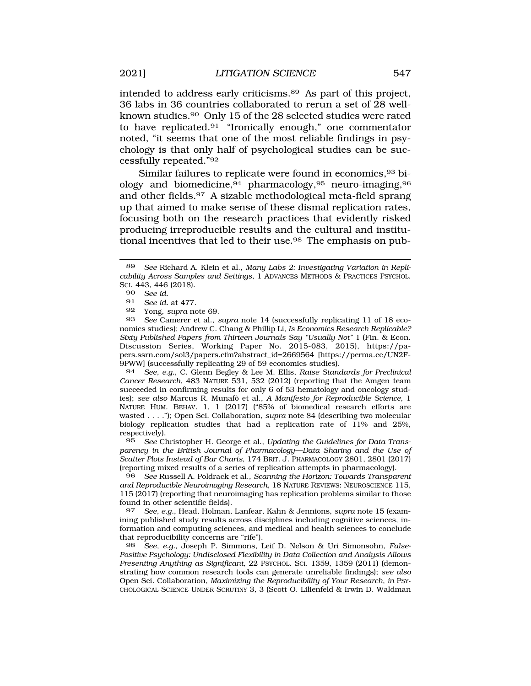intended to address early [criticisms.89](https://criticisms.89) As part of this project, 36 labs in 36 countries collaborated to rerun a set of 28 wellknown [studies.90](https://studies.90) Only 15 of the 28 selected studies were rated to have [replicated.91](https://replicated.91) "Ironically enough," one commentator noted, "it seems that one of the most reliable findings in psychology is that only half of psychological studies can be successfully repeated."92

Similar failures to replicate were found in economics, 93 biology and biomedicine,94 pharmacology,95 neuro-imaging,96 and other [fields.97](https://fields.97) A sizable methodological meta-field sprang up that aimed to make sense of these dismal replication rates, focusing both on the research practices that evidently risked producing irreproducible results and the cultural and institutional incentives that led to their use.<sup>98</sup> The emphasis on pub-

93 *See* Camerer et al., *supra* note 14 (successfully replicating 11 of 18 economics studies); Andrew C. Chang & Phillip Li, *Is Economics Research Replicable? Sixty Published Papers from Thirteen Journals Say "Usually Not"* 1 (Fin. & Econ. Discussion Series, Working Paper No. 2015-083, 2015), <https://pa>pers.ssrn.com/sol3/papers.cfm?abstract\_id=2669564 [\[https://perma.cc/UN2F-](https://perma.cc/UN2F)9PWW] (successfully replicating 29 of 59 economics studies).

94 *See, e.g.*, C. Glenn Begley & Lee M. Ellis, *Raise Standards for Preclinical Cancer Research*, 483 NATURE 531, 532 (2012) (reporting that the Amgen team succeeded in confirming results for only 6 of 53 hematology and oncology studies); see also Marcus R. Munafò et al., *A Manifesto for Reproducible Science*, 1 NATURE HUM. BEHAV. 1, 1 (2017) ("85% of biomedical research efforts are wasted . . . ."); Open Sci. Collaboration, *supra* note 84 (describing two molecular biology replication studies that had a replication rate of 11% and 25%, respectively).<br>95 See Cl

95 *See* Christopher H. George et al., *Updating the Guidelines for Data Transparency in the British Journal of Pharmacology—Data Sharing and the Use of Scatter Plots Instead of Bar Charts*, 174 BRIT. J. PHARMACOLOGY 2801, 2801 (2017) (reporting mixed results of a series of replication attempts in pharmacology).

96 *See* Russell A. Poldrack et al., *Scanning the Horizon: Towards Transparent and Reproducible Neuroimaging Research*, 18 NATURE REVIEWS: NEUROSCIENCE 115, 115 (2017) (reporting that neuroimaging has replication problems similar to those found in other scientific fields).

97 *See, e.g.*, Head, Holman, Lanfear, Kahn & Jennions, *supra* note 15 (examining published study results across disciplines including cognitive sciences, information and computing sciences, and medical and health sciences to conclude that reproducibility concerns are "rife").

98 *See, e.g.*, Joseph P. Simmons, Leif D. Nelson & Uri Simonsohn, *False-Positive Psychology: Undisclosed Flexibility in Data Collection and Analysis Allows Presenting Anything as Significant*, 22 PSYCHOL. SCI. 1359, 1359 (2011) (demonstrating how common research tools can generate unreliable findings); *see also*  Open Sci. Collaboration, *Maximizing the Reproducibility of Your Research*, *in* PSY-CHOLOGICAL SCIENCE UNDER SCRUTINY 3, 3 (Scott O. Lilienfeld & Irwin D. Waldman

<sup>89</sup> *See* Richard A. Klein et al., *Many Labs 2: Investigating Variation in Replicability Across Samples and Settings*, 1 ADVANCES METHODS & PRACTICES PSYCHOL. SCI. 443, 446 (2018).

<sup>90</sup> *See id.* 

See id. at 477.

<sup>92</sup> Yong, *supra* note 69.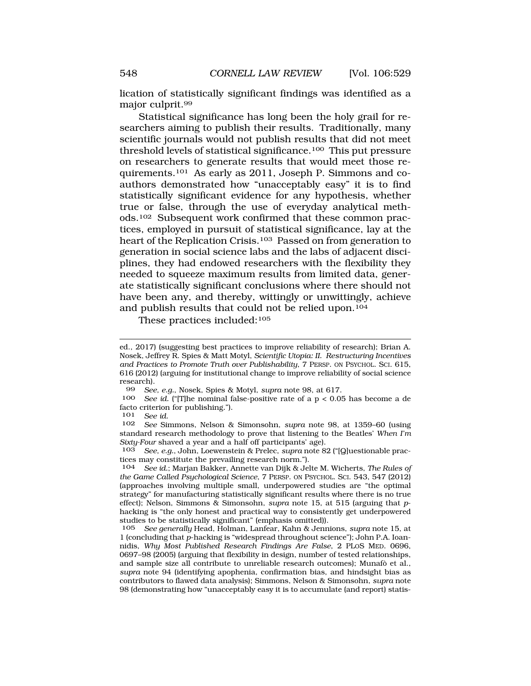lication of statistically significant findings was identified as a major [culprit.99](https://culprit.99) 

Statistical significance has long been the holy grail for researchers aiming to publish their results. Traditionally, many scientific journals would not publish results that did not meet threshold levels of statistical significance.100 This put pressure on researchers to generate results that would meet those requirements.101 As early as 2011, Joseph P. Simmons and coauthors demonstrated how "unacceptably easy" it is to find statistically significant evidence for any hypothesis, whether true or false, through the use of everyday analytical methods.102 Subsequent work confirmed that these common practices, employed in pursuit of statistical significance, lay at the heart of the Replication Crisis.103 Passed on from generation to generation in social science labs and the labs of adjacent disciplines, they had endowed researchers with the flexibility they needed to squeeze maximum results from limited data, generate statistically significant conclusions where there should not have been any, and thereby, wittingly or unwittingly, achieve and publish results that could not be relied upon.104

These practices included:105

See id. ("[T]he nominal false-positive rate of a  $p < 0.05$  has become a de facto criterion for publishing.").<br>101 See id

101 *See id.* 

102 *See* Simmons, Nelson & Simonsohn, *supra* note 98, at 1359–60 (using standard research methodology to prove that listening to the Beatles' *When I'm Sixty-Four* shaved a year and a half off participants' age).<br>103 *See e q* John Loewenstein & Prelec sung note 8

103 *See, e.g.*, John, Loewenstein & Prelec, *supra* note 82 ("[Q]uestionable practices may constitute the prevailing research norm.").<br>104 See id.: Marian Bakker, Annette van Dijk & Jel

ed., 2017) (suggesting best practices to improve reliability of research); Brian A. Nosek, Jeffrey R. Spies & Matt Motyl, *Scientific Utopia: II. Restructuring Incentives and Practices to Promote Truth over Publishability*, 7 PERSP. ON PSYCHOL. SCI. 615, 616 (2012) (arguing for institutional change to improve reliability of social science research).<br>99  $See$ 

<sup>99</sup> *See, e.g.*, Nosek, Spies & Motyl, *supra* note 98, at 617.

<sup>104</sup> *See id.*; Marjan Bakker, Annette van Dijk & Jelte M. Wicherts, *The Rules of the Game Called Psychological Science*, 7 PERSP. ON PSYCHOL. SCI. 543, 547 (2012) (approaches involving multiple small, underpowered studies are "the optimal strategy" for manufacturing statistically significant results where there is no true effect); Nelson, Simmons & Simonsohn, *supra* note 15, at 515 (arguing that *p*hacking is "the only honest and practical way to consistently get underpowered studies to be statistically significant" (emphasis omitted)).

<sup>105</sup> *See generally* Head, Holman, Lanfear, Kahn & Jennions, *supra* note 15, at 1 (concluding that *p*-hacking is "widespread throughout science"); John P.A. Ioannidis, *Why Most Published Research Findings Are False*, 2 PLOS MED. 0696, 0697–98 (2005) (arguing that flexibility in design, number of tested relationships, and sample size all contribute to unreliable research outcomes); Munafò et al., *supra* note 94 (identifying apophenia, confirmation bias, and hindsight bias as contributors to flawed data analysis); Simmons, Nelson & Simonsohn, *supra* note 98 (demonstrating how "unacceptably easy it is to accumulate (and report) statis-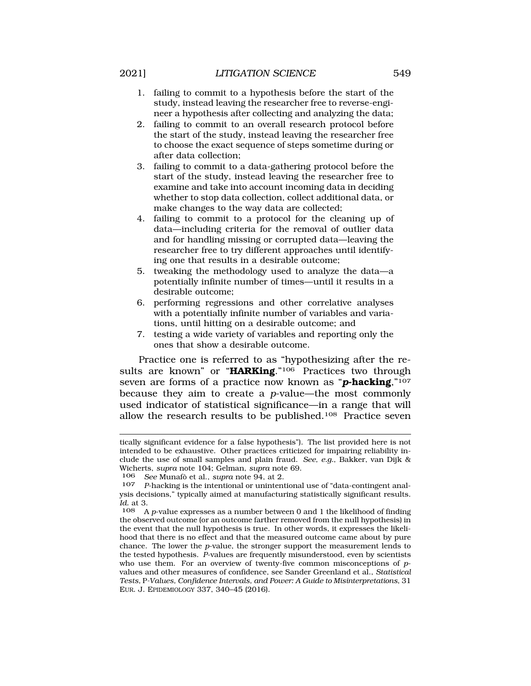- study, instead leaving the researcher free to reverse-engineer a hypothesis after collecting and analyzing the data;
- 2. failing to commit to an overall research protocol before the start of the study, instead leaving the researcher free to choose the exact sequence of steps sometime during or after data collection;
- 3. failing to commit to a data-gathering protocol before the start of the study, instead leaving the researcher free to examine and take into account incoming data in deciding whether to stop data collection, collect additional data, or make changes to the way data are collected;
- 4. failing to commit to a protocol for the cleaning up of data—including criteria for the removal of outlier data and for handling missing or corrupted data—leaving the researcher free to try different approaches until identifying one that results in a desirable outcome;
- 5. tweaking the methodology used to analyze the data—a potentially infinite number of times—until it results in a desirable outcome;
- 6. performing regressions and other correlative analyses with a potentially infinite number of variables and variations, until hitting on a desirable outcome; and
- 7. testing a wide variety of variables and reporting only the ones that show a desirable outcome.

Practice one is referred to as "hypothesizing after the results are known" or "**HARKing**."<sup>106</sup> Practices two through seven are forms of a practice now known as "*p***-hacking**,"107 because they aim to create a *p*-value—the most commonly used indicator of statistical significance—in a range that will allow the research results to be published.108 Practice seven

tically significant evidence for a false hypothesis"). The list provided here is not intended to be exhaustive. Other practices criticized for impairing reliability include the use of small samples and plain fraud. *See, e.g.*, Bakker, van Dijk & Wicherts, *supra* note 104; Gelman, *supra* note 69.

<sup>106</sup> *See* Munaf`o et al., *supra* note 94, at 2.

<sup>107</sup> *P*-hacking is the intentional or unintentional use of "data-contingent analysis decisions," typically aimed at manufacturing statistically significant results. *Id.* at 3.

<sup>108</sup> A *p*-value expresses as a number between 0 and 1 the likelihood of finding the observed outcome (or an outcome farther removed from the null hypothesis) in the event that the null hypothesis is true. In other words, it expresses the likelihood that there is no effect and that the measured outcome came about by pure chance. The lower the *p*-value, the stronger support the measurement lends to the tested hypothesis. *P*-values are frequently misunderstood, even by scientists who use them. For an overview of twenty-five common misconceptions of *p*values and other measures of confidence, see Sander Greenland et al., *Statistical Tests,* P*-Values, Confidence Intervals, and Power: A Guide to Misinterpretations*, 31 EUR. J. EPIDEMIOLOGY 337, 340–45 (2016).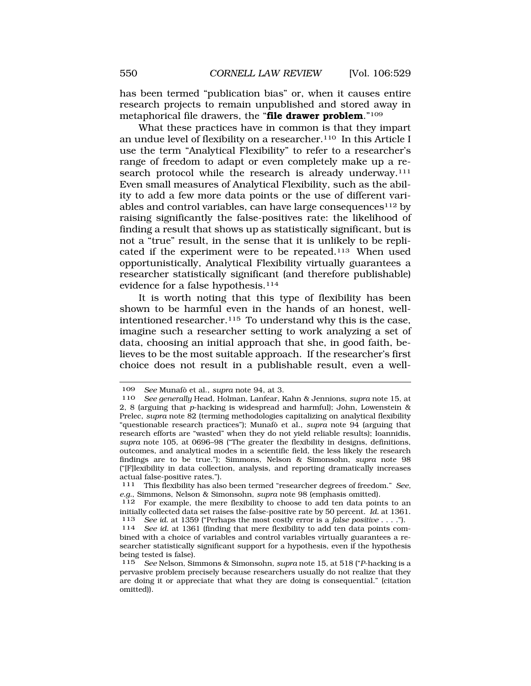has been termed "publication bias" or, when it causes entire research projects to remain unpublished and stored away in metaphorical file drawers, the "**file drawer problem**."109

What these practices have in common is that they impart an undue level of flexibility on a researcher.110 In this Article I use the term "Analytical Flexibility" to refer to a researcher's range of freedom to adapt or even completely make up a research protocol while the research is already underway.<sup>111</sup> Even small measures of Analytical Flexibility, such as the ability to add a few more data points or the use of different variables and control variables, can have large consequences<sup>112</sup> by raising significantly the false-positives rate: the likelihood of finding a result that shows up as statistically significant, but is not a "true" result, in the sense that it is unlikely to be replicated if the experiment were to be repeated.113 When used opportunistically, Analytical Flexibility virtually guarantees a researcher statistically significant (and therefore publishable) evidence for a false hypothesis.<sup>114</sup>

It is worth noting that this type of flexibility has been shown to be harmful even in the hands of an honest, wellintentioned researcher.115 To understand why this is the case, imagine such a researcher setting to work analyzing a set of data, choosing an initial approach that she, in good faith, believes to be the most suitable approach. If the researcher's first choice does not result in a publishable result, even a well-

<sup>109</sup> *See* Munafò et al., *supra* note 94, at 3.<br>110 *See generally* Head Holman Lanfear F

<sup>110</sup> *See generally* Head, Holman, Lanfear, Kahn & Jennions, *supra* note 15, at 2, 8 (arguing that *p*-hacking is widespread and harmful); John, Lowenstein & Prelec, *supra* note 82 (terming methodologies capitalizing on analytical flexibility "questionable research practices"); Munafò et al., *supra* note 94 (arguing that research efforts are "wasted" when they do not yield reliable results); Ioannidis, *supra* note 105, at 0696–98 ("The greater the flexibility in designs, definitions, outcomes, and analytical modes in a scientific field, the less likely the research findings are to be true."); Simmons, Nelson & Simonsohn, *supra* note 98 ("[F]lexibility in data collection, analysis, and reporting dramatically increases actual false-positive rates.").

<sup>111</sup> This flexibility has also been termed "researcher degrees of freedom." *See, e.g.*, Simmons, Nelson & Simonsohn, *supra* note 98 (emphasis omitted).<br><sup>112</sup> For example, the mere flexibility to choose to add ten data point

For example, the mere flexibility to choose to add ten data points to an initially collected data set raises the false-positive rate by 50 percent. *Id.* at 1361.

<sup>&</sup>lt;sup>114</sup> See id. at 1361 (finding that mere flexibility to add ten data points combined with a choice of variables and control variables virtually guarantees a researcher statistically significant support for a hypothesis, even if the hypothesis being tested is false).

<sup>115</sup> *See* Nelson, Simmons & Simonsohn, *supra* note 15, at 518 ("*P*-hacking is a pervasive problem precisely because researchers usually do not realize that they are doing it or appreciate that what they are doing is consequential." (citation omitted)).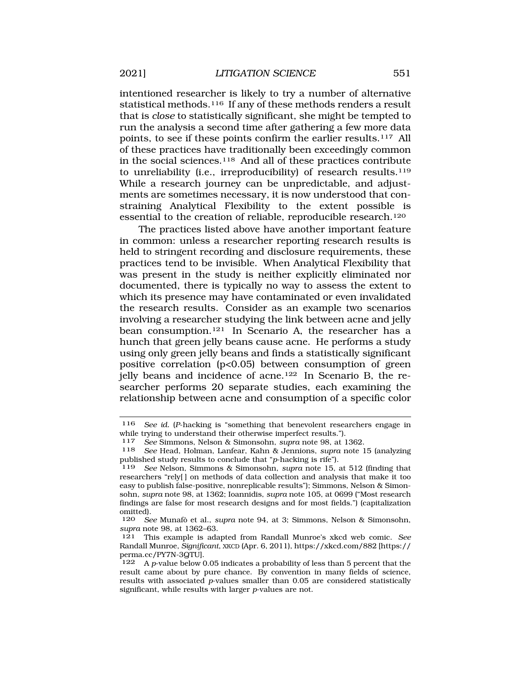intentioned researcher is likely to try a number of alternative statistical methods.116 If any of these methods renders a result that is *close* to statistically significant, she might be tempted to run the analysis a second time after gathering a few more data points, to see if these points confirm the earlier results.117 All of these practices have traditionally been exceedingly common in the social sciences.118 And all of these practices contribute to unreliability (i.e., irreproducibility) of research results.119 While a research journey can be unpredictable, and adjustments are sometimes necessary, it is now understood that constraining Analytical Flexibility to the extent possible is essential to the creation of reliable, reproducible research.120

The practices listed above have another important feature in common: unless a researcher reporting research results is held to stringent recording and disclosure requirements, these practices tend to be invisible. When Analytical Flexibility that was present in the study is neither explicitly eliminated nor documented, there is typically no way to assess the extent to which its presence may have contaminated or even invalidated the research results. Consider as an example two scenarios involving a researcher studying the link between acne and jelly bean consumption.121 In Scenario A, the researcher has a hunch that green jelly beans cause acne. He performs a study using only green jelly beans and finds a statistically significant positive correlation (p<0.05) between consumption of green jelly beans and incidence of acne.122 In Scenario B, the researcher performs 20 separate studies, each examining the relationship between acne and consumption of a specific color

<sup>116</sup> *See id.* (*P*-hacking is "something that benevolent researchers engage in while trying to understand their otherwise imperfect results.").<br> $117$  See Simmons, Nelson & Simonsohn, sunra note 98, at 1

<sup>117</sup> *See* Simmons, Nelson & Simonsohn, *supra* note 98, at 1362.

<sup>118</sup> *See* Head, Holman, Lanfear, Kahn & Jennions, *supra* note 15 (analyzing published study results to conclude that "*p*-hacking is rife").

See Nelson, Simmons & Simonsohn, *supra* note 15, at 512 (finding that researchers "rely[ ] on methods of data collection and analysis that make it too easy to publish false-positive, nonreplicable results"); Simmons, Nelson & Simonsohn, *supra* note 98, at 1362; Ioannidis, *supra* note 105, at 0699 ("Most research findings are false for most research designs and for most fields.") (capitalization omitted).<br>120 Se

See Munafò et al., *supra* note 94, at 3; Simmons, Nelson & Simonsohn, *supra* note 98, at 1362–63.

<sup>121</sup> This example is adapted from Randall Munroe's xkcd web comic. *See*  Randall Munroe, *Significant*, XKCD (Apr. 6, 2011),<https://xkcd.com/882>[https:// perma.cc/PY7N-3QTU].

<sup>122</sup> A *p*-value below 0.05 indicates a probability of less than 5 percent that the result came about by pure chance. By convention in many fields of science, results with associated *p*-values smaller than 0.05 are considered statistically significant, while results with larger *p*-values are not.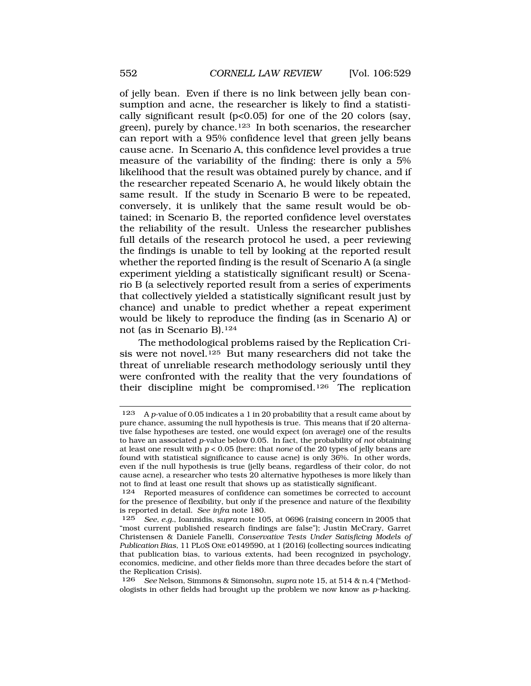of jelly bean. Even if there is no link between jelly bean consumption and acne, the researcher is likely to find a statistically significant result (p<0.05) for one of the 20 colors (say, green), purely by chance.123 In both scenarios, the researcher can report with a 95% confidence level that green jelly beans cause acne. In Scenario A, this confidence level provides a true measure of the variability of the finding: there is only a 5% likelihood that the result was obtained purely by chance, and if the researcher repeated Scenario A, he would likely obtain the same result. If the study in Scenario B were to be repeated, conversely, it is unlikely that the same result would be obtained; in Scenario B, the reported confidence level overstates the reliability of the result. Unless the researcher publishes full details of the research protocol he used, a peer reviewing the findings is unable to tell by looking at the reported result whether the reported finding is the result of Scenario A (a single experiment yielding a statistically significant result) or Scenario B (a selectively reported result from a series of experiments that collectively yielded a statistically significant result just by chance) and unable to predict whether a repeat experiment would be likely to reproduce the finding (as in Scenario A) or not (as in Scenario B).124

The methodological problems raised by the Replication Crisis were not novel.125 But many researchers did not take the threat of unreliable research methodology seriously until they were confronted with the reality that the very foundations of their discipline might be compromised.126 The replication

126 *See* Nelson, Simmons & Simonsohn, *supra* note 15, at 514 & n.4 ("Methodologists in other fields had brought up the problem we now know as *p*-hacking.

<sup>123</sup> A *p*-value of 0.05 indicates a 1 in 20 probability that a result came about by pure chance, assuming the null hypothesis is true. This means that if 20 alternative false hypotheses are tested, one would expect (on average) one of the results to have an associated *p*-value below 0.05. In fact, the probability of *not* obtaining at least one result with *p* < 0.05 (here: that *none* of the 20 types of jelly beans are found with statistical significance to cause acne) is only 36%. In other words, even if the null hypothesis is true (jelly beans, regardless of their color, do not cause acne), a researcher who tests 20 alternative hypotheses is more likely than not to find at least one result that shows up as statistically significant.

<sup>124</sup> Reported measures of confidence can sometimes be corrected to account for the presence of flexibility, but only if the presence and nature of the flexibility is reported in detail. *See infra* note 180.

<sup>125</sup> *See, e.g.*, Ioannidis, *supra* note 105, at 0696 (raising concern in 2005 that "most current published research findings are false"); Justin McCrary, Garret Christensen & Daniele Fanelli, *Conservative Tests Under Satisficing Models of Publication Bias*, 11 PLOS ONE e0149590, at 1 (2016) (collecting sources indicating that publication bias, to various extents, had been recognized in psychology, economics, medicine, and other fields more than three decades before the start of the Replication Crisis).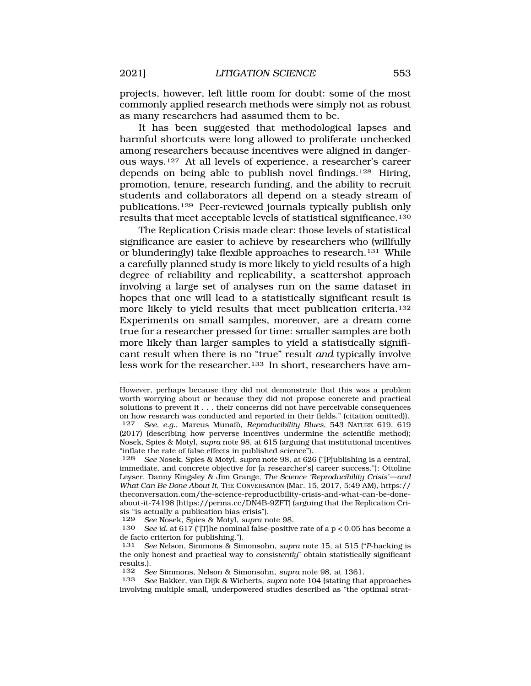projects, however, left little room for doubt: some of the most commonly applied research methods were simply not as robust as many researchers had assumed them to be.

It has been suggested that methodological lapses and harmful shortcuts were long allowed to proliferate unchecked among researchers because incentives were aligned in dangerous ways.127 At all levels of experience, a researcher's career depends on being able to publish novel findings.128 Hiring, promotion, tenure, research funding, and the ability to recruit students and collaborators all depend on a steady stream of publications.129 Peer-reviewed journals typically publish only results that meet acceptable levels of statistical significance.130

The Replication Crisis made clear: those levels of statistical significance are easier to achieve by researchers who (willfully or blunderingly) take flexible approaches to research.131 While a carefully planned study is more likely to yield results of a high degree of reliability and replicability, a scattershot approach involving a large set of analyses run on the same dataset in hopes that one will lead to a statistically significant result is more likely to yield results that meet publication criteria.132 Experiments on small samples, moreover, are a dream come true for a researcher pressed for time: smaller samples are both more likely than larger samples to yield a statistically significant result when there is no "true" result *and* typically involve less work for the researcher.<sup>133</sup> In short, researchers have am-

However, perhaps because they did not demonstrate that this was a problem worth worrying about or because they did not propose concrete and practical solutions to prevent it . . . their concerns did not have perceivable consequences on how research was conducted and reported in their fields." (citation omitted)).<br>127 See, e.g., Marcus Munafò, Reproducibility Blues, 543 NATURE 619, 619

<sup>127</sup> *See, e.g.*, Marcus Munaf`o, *Reproducibility Blues*, 543 NATURE 619, 619 (2017) (describing how perverse incentives undermine the scientific method); Nosek, Spies & Motyl, *supra* note 98, at 615 (arguing that institutional incentives "inflate the rate of false effects in published science").<br><sup>128</sup> See Nosek, Spies & Motyl, sung note 98, at 626

<sup>128</sup> *See* Nosek, Spies & Motyl, *supra* note 98, at 626 ("[P]ublishing is a central, immediate, and concrete objective for [a researcher's] career success."); Ottoline Leyser, Danny Kingsley & Jim Grange, *The Science 'Reproducibility Crisis'—and What Can Be Done About It*, THE CONVERSATION (Mar. 15, 2017, 5:49 AM), https:// [theconversation.com/the-science-reproducibility-crisis-and-what-can-be-done](https://theconversation.com/the-science-reproducibility-crisis-and-what-can-be-done)about-it-74198 [[https://perma.cc/DN4B-9ZFT\]](https://perma.cc/DN4B-9ZFT) (arguing that the Replication Crisis "is actually a publication bias crisis").<br> $129$  See Nosek. Spies & Motyl. supra n

<sup>129</sup> *See* Nosek, Spies & Motyl, *supra* note 98.

See id. at 617 ("[T]he nominal false-positive rate of a  $p < 0.05$  has become a de facto criterion for publishing.").

<sup>131</sup> *See* Nelson, Simmons & Simonsohn, *supra* note 15, at 515 ("*P*-hacking is the only honest and practical way to *consistently*" obtain statistically significant results.).<br> $132 S_6$ 

<sup>132</sup> *See* Simmons, Nelson & Simonsohn, *supra* note 98, at 1361.

<sup>133</sup> *See* Bakker, van Dijk & Wicherts, *supra* note 104 (stating that approaches involving multiple small, underpowered studies described as "the optimal strat-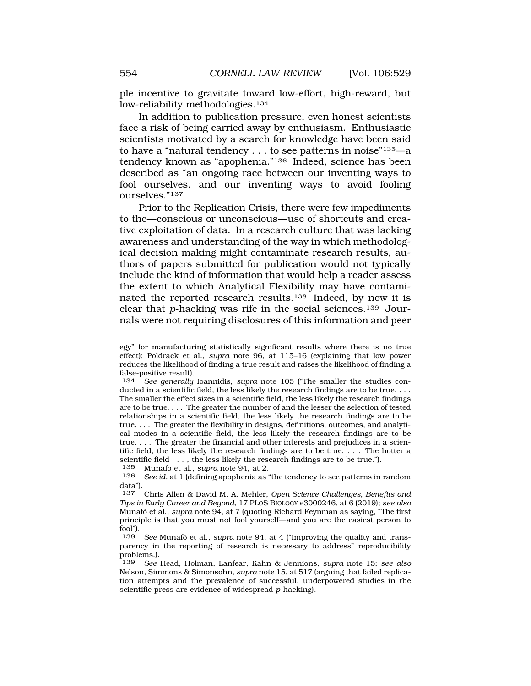ple incentive to gravitate toward low-effort, high-reward, but low-reliability methodologies.134

In addition to publication pressure, even honest scientists face a risk of being carried away by enthusiasm. Enthusiastic scientists motivated by a search for knowledge have been said to have a "natural tendency  $\ldots$  to see patterns in noise"<sup>135</sup>—a tendency known as "apophenia."136 Indeed, science has been described as "an ongoing race between our inventing ways to fool ourselves, and our inventing ways to avoid fooling ourselves."137

Prior to the Replication Crisis, there were few impediments to the—conscious or unconscious—use of shortcuts and creative exploitation of data. In a research culture that was lacking awareness and understanding of the way in which methodological decision making might contaminate research results, authors of papers submitted for publication would not typically include the kind of information that would help a reader assess the extent to which Analytical Flexibility may have contaminated the reported research results.138 Indeed, by now it is clear that *p*-hacking was rife in the social sciences.139 Journals were not requiring disclosures of this information and peer

135 Munafò et al., *supra* note 94, at 2.<br>136 See id at 1 (defining apophenia as '

egy" for manufacturing statistically significant results where there is no true effect); Poldrack et al., *supra* note 96, at 115–16 (explaining that low power reduces the likelihood of finding a true result and raises the likelihood of finding a false-positive result).

<sup>134</sup> *See generally* Ioannidis, *supra* note 105 ("The smaller the studies conducted in a scientific field, the less likely the research findings are to be true. . . . The smaller the effect sizes in a scientific field, the less likely the research findings are to be true. . . . The greater the number of and the lesser the selection of tested relationships in a scientific field, the less likely the research findings are to be true. . . . The greater the flexibility in designs, definitions, outcomes, and analytical modes in a scientific field, the less likely the research findings are to be true. . . . The greater the financial and other interests and prejudices in a scientific field, the less likely the research findings are to be true. . . . The hotter a scientific field  $\dots$ , the less likely the research findings are to be true.").<br>135 Munafò et al., supra note 94, at 2.

See id. at 1 (defining apophenia as "the tendency to see patterns in random data").

<sup>137</sup> Chris Allen & David M. A. Mehler, *Open Science Challenges, Benefits and Tips in Early Career and Beyond*, 17 PLOS BIOLOGY e3000246, at 6 (2019); *see also*  Munaf`o et al., *supra* note 94, at 7 (quoting Richard Feynman as saying, "The first principle is that you must not fool yourself—and you are the easiest person to fool").

See Munafò et al., *supra* note 94, at 4 ("Improving the quality and transparency in the reporting of research is necessary to address" reproducibility problems.).<br> $139 \text{ See } 1$ 

<sup>139</sup> *See* Head, Holman, Lanfear, Kahn & Jennions, *supra* note 15; *see also*  Nelson, Simmons & Simonsohn, *supra* note 15, at 517 (arguing that failed replication attempts and the prevalence of successful, underpowered studies in the scientific press are evidence of widespread *p*-hacking).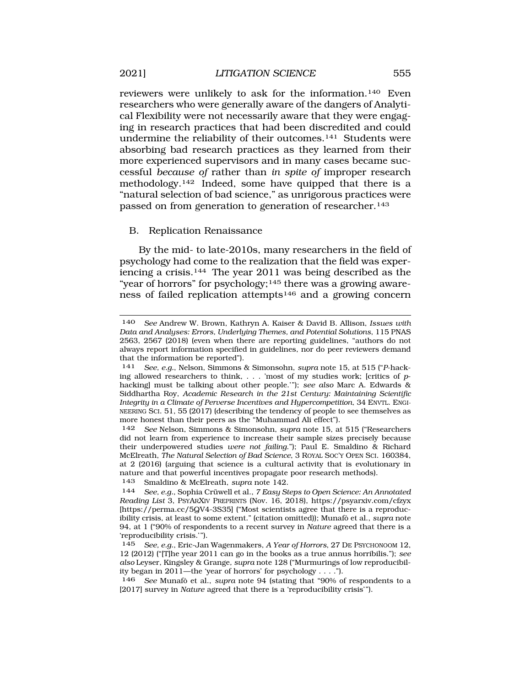reviewers were unlikely to ask for the information.140 Even researchers who were generally aware of the dangers of Analytical Flexibility were not necessarily aware that they were engaging in research practices that had been discredited and could undermine the reliability of their outcomes.141 Students were absorbing bad research practices as they learned from their more experienced supervisors and in many cases became successful *because of* rather than *in spite of* improper research methodology.142 Indeed, some have quipped that there is a "natural selection of bad science," as unrigorous practices were passed on from generation to generation of researcher.143

## B. Replication Renaissance

By the mid- to late-2010s, many researchers in the field of psychology had come to the realization that the field was experiencing a crisis.144 The year 2011 was being described as the "year of horrors" for psychology;<sup>145</sup> there was a growing awareness of failed replication attempts146 and a growing concern

143 Smaldino & McElreath, *supra* note 142.

146 *See* Munaf`o et al., *supra* note 94 (stating that "90% of respondents to a [2017] survey in *Nature* agreed that there is a 'reproducibility crisis'").

<sup>140</sup> *See* Andrew W. Brown, Kathryn A. Kaiser & David B. Allison, *Issues with Data and Analyses: Errors, Underlying Themes, and Potential Solutions*, 115 PNAS 2563, 2567 (2018) (even when there are reporting guidelines, "authors do not always report information specified in guidelines, nor do peer reviewers demand that the information be reported").

<sup>141</sup> *See, e.g.*, Nelson, Simmons & Simonsohn, *supra* note 15, at 515 ("*P*-hacking allowed researchers to think, . . . 'most of my studies work; [critics of *p*hacking] must be talking about other people.'"); *see also* Marc A. Edwards & Siddhartha Roy, *Academic Research in the 21st Century: Maintaining Scientific Integrity in a Climate of Perverse Incentives and Hypercompetition*, 34 ENVTL. ENGI-NEERING SCI. 51, 55 (2017) (describing the tendency of people to see themselves as more honest than their peers as the "Muhammad Ali effect").

<sup>142</sup> *See* Nelson, Simmons & Simonsohn, *supra* note 15, at 515 ("Researchers did not learn from experience to increase their sample sizes precisely because their underpowered studies *were not failing*."); Paul E. Smaldino & Richard McElreath, *The Natural Selection of Bad Science*, 3 ROYAL SOC'Y OPEN SCI. 160384, at 2 (2016) (arguing that science is a cultural activity that is evolutionary in nature and that powerful incentives propagate poor research methods).

<sup>144</sup> *See, e.g., Sophia Crüwell et al., 7 Easy Steps to Open Science: An Annotated Reading List* 3, PSYARXIV PREPRINTS (Nov. 16, 2018), <https://psyarxiv.com/cfzyx> [[https://perma.cc/5QV4-3S35\]](https://perma.cc/5QV4-3S35) ("Most scientists agree that there is a reproducibility crisis, at least to some extent." (citation omitted)); Munafò et al., *supra* note 94, at 1 ("90% of respondents to a recent survey in *Nature* agreed that there is a 'reproducibility crisis.'").

<sup>145</sup> *See, e.g.*, Eric-Jan Wagenmakers, *A Year of Horrors*, 27 DE PSYCHONOOM 12, 12 (2012) ("[T]he year 2011 can go in the books as a true annus horribilis."); *see also* Leyser, Kingsley & Grange*, supra* note 128 ("Murmurings of low reproducibility began in 2011—the 'year of horrors' for psychology . . . .").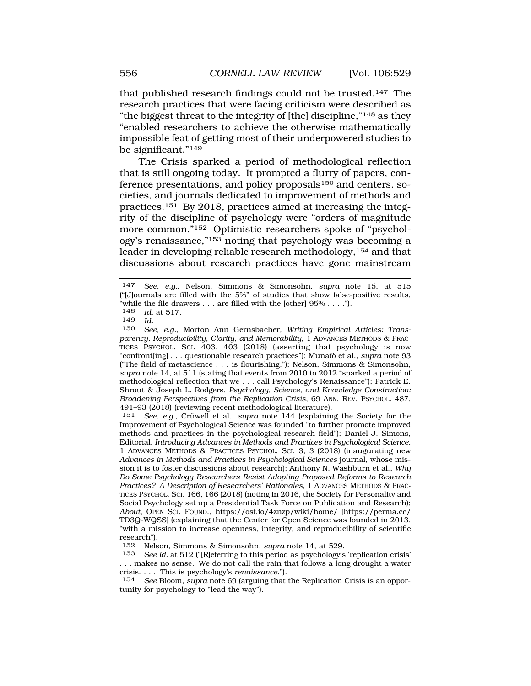that published research findings could not be trusted.147 The research practices that were facing criticism were described as "the biggest threat to the integrity of [the] discipline,"148 as they "enabled researchers to achieve the otherwise mathematically impossible feat of getting most of their underpowered studies to be significant."149

The Crisis sparked a period of methodological reflection that is still ongoing today. It prompted a flurry of papers, conference presentations, and policy proposals<sup>150</sup> and centers, societies, and journals dedicated to improvement of methods and practices.151 By 2018, practices aimed at increasing the integrity of the discipline of psychology were "orders of magnitude more common."152 Optimistic researchers spoke of "psychology's renaissance,"153 noting that psychology was becoming a leader in developing reliable research methodology,154 and that discussions about research practices have gone mainstream

148 *Id.* at 517.

151 *See, e.g.*, Crüwell et al., *supra* note 144 (explaining the Society for the Improvement of Psychological Science was founded "to further promote improved methods and practices in the psychological research field"); Daniel J. Simons, Editorial, *Introducing Advances in Methods and Practices in Psychological Science*, 1 ADVANCES METHODS & PRACTICES PSYCHOL. SCI. 3, 3 (2018) (inaugurating new *Advances in Methods and Practices in Psychological Sciences* journal, whose mission it is to foster discussions about research); Anthony N. Washburn et al., *Why Do Some Psychology Researchers Resist Adopting Proposed Reforms to Research Practices? A Description of Researchers' Rationales*, 1 ADVANCES METHODS & PRAC-TICES PSYCHOL. SCI. 166, 166 (2018) (noting in 2016, the Society for Personality and Social Psychology set up a Presidential Task Force on Publication and Research); *About*, OPEN SCI. FOUND., <https://osf.io/4znzp/wiki/home>/ [\[https://perma.cc/](https://perma.cc) TD3Q-WQSS] (explaining that the Center for Open Science was founded in 2013, "with a mission to increase openness, integrity, and reproducibility of scientific research").<br>152 Nels

152 Nelson, Simmons & Simonsohn, *supra* note 14, at 529.

See id. at 512 ("[R]eferring to this period as psychology's 'replication crisis' . . . makes no sense. We do not call the rain that follows a long drought a water crisis. . . . This is psychology's *renaissance*.").

154 *See* Bloom, *supra* note 69 (arguing that the Replication Crisis is an opportunity for psychology to "lead the way").

<sup>147</sup> *See, e.g.*, Nelson, Simmons & Simonsohn, *supra* note 15, at 515 ("[J]ournals are filled with the 5%" of studies that show false-positive results, "while the file drawers . . . are filled with the [other]  $95\%$  . . . .").<br>148 *Id* at 517

<sup>149</sup> *Id.* 

See, e.g., Morton Ann Gernsbacher, *Writing Empirical Articles: Transparency, Reproducibility, Clarity, and Memorability*, 1 ADVANCES METHODS & PRAC-TICES PSYCHOL. SCI. 403, 403 (2018) (asserting that psychology is now "confront[ing] . . . questionable research practices"]; Munafò et al., *supra* note 93 ("The field of metascience . . . is flourishing."); Nelson, Simmons & Simonsohn, *supra* note 14, at 511 (stating that events from 2010 to 2012 "sparked a period of methodological reflection that we . . . call Psychology's Renaissance"); Patrick E. Shrout & Joseph L. Rodgers, *Psychology, Science, and Knowledge Construction: Broadening Perspectives from the Replication Crisis*, 69 ANN. REV. PSYCHOL. 487, 491–93 (2018) (reviewing recent methodological literature).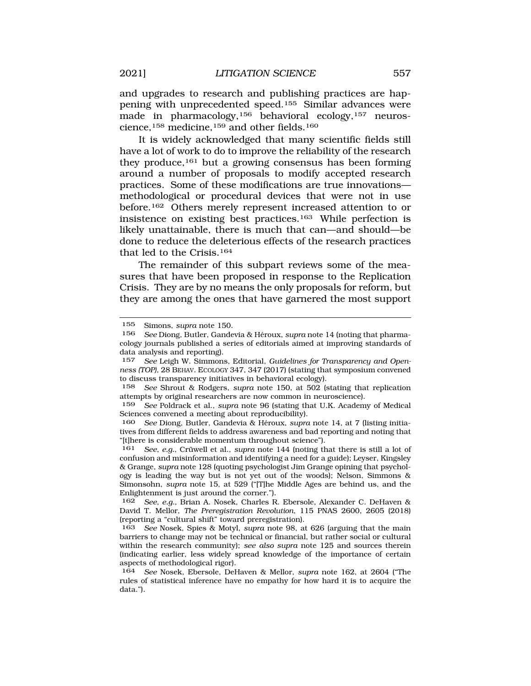and upgrades to research and publishing practices are happening with unprecedented speed.155 Similar advances were made in pharmacology,<sup>156</sup> behavioral ecology,<sup>157</sup> neuroscience,158 medicine,159 and other fields.160

It is widely acknowledged that many scientific fields still have a lot of work to do to improve the reliability of the research they produce,<sup>161</sup> but a growing consensus has been forming around a number of proposals to modify accepted research practices. Some of these modifications are true innovations methodological or procedural devices that were not in use before.162 Others merely represent increased attention to or insistence on existing best practices.163 While perfection is likely unattainable, there is much that can—and should—be done to reduce the deleterious effects of the research practices that led to the Crisis.164

The remainder of this subpart reviews some of the measures that have been proposed in response to the Replication Crisis. They are by no means the only proposals for reform, but they are among the ones that have garnered the most support

158 *See* Shrout & Rodgers, *supra* note 150, at 502 (stating that replication attempts by original researchers are now common in neuroscience).

159 *See* Poldrack et al., *supra* note 96 (stating that U.K. Academy of Medical Sciences convened a meeting about reproducibility).

160 *See* Diong, Butler, Gandevia & H´eroux, *supra* note 14, at 7 (listing initiatives from different fields to address awareness and bad reporting and noting that "[t]here is considerable momentum throughout science").

161 *See, e.g.*, Crüwell et al., *supra* note 144 (noting that there is still a lot of confusion and misinformation and identifying a need for a guide); Leyser, Kingsley & Grange, *supra* note 128 (quoting psychologist Jim Grange opining that psychology is leading the way but is not yet out of the woods); Nelson, Simmons & Simonsohn, *supra* note 15, at 529 ("[T]he Middle Ages are behind us, and the Enlightenment is just around the corner.").

162 *See, e.g.*, Brian A. Nosek, Charles R. Ebersole, Alexander C. DeHaven & David T. Mellor, *The Preregistration Revolution*, 115 PNAS 2600, 2605 (2018) (reporting a "cultural shift" toward preregistration).

163 *See* Nosek, Spies & Motyl, *supra* note 98, at 626 (arguing that the main barriers to change may not be technical or financial, but rather social or cultural within the research community); *see also supra* note 125 and sources therein (indicating earlier, less widely spread knowledge of the importance of certain aspects of methodological rigor).

<sup>155</sup> Simons, *supra* note 150.

<sup>156</sup> *See* Diong, Butler, Gandevia & H´eroux, *supra* note 14 (noting that pharmacology journals published a series of editorials aimed at improving standards of data analysis and reporting).

<sup>157</sup> *See* Leigh W. Simmons, Editorial, *Guidelines for Transparency and Openness (TOP)*, 28 BEHAV. ECOLOGY 347, 347 (2017) (stating that symposium convened to discuss transparency initiatives in behavioral ecology).

<sup>164</sup> *See* Nosek, Ebersole, DeHaven & Mellor, *supra* note 162, at 2604 ("The rules of statistical inference have no empathy for how hard it is to acquire the data.").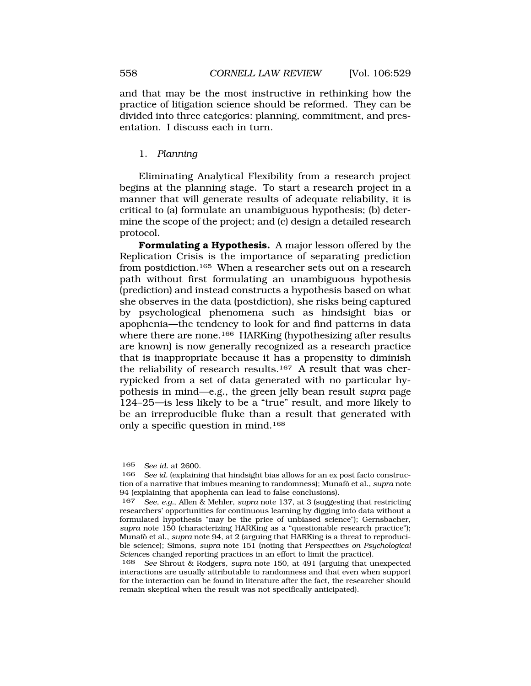and that may be the most instructive in rethinking how the practice of litigation science should be reformed. They can be divided into three categories: planning, commitment, and presentation. I discuss each in turn.

### 1. *Planning*

Eliminating Analytical Flexibility from a research project begins at the planning stage. To start a research project in a manner that will generate results of adequate reliability, it is critical to (a) formulate an unambiguous hypothesis; (b) determine the scope of the project; and (c) design a detailed research protocol.

**Formulating a Hypothesis.** A major lesson offered by the Replication Crisis is the importance of separating prediction from postdiction.165 When a researcher sets out on a research path without first formulating an unambiguous hypothesis (prediction) and instead constructs a hypothesis based on what she observes in the data (postdiction), she risks being captured by psychological phenomena such as hindsight bias or apophenia—the tendency to look for and find patterns in data where there are none.<sup>166</sup> HARKing (hypothesizing after results are known) is now generally recognized as a research practice that is inappropriate because it has a propensity to diminish the reliability of research results.167 A result that was cherrypicked from a set of data generated with no particular hypothesis in mind—e.g., the green jelly bean result *supra* page 124–25*—*is less likely to be a "true" result, and more likely to be an irreproducible fluke than a result that generated with only a specific question in mind.168

<sup>165</sup> *See id.* at 2600.

<sup>166</sup> *See id.* (explaining that hindsight bias allows for an ex post facto construction of a narrative that imbues meaning to randomness); Munafò et al., *supra* note 94 (explaining that apophenia can lead to false conclusions).

<sup>167</sup> *See, e.g.*, Allen & Mehler, *supra* note 137, at 3 (suggesting that restricting researchers' opportunities for continuous learning by digging into data without a formulated hypothesis "may be the price of unbiased science"); Gernsbacher, *supra* note 150 (characterizing HARKing as a "questionable research practice"); Munaf`o et al., *supra* note 94, at 2 (arguing that HARKing is a threat to reproducible science); Simons, *supra* note 151 (noting that *Perspectives on Psychological Science*s changed reporting practices in an effort to limit the practice).

<sup>168</sup> *See* Shrout & Rodgers, *supra* note 150, at 491 (arguing that unexpected interactions are usually attributable to randomness and that even when support for the interaction can be found in literature after the fact, the researcher should remain skeptical when the result was not specifically anticipated).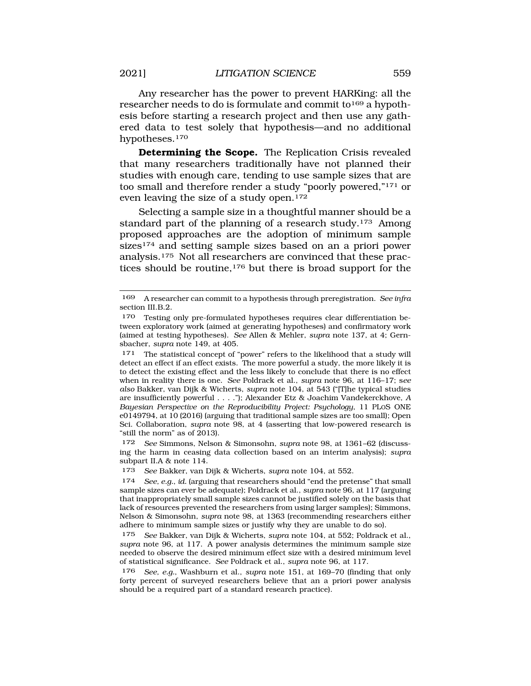Any researcher has the power to prevent HARKing: all the researcher needs to do is formulate and commit to<sup>169</sup> a hypothesis before starting a research project and then use any gathered data to test solely that hypothesis—and no additional hypotheses.170

**Determining the Scope.** The Replication Crisis revealed that many researchers traditionally have not planned their studies with enough care, tending to use sample sizes that are too small and therefore render a study "poorly powered,"171 or even leaving the size of a study open.172

Selecting a sample size in a thoughtful manner should be a standard part of the planning of a research study.173 Among proposed approaches are the adoption of minimum sample sizes<sup>174</sup> and setting sample sizes based on an a priori power analysis.175 Not all researchers are convinced that these practices should be routine,176 but there is broad support for the

172 *See* Simmons, Nelson & Simonsohn, *supra* note 98, at 1361–62 (discussing the harm in ceasing data collection based on an interim analysis); *supra*  subpart II.A & note 114.

173 *See* Bakker, van Dijk & Wicherts, *supra* note 104, at 552.

174 *See, e.g.*, *id.* (arguing that researchers should "end the pretense" that small sample sizes can ever be adequate); Poldrack et al., *supra* note 96, at 117 (arguing that inappropriately small sample sizes cannot be justified solely on the basis that lack of resources prevented the researchers from using larger samples); Simmons, Nelson & Simonsohn, *supra* note 98, at 1363 (recommending researchers either adhere to minimum sample sizes or justify why they are unable to do so).

175 *See* Bakker, van Dijk & Wicherts, *supra* note 104, at 552; Poldrack et al., *supra* note 96, at 117. A power analysis determines the minimum sample size needed to observe the desired minimum effect size with a desired minimum level of statistical significance. *See* Poldrack et al., *supra* note 96, at 117.

176 *See, e.g.*, Washburn et al., *supra* note 151, at 169–70 (finding that only forty percent of surveyed researchers believe that an a priori power analysis should be a required part of a standard research practice).

<sup>169</sup> A researcher can commit to a hypothesis through preregistration. *See infra*  section III.B.2.

<sup>170</sup> Testing only pre-formulated hypotheses requires clear differentiation between exploratory work (aimed at generating hypotheses) and confirmatory work (aimed at testing hypotheses). *See* Allen & Mehler, *supra* note 137, at 4; Gernsbacher, *supra* note 149, at 405.

<sup>171</sup> The statistical concept of "power" refers to the likelihood that a study will detect an effect if an effect exists. The more powerful a study, the more likely it is to detect the existing effect and the less likely to conclude that there is no effect when in reality there is one. *See* Poldrack et al., *supra* note 96, at 116–17; s*ee also* Bakker, van Dijk & Wicherts, *supra* note 104, at 543 ("[T]he typical studies are insufficiently powerful . . . ."); Alexander Etz & Joachim Vandekerckhove, *A Bayesian Perspective on the Reproducibility Project: Psychology*, 11 PLOS ONE e0149794, at 10 (2016) (arguing that traditional sample sizes are too small); Open Sci. Collaboration, *supra* note 98, at 4 (asserting that low-powered research is "still the norm" as of 2013).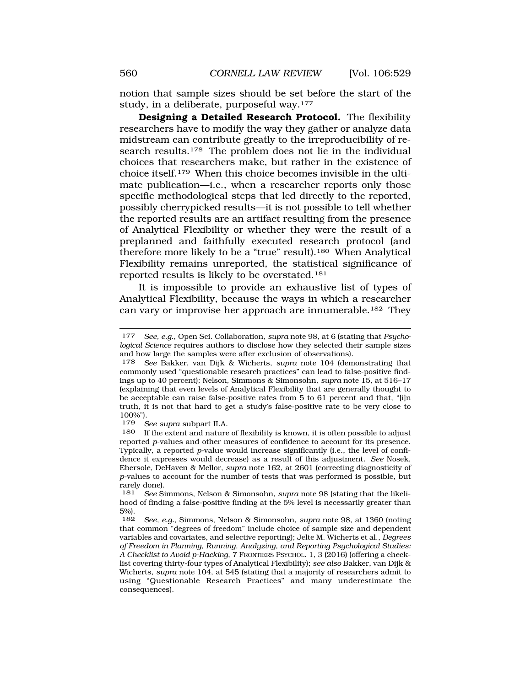notion that sample sizes should be set before the start of the study, in a deliberate, purposeful way.177

**Designing a Detailed Research Protocol.** The flexibility researchers have to modify the way they gather or analyze data midstream can contribute greatly to the irreproducibility of research results.<sup>178</sup> The problem does not lie in the individual choices that researchers make, but rather in the existence of choice itself.179 When this choice becomes invisible in the ultimate publication—i.e., when a researcher reports only those specific methodological steps that led directly to the reported, possibly cherrypicked results—it is not possible to tell whether the reported results are an artifact resulting from the presence of Analytical Flexibility or whether they were the result of a preplanned and faithfully executed research protocol (and therefore more likely to be a "true" result).180 When Analytical Flexibility remains unreported, the statistical significance of reported results is likely to be overstated.181

It is impossible to provide an exhaustive list of types of Analytical Flexibility, because the ways in which a researcher can vary or improvise her approach are innumerable.182 They

<sup>177</sup> *See, e.g.*, Open Sci. Collaboration, *supra* note 98, at 6 (stating that *Psychological Science* requires authors to disclose how they selected their sample sizes and how large the samples were after exclusion of observations).

<sup>178</sup> *See* Bakker, van Dijk & Wicherts, *supra* note 104 (demonstrating that commonly used "questionable research practices" can lead to false-positive findings up to 40 percent); Nelson, Simmons & Simonsohn, *supra* note 15, at 516–17 (explaining that even levels of Analytical Flexibility that are generally thought to be acceptable can raise false-positive rates from 5 to 61 percent and that, "[i]n truth, it is not that hard to get a study's false-positive rate to be very close to 100%").

<sup>179</sup> *See supra* subpart II.A.

<sup>180</sup> If the extent and nature of flexibility is known, it is often possible to adjust reported *p*-values and other measures of confidence to account for its presence. Typically, a reported *p*-value would increase significantly (i.e., the level of confidence it expresses would decrease) as a result of this adjustment. *See* Nosek, Ebersole, DeHaven & Mellor, *supra* note 162, at 2601 (correcting diagnosticity of *p*-values to account for the number of tests that was performed is possible, but rarely done).

<sup>181</sup> *See* Simmons, Nelson & Simonsohn, *supra* note 98 (stating that the likelihood of finding a false-positive finding at the 5% level is necessarily greater than 5%).

<sup>182</sup> *See, e.g.*, Simmons, Nelson & Simonsohn, *supra* note 98, at 1360 (noting that common "degrees of freedom" include choice of sample size and dependent variables and covariates, and selective reporting); Jelte M. Wicherts et al., *Degrees of Freedom in Planning, Running, Analyzing, and Reporting Psychological Studies: A Checklist to Avoid p-Hacking*, 7 FRONTIERS PSYCHOL. 1, 3 (2016) (offering a checklist covering thirty-four types of Analytical Flexibility); *see also* Bakker, van Dijk & Wicherts, *supra* note 104, at 545 (stating that a majority of researchers admit to using "Questionable Research Practices" and many underestimate the consequences).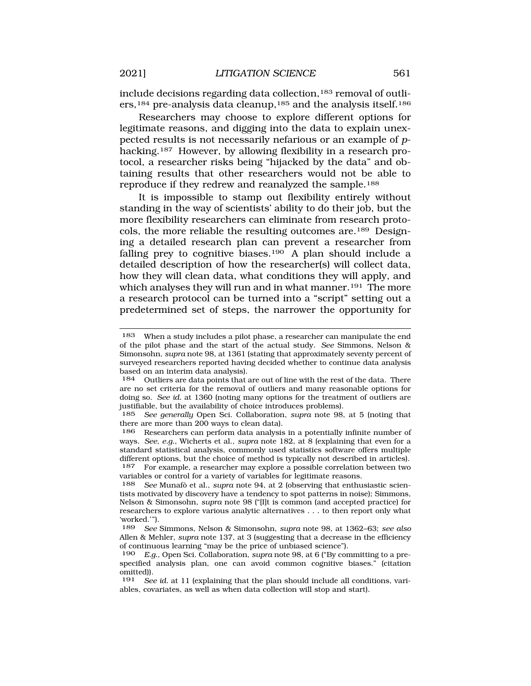include decisions regarding data collection,<sup>183</sup> removal of outliers,<sup>184</sup> pre-analysis data cleanup,<sup>185</sup> and the analysis itself.<sup>186</sup>

Researchers may choose to explore different options for legitimate reasons, and digging into the data to explain unexpected results is not necessarily nefarious or an example of *p*hacking.<sup>187</sup> However, by allowing flexibility in a research protocol, a researcher risks being "hijacked by the data" and obtaining results that other researchers would not be able to reproduce if they redrew and reanalyzed the sample.188

It is impossible to stamp out flexibility entirely without standing in the way of scientists' ability to do their job, but the more flexibility researchers can eliminate from research protocols, the more reliable the resulting outcomes are.189 Designing a detailed research plan can prevent a researcher from falling prey to cognitive biases.<sup>190</sup> A plan should include a detailed description of how the researcher(s) will collect data, how they will clean data, what conditions they will apply, and which analyses they will run and in what manner.<sup>191</sup> The more a research protocol can be turned into a "script" setting out a predetermined set of steps, the narrower the opportunity for

<sup>183</sup> When a study includes a pilot phase, a researcher can manipulate the end of the pilot phase and the start of the actual study. *See* Simmons, Nelson & Simonsohn, *supra* note 98, at 1361 (stating that approximately seventy percent of surveyed researchers reported having decided whether to continue data analysis based on an interim data analysis).

<sup>184</sup> Outliers are data points that are out of line with the rest of the data. There are no set criteria for the removal of outliers and many reasonable options for doing so. *See id.* at 1360 (noting many options for the treatment of outliers are justifiable, but the availability of choice introduces problems).

<sup>185</sup> *See generally* Open Sci. Collaboration, *supra* note 98, at 5 (noting that there are more than 200 ways to clean data).

<sup>186</sup> Researchers can perform data analysis in a potentially infinite number of ways. *See, e.g.*, Wicherts et al., *supra* note 182, at 8 (explaining that even for a standard statistical analysis, commonly used statistics software offers multiple different options, but the choice of method is typically not described in articles).

<sup>187</sup> For example, a researcher may explore a possible correlation between two variables or control for a variety of variables for legitimate reasons.

<sup>&</sup>lt;sup>188</sup> *See* Munafò et al., *supra* note 94, at 2 (observing that enthusiastic scientists motivated by discovery have a tendency to spot patterns in noise); Simmons, Nelson & Simonsohn, *supra* note 98 ("[I]t is common (and accepted practice) for researchers to explore various analytic alternatives . . . to then report only what 'worked.'").

<sup>189</sup> *See* Simmons, Nelson & Simonsohn, *supra* note 98, at 1362–63; *see also*  Allen & Mehler, *supra* note 137, at 3 (suggesting that a decrease in the efficiency of continuous learning "may be the price of unbiased science").

<sup>190</sup> *E.g.*, Open Sci. Collaboration, *supra* note 98, at 6 ("By committing to a prespecified analysis plan, one can avoid common cognitive biases." (citation omitted)).<br> $191 \text{ Sea}$ 

See id. at 11 (explaining that the plan should include all conditions, variables, covariates, as well as when data collection will stop and start).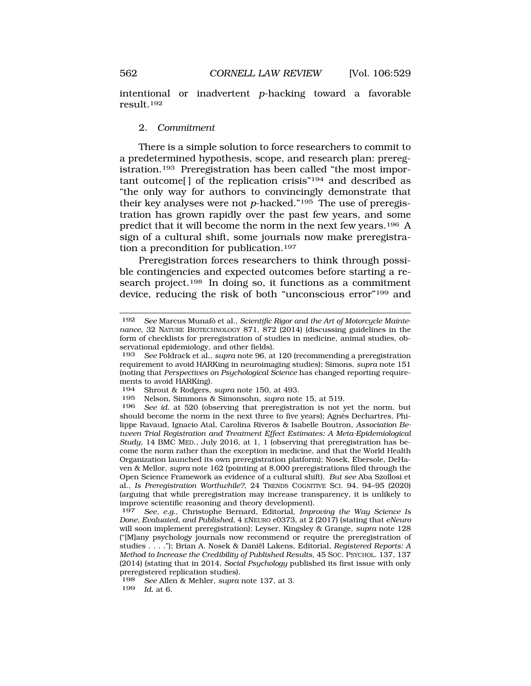intentional or inadvertent *p*-hacking toward a favorable result.192

## 2. *Commitment*

There is a simple solution to force researchers to commit to a predetermined hypothesis, scope, and research plan: preregistration.193 Preregistration has been called "the most important outcome[ ] of the replication crisis"194 and described as "the only way for authors to convincingly demonstrate that their key analyses were not *p*-hacked."195 The use of preregistration has grown rapidly over the past few years, and some predict that it will become the norm in the next few years.196 A sign of a cultural shift, some journals now make preregistration a precondition for publication.197

Preregistration forces researchers to think through possible contingencies and expected outcomes before starting a research project.<sup>198</sup> In doing so, it functions as a commitment device, reducing the risk of both "unconscious error"199 and

198 *See* Allen & Mehler, *supra* note 137, at 3. *Id.* at 6.

<sup>192</sup> See Marcus Munafò et al., Scientific Rigor and the Art of Motorcycle Mainte*nance*, 32 NATURE BIOTECHNOLOGY 871, 872 (2014) (discussing guidelines in the form of checklists for preregistration of studies in medicine, animal studies, observational epidemiology, and other fields).

<sup>193</sup> *See* Poldrack et al., *supra* note 96, at 120 (recommending a preregistration requirement to avoid HARKing in neuroimaging studies); Simons, *supra* note 151 (noting that *Perspectives on Psychological Science* has changed reporting requirements to avoid HARKing).<br>194 Shrout & Rodgers

<sup>194</sup> Shrout & Rodgers, *supra* note 150, at 493.

<sup>195</sup> Nelson, Simmons & Simonsohn, *supra* note 15, at 519.

See id. at 520 (observing that preregistration is not yet the norm, but should become the norm in the next three to five years); Agnès Dechartres, Philippe Ravaud, Ignacio Atal, Carolina Riveros & Isabelle Boutron, *Association Between Trial Registration and Treatment Effect Estimates: A Meta-Epidemiological Study*, 14 BMC MED., July 2016, at 1, 1 (observing that preregistration has become the norm rather than the exception in medicine, and that the World Health Organization launched its own preregistration platform); Nosek, Ebersole, DeHaven & Mellor, *supra* note 162 (pointing at 8,000 preregistrations filed through the Open Science Framework as evidence of a cultural shift). *But see* Aba Szollosi et al., *Is Preregistration Worthwhile?*, 24 TRENDS COGNITIVE SCI. 94, 94–95 (2020) (arguing that while preregistration may increase transparency, it is unlikely to improve scientific reasoning and theory development).

<sup>197</sup> *See, e.g.*, Christophe Bernard, Editorial, *Improving the Way Science Is Done, Evaluated, and Published*, 4 ENEURO e0373, at 2 (2017) (stating that *eNeuro*  will soon implement preregistration); Leyser, Kingsley & Grange, *supra* note 128 ("[M]any psychology journals now recommend or require the preregistration of studies . . . ."); Brian A. Nosek & Daniël Lakens, Editorial, *Registered Reports: A Method to Increase the Credibility of Published Results*, 45 SOC. PSYCHOL. 137, 137 (2014) (stating that in 2014, *Social Psychology* published its first issue with only preregistered replication studies).<br>198 See Allen & Mebler supra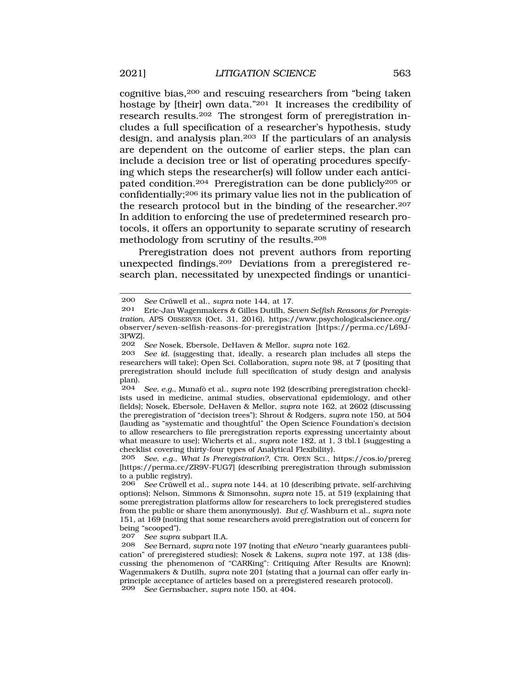cognitive bias,200 and rescuing researchers from "being taken hostage by [their] own data."201 It increases the credibility of research results.202 The strongest form of preregistration includes a full specification of a researcher's hypothesis, study design, and analysis plan.203 If the particulars of an analysis are dependent on the outcome of earlier steps, the plan can include a decision tree or list of operating procedures specifying which steps the researcher(s) will follow under each anticipated condition.204 Preregistration can be done publicly205 or confidentially;206 its primary value lies not in the publication of the research protocol but in the binding of the researcher.<sup>207</sup> In addition to enforcing the use of predetermined research protocols, it offers an opportunity to separate scrutiny of research methodology from scrutiny of the results.208

Preregistration does not prevent authors from reporting unexpected findings.209 Deviations from a preregistered research plan, necessitated by unexpected findings or unantici-

207 *See supra* subpart II.A.

<sup>200</sup> *See* Crüwell et al., *supra* note 144, at 17.<br>201 Fric-Jan Wagenmakers & Gilles Dutilh Se

<sup>201</sup> Eric-Jan Wagenmakers & Gilles Dutilh, *Seven Selfish Reasons for Preregistration*, APS OBSERVER (Oct. 31, 2016), [https://www.psychologicalscience.org/](https://www.psychologicalscience.org) observer/seven-selfish-reasons-for-preregistration [<https://perma.cc/L69J>-3PWZ].

<sup>202</sup> *See* Nosek, Ebersole, DeHaven & Mellor, *supra* note 162.

See id. (suggesting that, ideally, a research plan includes all steps the researchers will take); Open Sci. Collaboration, *supra* note 98, at 7 (positing that preregistration should include full specification of study design and analysis plan).

See, e.g., Munafò et al., *supra* note 192 (describing preregistration checklists used in medicine, animal studies, observational epidemiology, and other fields); Nosek, Ebersole, DeHaven & Mellor, *supra* note 162, at 2602 (discussing the preregistration of "decision trees"); Shrout & Rodgers, *supra* note 150, at 504 (lauding as "systematic and thoughtful" the Open Science Foundation's decision to allow researchers to file preregistration reports expressing uncertainty about what measure to use); Wicherts et al., *supra* note 182, at 1, 3 tbl.1 (suggesting a checklist covering thirty-four types of Analytical Flexibility).

<sup>205</sup> *See, e.g.*, *What Is Preregistration?*, CTR. OPEN SCI., <https://cos.io/prereg> [[https://perma.cc/ZR9V-FUG7\]](https://perma.cc/ZR9V-FUG7) (describing preregistration through submission to a public registry).

<sup>206</sup> *See* Crüwell et al., *supra* note 144, at 10 (describing private, self-archiving options); Nelson, Simmons & Simonsohn, *supra* note 15, at 519 (explaining that some preregistration platforms allow for researchers to lock preregistered studies from the public or share them anonymously). *But cf.* Washburn et al., *supra* note 151, at 169 (noting that some researchers avoid preregistration out of concern for being "scooped").

<sup>208</sup> *See* Bernard, *supra* note 197 (noting that *eNeuro* "nearly guarantees publication" of preregistered studies); Nosek & Lakens, *supra* note 197, at 138 (discussing the phenomenon of "CARKing": Critiquing After Results are Known); Wagenmakers & Dutilh, *supra* note 201 (stating that a journal can offer early inprinciple acceptance of articles based on a preregistered research protocol). 209 *See* Gernsbacher, *supra* note 150, at 404.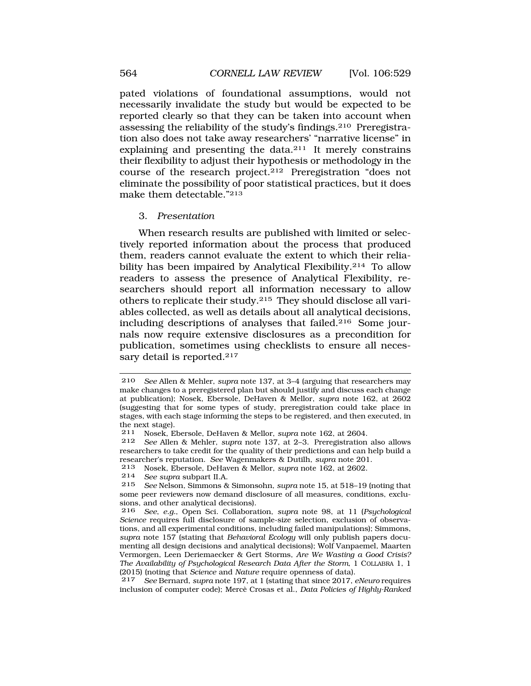pated violations of foundational assumptions, would not necessarily invalidate the study but would be expected to be reported clearly so that they can be taken into account when assessing the reliability of the study's findings.210 Preregistration also does not take away researchers' "narrative license" in explaining and presenting the data.211 It merely constrains their flexibility to adjust their hypothesis or methodology in the course of the research project.212 Preregistration "does not eliminate the possibility of poor statistical practices, but it does make them detectable."213

#### 3. *Presentation*

When research results are published with limited or selectively reported information about the process that produced them, readers cannot evaluate the extent to which their reliability has been impaired by Analytical Flexibility.<sup>214</sup> To allow readers to assess the presence of Analytical Flexibility, researchers should report all information necessary to allow others to replicate their study.215 They should disclose all variables collected, as well as details about all analytical decisions, including descriptions of analyses that failed.216 Some journals now require extensive disclosures as a precondition for publication, sometimes using checklists to ensure all necessary detail is reported.<sup>217</sup>

214 *See supra* subpart II.A.

217 *See* Bernard, *supra* note 197, at 1 (stating that since 2017, *eNeuro* requires inclusion of computer code); Mercè Crosas et al., *Data Policies of Highly-Ranked* 

<sup>210</sup> *See* Allen & Mehler, *supra* note 137, at 3–4 (arguing that researchers may make changes to a preregistered plan but should justify and discuss each change at publication); Nosek, Ebersole, DeHaven & Mellor, *supra* note 162, at 2602 (suggesting that for some types of study, preregistration could take place in stages, with each stage informing the steps to be registered, and then executed, in the next stage).<br> $211$  Nosek E

<sup>211</sup> Nosek, Ebersole, DeHaven & Mellor, *supra* note 162, at 2604.

<sup>212</sup> *See* Allen & Mehler, *supra* note 137, at 2–3. Preregistration also allows researchers to take credit for the quality of their predictions and can help build a researcher's reputation. *See* Wagenmakers & Dutilh, *supra* note 201.

<sup>213</sup> Nosek, Ebersole, DeHaven & Mellor, *supra* note 162, at 2602.

<sup>215</sup> *See* Nelson, Simmons & Simonsohn, *supra* note 15, at 518–19 (noting that some peer reviewers now demand disclosure of all measures, conditions, exclusions, and other analytical decisions).

<sup>216</sup> *See*, *e.g.*, Open Sci. Collaboration, *supra* note 98, at 11 (*Psychological Science* requires full disclosure of sample-size selection, exclusion of observations, and all experimental conditions, including failed manipulations); Simmons, *supra* note 157 (stating that *Behavioral Ecology* will only publish papers documenting all design decisions and analytical decisions); Wolf Vanpaemel, Maarten Vermorgen, Leen Deriemaecker & Gert Storms, *Are We Wasting a Good Crisis? The Availability of Psychological Research Data After the Storm*, 1 COLLABRA 1, 1 (2015) (noting that *Science* and *Nature* require openness of data).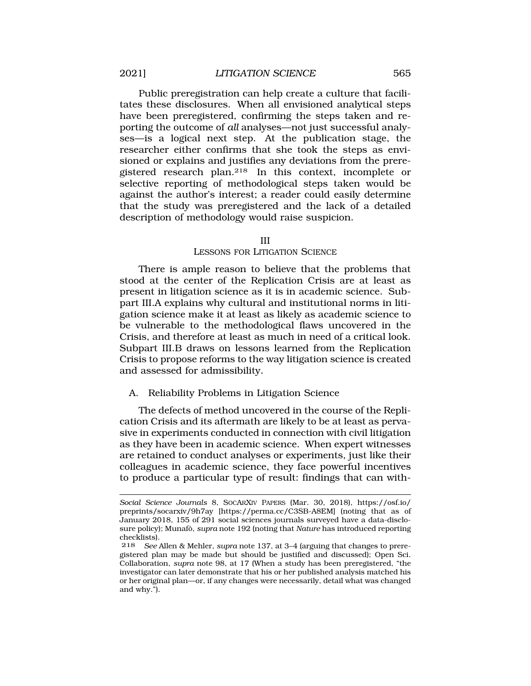Public preregistration can help create a culture that facilitates these disclosures. When all envisioned analytical steps have been preregistered, confirming the steps taken and reporting the outcome of *all* analyses—not just successful analyses—is a logical next step. At the publication stage, the researcher either confirms that she took the steps as envisioned or explains and justifies any deviations from the preregistered research plan.218 In this context, incomplete or selective reporting of methodological steps taken would be against the author's interest; a reader could easily determine that the study was preregistered and the lack of a detailed description of methodology would raise suspicion.

#### III

#### LESSONS FOR LITIGATION SCIENCE

There is ample reason to believe that the problems that stood at the center of the Replication Crisis are at least as present in litigation science as it is in academic science. Subpart III.A explains why cultural and institutional norms in litigation science make it at least as likely as academic science to be vulnerable to the methodological flaws uncovered in the Crisis, and therefore at least as much in need of a critical look. Subpart III.B draws on lessons learned from the Replication Crisis to propose reforms to the way litigation science is created and assessed for admissibility.

## A. Reliability Problems in Litigation Science

The defects of method uncovered in the course of the Replication Crisis and its aftermath are likely to be at least as pervasive in experiments conducted in connection with civil litigation as they have been in academic science. When expert witnesses are retained to conduct analyses or experiments, just like their colleagues in academic science, they face powerful incentives to produce a particular type of result: findings that can with-

*Social Science Journals* 8, SOCARXIV PAPERS (Mar. 30, 2018), [https://osf.io/](https://osf.io) preprints/socarxiv/9h7ay [<https://perma.cc/C3SB-A8EM>] (noting that as of January 2018, 155 of 291 social sciences journals surveyed have a data-disclosure policy); Munafò, *supra* note 192 (noting that *Nature* has introduced reporting checklists).

<sup>218</sup> *See* Allen & Mehler, *supra* note 137, at 3–4 (arguing that changes to preregistered plan may be made but should be justified and discussed); Open Sci. Collaboration, *supra* note 98, at 17 (When a study has been preregistered, "the investigator can later demonstrate that his or her published analysis matched his or her original plan—or, if any changes were necessarily, detail what was changed and why.").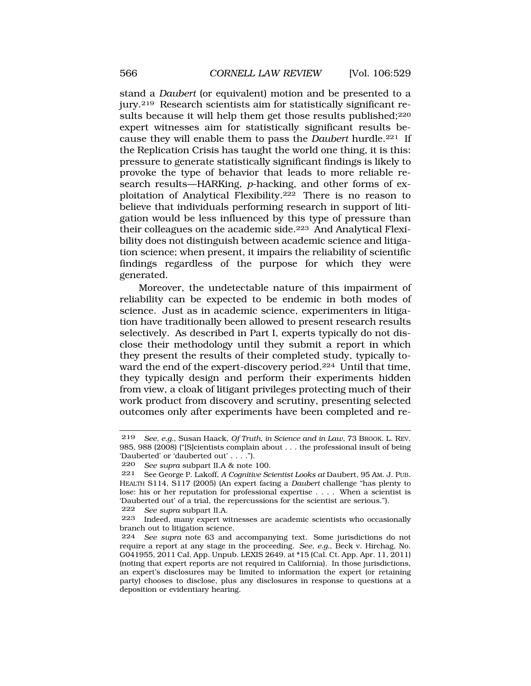stand a *Daubert* (or equivalent) motion and be presented to a jury.219 Research scientists aim for statistically significant results because it will help them get those results published;<sup>220</sup> expert witnesses aim for statistically significant results because they will enable them to pass the *Daubert* hurdle.221 If the Replication Crisis has taught the world one thing, it is this: pressure to generate statistically significant findings is likely to provoke the type of behavior that leads to more reliable research results—HARKing, *p*-hacking, and other forms of exploitation of Analytical Flexibility.222 There is no reason to believe that individuals performing research in support of litigation would be less influenced by this type of pressure than their colleagues on the academic side.223 And Analytical Flexibility does not distinguish between academic science and litigation science; when present, it impairs the reliability of scientific findings regardless of the purpose for which they were generated.

Moreover, the undetectable nature of this impairment of reliability can be expected to be endemic in both modes of science. Just as in academic science, experimenters in litigation have traditionally been allowed to present research results selectively. As described in Part I, experts typically do not disclose their methodology until they submit a report in which they present the results of their completed study, typically toward the end of the expert-discovery period.224 Until that time, they typically design and perform their experiments hidden from view, a cloak of litigant privileges protecting much of their work product from discovery and scrutiny, presenting selected outcomes only after experiments have been completed and re-

222 *See supra* subpart II.A.

<sup>219</sup> *See, e.g.*, Susan Haack, *Of Truth, in Science and in Law*, 73 BROOK. L. REV. 985, 988 (2008) ("[S]cientists complain about . . . the professional insult of being 'Dauberted' or 'dauberted out' . . . .").

<sup>220</sup> *See supra* subpart II.A & note 100.

<sup>221</sup> See George P. Lakoff, *A Cognitive Scientist Looks at* Daubert, 95 AM. J. PUB. HEALTH S114, S117 (2005) (An expert facing a *Daubert* challenge "has plenty to lose: his or her reputation for professional expertise . . . . When a scientist is 'Dauberted out' of a trial, the repercussions for the scientist are serious.").

<sup>223</sup> Indeed, many expert witnesses are academic scientists who occasionally branch out to litigation science.

<sup>224</sup> *See supra* note 63 and accompanying text. Some jurisdictions do not require a report at any stage in the proceeding. *See, e.g.*, Beck v. Hirchag, No. G041955, 2011 Cal. App. Unpub. LEXIS 2649, at \*15 (Cal. Ct. App. Apr. 11, 2011) (noting that expert reports are not required in California). In those jurisdictions, an expert's disclosures may be limited to information the expert (or retaining party) chooses to disclose, plus any disclosures in response to questions at a deposition or evidentiary hearing.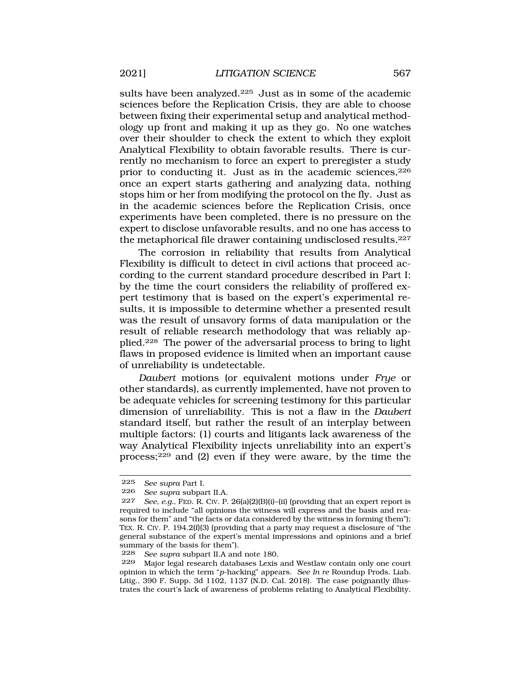sults have been analyzed.<sup>225</sup> Just as in some of the academic sciences before the Replication Crisis, they are able to choose between fixing their experimental setup and analytical methodology up front and making it up as they go. No one watches over their shoulder to check the extent to which they exploit Analytical Flexibility to obtain favorable results. There is currently no mechanism to force an expert to preregister a study prior to conducting it. Just as in the academic sciences,  $226$ once an expert starts gathering and analyzing data, nothing stops him or her from modifying the protocol on the fly. Just as in the academic sciences before the Replication Crisis, once experiments have been completed, there is no pressure on the expert to disclose unfavorable results, and no one has access to the metaphorical file drawer containing undisclosed results.227

The corrosion in reliability that results from Analytical Flexibility is difficult to detect in civil actions that proceed according to the current standard procedure described in Part I: by the time the court considers the reliability of proffered expert testimony that is based on the expert's experimental results, it is impossible to determine whether a presented result was the result of unsavory forms of data manipulation or the result of reliable research methodology that was reliably applied.228 The power of the adversarial process to bring to light flaws in proposed evidence is limited when an important cause of unreliability is undetectable.

*Daubert* motions (or equivalent motions under *Frye* or other standards), as currently implemented, have not proven to be adequate vehicles for screening testimony for this particular dimension of unreliability. This is not a flaw in the *Daubert*  standard itself, but rather the result of an interplay between multiple factors: (1) courts and litigants lack awareness of the way Analytical Flexibility injects unreliability into an expert's process;229 and (2) even if they were aware, by the time the

<sup>225</sup> *See supra* Part I.

<sup>226</sup> *See supra* subpart II.A.

<sup>227</sup> *See, e.g.*, FED. R. CIV. P. 26(a)(2)(B)(i)–(ii) (providing that an expert report is required to include "all opinions the witness will express and the basis and reasons for them" and "the facts or data considered by the witness in forming them"); TEX. R. CIV. P. 194.2(f)(3) (providing that a party may request a disclosure of "the general substance of the expert's mental impressions and opinions and a brief summary of the basis for them").

<sup>228</sup> *See supra* subpart II.A and note 180.

<sup>229</sup> Major legal research databases Lexis and Westlaw contain only one court opinion in which the term "*p*-hacking" appears. *See In re* Roundup Prods. Liab. Litig., 390 F. Supp. 3d 1102, 1137 (N.D. Cal. 2018). The case poignantly illustrates the court's lack of awareness of problems relating to Analytical Flexibility.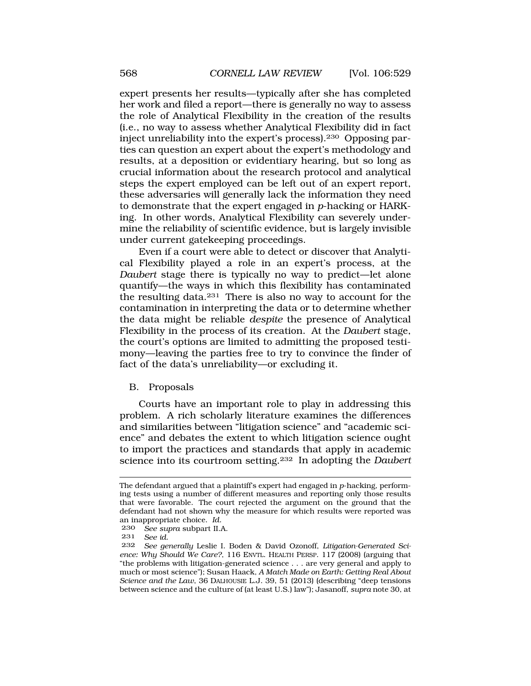expert presents her results—typically after she has completed her work and filed a report—there is generally no way to assess the role of Analytical Flexibility in the creation of the results (i.e., no way to assess whether Analytical Flexibility did in fact inject unreliability into the expert's process).230 Opposing parties can question an expert about the expert's methodology and results, at a deposition or evidentiary hearing, but so long as crucial information about the research protocol and analytical steps the expert employed can be left out of an expert report, these adversaries will generally lack the information they need to demonstrate that the expert engaged in *p*-hacking or HARKing. In other words, Analytical Flexibility can severely undermine the reliability of scientific evidence, but is largely invisible under current gatekeeping proceedings.

Even if a court were able to detect or discover that Analytical Flexibility played a role in an expert's process, at the *Daubert* stage there is typically no way to predict—let alone quantify—the ways in which this flexibility has contaminated the resulting data.231 There is also no way to account for the contamination in interpreting the data or to determine whether the data might be reliable *despite* the presence of Analytical Flexibility in the process of its creation. At the *Daubert* stage, the court's options are limited to admitting the proposed testimony—leaving the parties free to try to convince the finder of fact of the data's unreliability—or excluding it.

#### B. Proposals

Courts have an important role to play in addressing this problem. A rich scholarly literature examines the differences and similarities between "litigation science" and "academic science" and debates the extent to which litigation science ought to import the practices and standards that apply in academic science into its courtroom setting.232 In adopting the *Daubert* 

The defendant argued that a plaintiff's expert had engaged in *p*-hacking, performing tests using a number of different measures and reporting only those results that were favorable. The court rejected the argument on the ground that the defendant had not shown why the measure for which results were reported was an inappropriate choice. *Id.* 

<sup>230</sup> *See supra* subpart II.A.

See *id.* 

<sup>232</sup> *See generally* Leslie I. Boden & David Ozonoff, *Litigation-Generated Science: Why Should We Care?*, 116 ENVTL. HEALTH PERSP. 117 (2008) (arguing that "the problems with litigation-generated science . . . are very general and apply to much or most science"); Susan Haack, *A Match Made on Earth: Getting Real About Science and the Law*, 36 DALHOUSIE L.J. 39, 51 (2013) (describing "deep tensions between science and the culture of (at least U.S.) law"); Jasanoff, *supra* note 30, at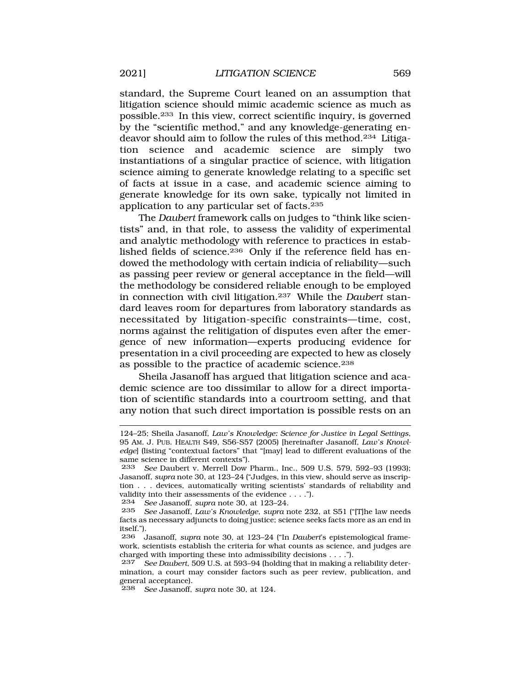standard, the Supreme Court leaned on an assumption that litigation science should mimic academic science as much as possible.233 In this view, correct scientific inquiry, is governed by the "scientific method," and any knowledge-generating endeavor should aim to follow the rules of this method.234 Litigation science and academic science are simply two instantiations of a singular practice of science, with litigation science aiming to generate knowledge relating to a specific set of facts at issue in a case, and academic science aiming to generate knowledge for its own sake, typically not limited in application to any particular set of facts.235

The *Daubert* framework calls on judges to "think like scientists" and, in that role, to assess the validity of experimental and analytic methodology with reference to practices in established fields of science.236 Only if the reference field has endowed the methodology with certain indicia of reliability—such as passing peer review or general acceptance in the field—will the methodology be considered reliable enough to be employed in connection with civil litigation.237 While the *Daubert* standard leaves room for departures from laboratory standards as necessitated by litigation-specific constraints—time, cost, norms against the relitigation of disputes even after the emergence of new information—experts producing evidence for presentation in a civil proceeding are expected to hew as closely as possible to the practice of academic science.238

Sheila Jasanoff has argued that litigation science and academic science are too dissimilar to allow for a direct importation of scientific standards into a courtroom setting, and that any notion that such direct importation is possible rests on an

234 *See* Jasanoff, *supra* note 30, at 123–24.

238 *See* Jasanoff, *supra* note 30, at 124.

<sup>124–25;</sup> Sheila Jasanoff, *Law's Knowledge: Science for Justice in Legal Settings*, 95 AM. J. PUB. HEALTH S49, S56-S57 (2005) [hereinafter Jasanoff, *Law's Knowledge*] (listing "contextual factors" that "[may] lead to different evaluations of the same science in different contexts").<br>233 See Daubert v. Merrell Dow

See Daubert v. Merrell Dow Pharm., Inc., 509 U.S. 579, 592-93 (1993); Jasanoff, *supra* note 30, at 123–24 ("Judges, in this view, should serve as inscription . . . devices, automatically writing scientists' standards of reliability and validity into their assessments of the evidence  $\dots$ .").<br>234 See Jasanoff supra note 30 at 123-24

<sup>235</sup> *See* Jasanoff, *Law's Knowledge*, *supra* note 232, at S51 ("[T]he law needs facts as necessary adjuncts to doing justice; science seeks facts more as an end in itself.").<br>236 .1

<sup>236</sup> Jasanoff, *supra* note 30, at 123–24 ("In *Daubert*'s epistemological framework, scientists establish the criteria for what counts as science, and judges are charged with importing these into admissibility decisions . . . .").

<sup>237</sup> *See Daubert*, 509 U.S. at 593–94 (holding that in making a reliability determination, a court may consider factors such as peer review, publication, and general acceptance).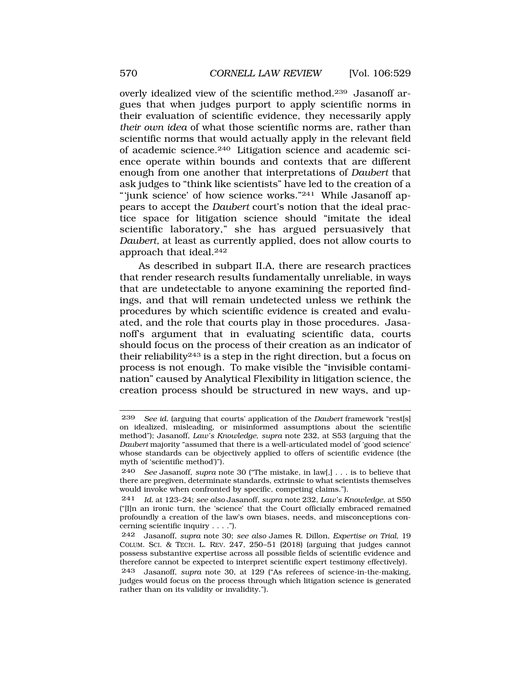overly idealized view of the scientific method.239 Jasanoff argues that when judges purport to apply scientific norms in their evaluation of scientific evidence, they necessarily apply *their own idea* of what those scientific norms are, rather than scientific norms that would actually apply in the relevant field of academic science.240 Litigation science and academic science operate within bounds and contexts that are different enough from one another that interpretations of *Daubert* that ask judges to "think like scientists" have led to the creation of a "'junk science' of how science works."241 While Jasanoff appears to accept the *Daubert* court's notion that the ideal practice space for litigation science should "imitate the ideal scientific laboratory," she has argued persuasively that *Daubert,* at least as currently applied, does not allow courts to approach that ideal.242

As described in subpart II.A, there are research practices that render research results fundamentally unreliable, in ways that are undetectable to anyone examining the reported findings, and that will remain undetected unless we rethink the procedures by which scientific evidence is created and evaluated, and the role that courts play in those procedures. Jasanoff's argument that in evaluating scientific data, courts should focus on the process of their creation as an indicator of their reliability243 is a step in the right direction, but a focus on process is not enough. To make visible the "invisible contamination" caused by Analytical Flexibility in litigation science, the creation process should be structured in new ways, and up-

<sup>239</sup> *See id.* (arguing that courts' application of the *Daubert* framework "rest[s] on idealized, misleading, or misinformed assumptions about the scientific method"); Jasanoff, *Law's Knowledge*, *supra* note 232, at S53 (arguing that the *Daubert* majority "assumed that there is a well-articulated model of 'good science' whose standards can be objectively applied to offers of scientific evidence (the myth of 'scientific method')").

<sup>240</sup> *See* Jasanoff, *supra* note 30 ("The mistake, in law[,] . . . is to believe that there are pregiven, determinate standards, extrinsic to what scientists themselves would invoke when confronted by specific, competing claims.").

<sup>241</sup> *Id.* at 123–24; *see also* Jasanoff, *supra* note 232, *Law's Knowledge*, at S50 ("[I]n an ironic turn, the 'science' that the Court officially embraced remained profoundly a creation of the law's own biases, needs, and misconceptions concerning scientific inquiry . . . .").

<sup>242</sup> Jasanoff, *supra* note 30; *see also* James R. Dillon, *Expertise on Trial*, 19 COLUM. SCI. & TECH. L. REV. 247, 250–51 (2018) (arguing that judges cannot possess substantive expertise across all possible fields of scientific evidence and therefore cannot be expected to interpret scientific expert testimony effectively).

<sup>243</sup> Jasanoff, *supra* note 30, at 129 ("As referees of science-in-the-making, judges would focus on the process through which litigation science is generated rather than on its validity or invalidity.").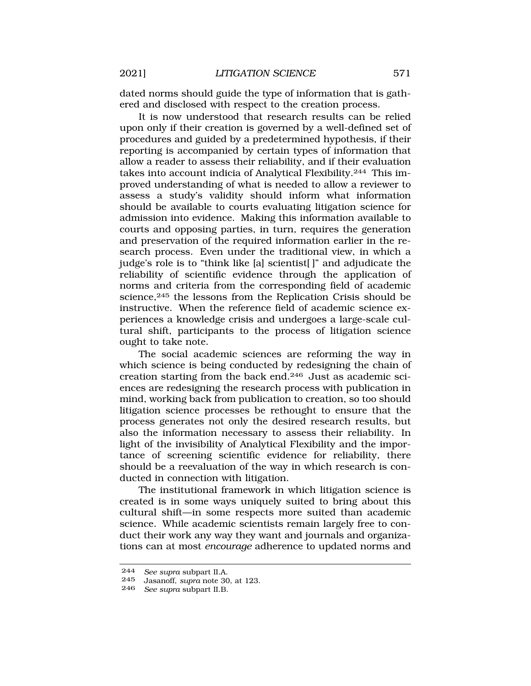dated norms should guide the type of information that is gathered and disclosed with respect to the creation process.

It is now understood that research results can be relied upon only if their creation is governed by a well-defined set of procedures and guided by a predetermined hypothesis, if their reporting is accompanied by certain types of information that allow a reader to assess their reliability, and if their evaluation takes into account indicia of Analytical Flexibility.244 This improved understanding of what is needed to allow a reviewer to assess a study's validity should inform what information should be available to courts evaluating litigation science for admission into evidence. Making this information available to courts and opposing parties, in turn, requires the generation and preservation of the required information earlier in the research process. Even under the traditional view, in which a judge's role is to "think like [a] scientist[ ]" and adjudicate the reliability of scientific evidence through the application of norms and criteria from the corresponding field of academic science,<sup>245</sup> the lessons from the Replication Crisis should be instructive. When the reference field of academic science experiences a knowledge crisis and undergoes a large-scale cultural shift, participants to the process of litigation science ought to take note.

The social academic sciences are reforming the way in which science is being conducted by redesigning the chain of creation starting from the back end.246 Just as academic sciences are redesigning the research process with publication in mind, working back from publication to creation, so too should litigation science processes be rethought to ensure that the process generates not only the desired research results, but also the information necessary to assess their reliability. In light of the invisibility of Analytical Flexibility and the importance of screening scientific evidence for reliability, there should be a reevaluation of the way in which research is conducted in connection with litigation.

The institutional framework in which litigation science is created is in some ways uniquely suited to bring about this cultural shift—in some respects more suited than academic science. While academic scientists remain largely free to conduct their work any way they want and journals and organizations can at most *encourage* adherence to updated norms and

<sup>244</sup> *See supra* subpart II.A.

<sup>245</sup> Jasanoff, *supra* note 30, at 123.

<sup>246</sup> *See supra* subpart II.B.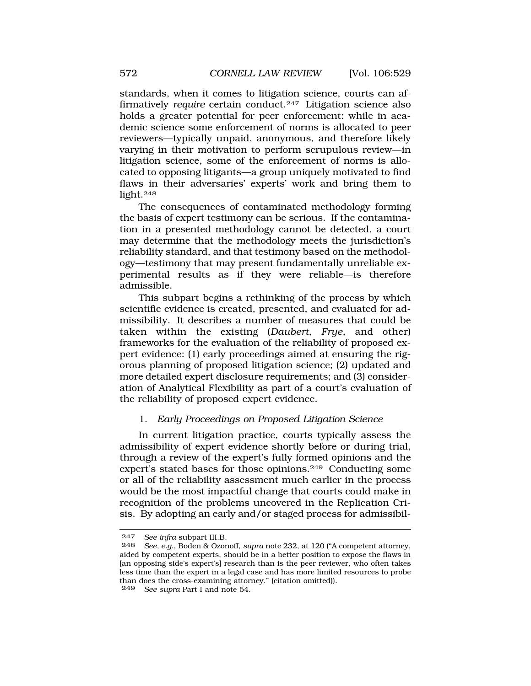standards, when it comes to litigation science, courts can affirmatively *require* certain conduct.247 Litigation science also holds a greater potential for peer enforcement: while in academic science some enforcement of norms is allocated to peer reviewers—typically unpaid, anonymous, and therefore likely varying in their motivation to perform scrupulous review—in litigation science, some of the enforcement of norms is allocated to opposing litigants—a group uniquely motivated to find flaws in their adversaries' experts' work and bring them to light.248

The consequences of contaminated methodology forming the basis of expert testimony can be serious. If the contamination in a presented methodology cannot be detected, a court may determine that the methodology meets the jurisdiction's reliability standard, and that testimony based on the methodology—testimony that may present fundamentally unreliable experimental results as if they were reliable—is therefore admissible.

This subpart begins a rethinking of the process by which scientific evidence is created, presented, and evaluated for admissibility. It describes a number of measures that could be taken within the existing (*Daubert*, *Frye*, and other) frameworks for the evaluation of the reliability of proposed expert evidence: (1) early proceedings aimed at ensuring the rigorous planning of proposed litigation science; (2) updated and more detailed expert disclosure requirements; and (3) consideration of Analytical Flexibility as part of a court's evaluation of the reliability of proposed expert evidence.

## 1. *Early Proceedings on Proposed Litigation Science*

In current litigation practice, courts typically assess the admissibility of expert evidence shortly before or during trial, through a review of the expert's fully formed opinions and the expert's stated bases for those opinions.249 Conducting some or all of the reliability assessment much earlier in the process would be the most impactful change that courts could make in recognition of the problems uncovered in the Replication Crisis. By adopting an early and/or staged process for admissibil-

249 *See supra* Part I and note 54.

<sup>247</sup> *See infra* subpart III.B.

<sup>248</sup> *See, e.g.*, Boden & Ozonoff, *supra* note 232, at 120 ("A competent attorney, aided by competent experts, should be in a better position to expose the flaws in [an opposing side's expert's] research than is the peer reviewer, who often takes less time than the expert in a legal case and has more limited resources to probe than does the cross-examining attorney." (citation omitted)).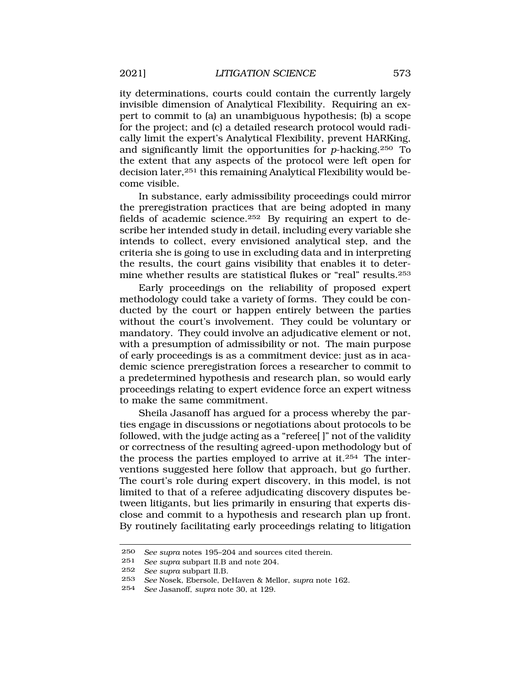ity determinations, courts could contain the currently largely invisible dimension of Analytical Flexibility. Requiring an expert to commit to (a) an unambiguous hypothesis; (b) a scope for the project; and (c) a detailed research protocol would radically limit the expert's Analytical Flexibility, prevent HARKing, and significantly limit the opportunities for *p*-hacking.250 To the extent that any aspects of the protocol were left open for decision later,251 this remaining Analytical Flexibility would become visible.

In substance, early admissibility proceedings could mirror the preregistration practices that are being adopted in many fields of academic science.252 By requiring an expert to describe her intended study in detail, including every variable she intends to collect, every envisioned analytical step, and the criteria she is going to use in excluding data and in interpreting the results, the court gains visibility that enables it to determine whether results are statistical flukes or "real" results.253

Early proceedings on the reliability of proposed expert methodology could take a variety of forms. They could be conducted by the court or happen entirely between the parties without the court's involvement. They could be voluntary or mandatory. They could involve an adjudicative element or not, with a presumption of admissibility or not. The main purpose of early proceedings is as a commitment device: just as in academic science preregistration forces a researcher to commit to a predetermined hypothesis and research plan, so would early proceedings relating to expert evidence force an expert witness to make the same commitment.

Sheila Jasanoff has argued for a process whereby the parties engage in discussions or negotiations about protocols to be followed, with the judge acting as a "referee[ ]" not of the validity or correctness of the resulting agreed-upon methodology but of the process the parties employed to arrive at it.254 The interventions suggested here follow that approach, but go further. The court's role during expert discovery, in this model, is not limited to that of a referee adjudicating discovery disputes between litigants, but lies primarily in ensuring that experts disclose and commit to a hypothesis and research plan up front. By routinely facilitating early proceedings relating to litigation

<sup>250</sup> *See supra* notes 195–204 and sources cited therein.<br>251 *See supra support* II B and note 204

<sup>251</sup> *See supra* subpart II.B and note 204.

<sup>252</sup> *See supra* subpart II.B.

<sup>253</sup> *See* Nosek, Ebersole, DeHaven & Mellor, *supra* note 162.

<sup>254</sup> *See* Jasanoff, *supra* note 30, at 129.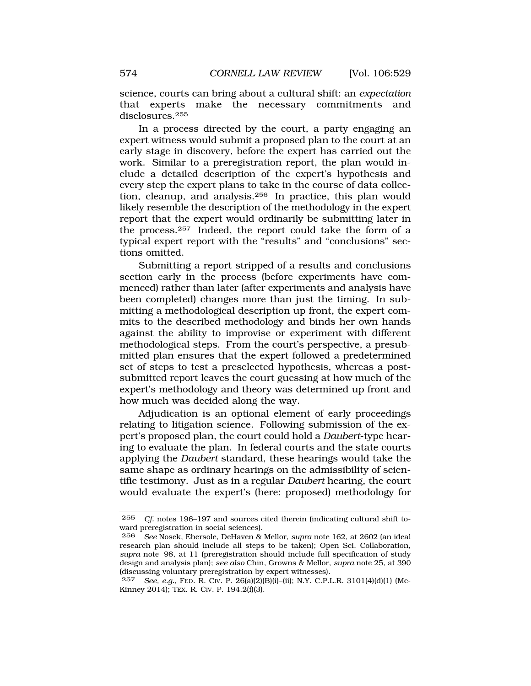science, courts can bring about a cultural shift: an *expectation*  that experts make the necessary commitments and disclosures.255

In a process directed by the court, a party engaging an expert witness would submit a proposed plan to the court at an early stage in discovery, before the expert has carried out the work. Similar to a preregistration report, the plan would include a detailed description of the expert's hypothesis and every step the expert plans to take in the course of data collection, cleanup, and analysis.256 In practice, this plan would likely resemble the description of the methodology in the expert report that the expert would ordinarily be submitting later in the process.257 Indeed, the report could take the form of a typical expert report with the "results" and "conclusions" sections omitted.

Submitting a report stripped of a results and conclusions section early in the process (before experiments have commenced) rather than later (after experiments and analysis have been completed) changes more than just the timing. In submitting a methodological description up front, the expert commits to the described methodology and binds her own hands against the ability to improvise or experiment with different methodological steps. From the court's perspective, a presubmitted plan ensures that the expert followed a predetermined set of steps to test a preselected hypothesis, whereas a postsubmitted report leaves the court guessing at how much of the expert's methodology and theory was determined up front and how much was decided along the way.

Adjudication is an optional element of early proceedings relating to litigation science. Following submission of the expert's proposed plan, the court could hold a *Daubert*-type hearing to evaluate the plan. In federal courts and the state courts applying the *Daubert* standard, these hearings would take the same shape as ordinary hearings on the admissibility of scientific testimony. Just as in a regular *Daubert* hearing, the court would evaluate the expert's (here: proposed) methodology for

<sup>255</sup> *Cf.* notes 196–197 and sources cited therein (indicating cultural shift toward preregistration in social sciences).

<sup>256</sup> *See* Nosek, Ebersole, DeHaven & Mellor, *supra* note 162, at 2602 (an ideal research plan should include all steps to be taken); Open Sci. Collaboration, *supra* note 98, at 11 (preregistration should include full specification of study design and analysis plan); *see also* Chin, Growns & Mellor, *supra* note 25, at 390 (discussing voluntary preregistration by expert witnesses).

<sup>257</sup> *See, e.g.*, FED. R. CIV. P. 26(a)(2)(B)(i)–(ii); N.Y. C.P.L.R. 3101(4)(d)(1) (Mc-Kinney 2014); TEX. R. CIV. P. 194.2(f)(3).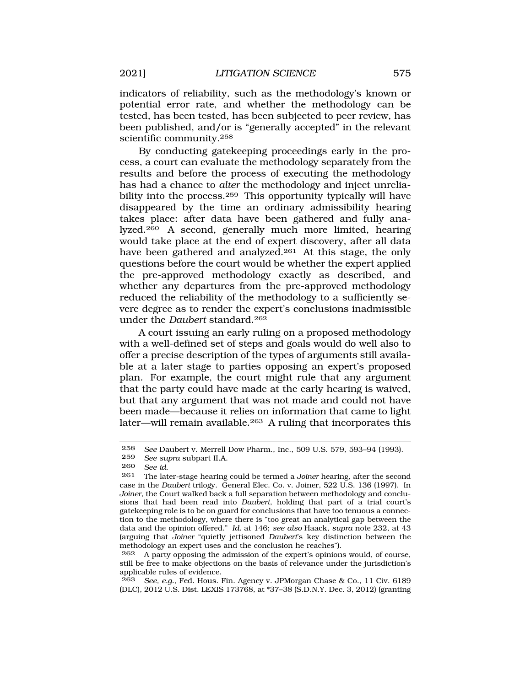indicators of reliability, such as the methodology's known or potential error rate, and whether the methodology can be tested, has been tested, has been subjected to peer review, has been published, and/or is "generally accepted" in the relevant scientific community.258

By conducting gatekeeping proceedings early in the process, a court can evaluate the methodology separately from the results and before the process of executing the methodology has had a chance to *alter* the methodology and inject unreliability into the process.259 This opportunity typically will have disappeared by the time an ordinary admissibility hearing takes place: after data have been gathered and fully analyzed.260 A second, generally much more limited, hearing would take place at the end of expert discovery, after all data have been gathered and analyzed.<sup>261</sup> At this stage, the only questions before the court would be whether the expert applied the pre-approved methodology exactly as described, and whether any departures from the pre-approved methodology reduced the reliability of the methodology to a sufficiently severe degree as to render the expert's conclusions inadmissible under the *Daubert* standard.262

A court issuing an early ruling on a proposed methodology with a well-defined set of steps and goals would do well also to offer a precise description of the types of arguments still available at a later stage to parties opposing an expert's proposed plan. For example, the court might rule that any argument that the party could have made at the early hearing is waived, but that any argument that was not made and could not have been made—because it relies on information that came to light later—will remain available.263 A ruling that incorporates this

263 *See, e.g.*, Fed. Hous. Fin. Agency v. JPMorgan Chase & Co., 11 Civ. 6189 (DLC), 2012 U.S. Dist. LEXIS 173768, at \*37–38 (S.D.N.Y. Dec. 3, 2012) (granting

<sup>258</sup> *See* Daubert v. Merrell Dow Pharm., Inc., 509 U.S. 579, 593–94 (1993).

<sup>259</sup> *See supra* subpart II.A.

See *id.* 

<sup>261</sup> The later-stage hearing could be termed a *Joiner* hearing, after the second case in the *Daubert* trilogy. General Elec. Co. v. Joiner, 522 U.S. 136 (1997). In *Joiner*, the Court walked back a full separation between methodology and conclusions that had been read into *Daubert*, holding that part of a trial court's gatekeeping role is to be on guard for conclusions that have too tenuous a connection to the methodology, where there is "too great an analytical gap between the data and the opinion offered." *Id.* at 146; *see also* Haack, *supra* note 232, at 43 (arguing that *Joiner* "quietly jettisoned *Daubert*'s key distinction between the methodology an expert uses and the conclusion he reaches").

<sup>262</sup> A party opposing the admission of the expert's opinions would, of course, still be free to make objections on the basis of relevance under the jurisdiction's applicable rules of evidence.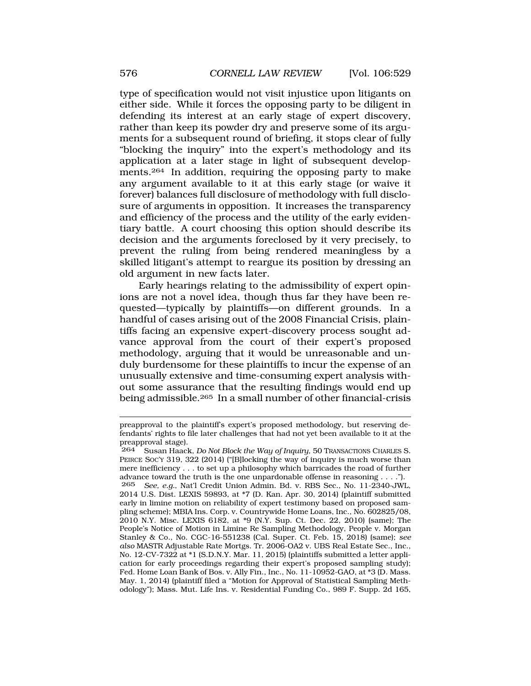type of specification would not visit injustice upon litigants on either side. While it forces the opposing party to be diligent in defending its interest at an early stage of expert discovery, rather than keep its powder dry and preserve some of its arguments for a subsequent round of briefing, it stops clear of fully "blocking the inquiry" into the expert's methodology and its application at a later stage in light of subsequent developments.264 In addition, requiring the opposing party to make any argument available to it at this early stage (or waive it forever) balances full disclosure of methodology with full disclosure of arguments in opposition. It increases the transparency and efficiency of the process and the utility of the early evidentiary battle. A court choosing this option should describe its decision and the arguments foreclosed by it very precisely, to prevent the ruling from being rendered meaningless by a skilled litigant's attempt to reargue its position by dressing an old argument in new facts later.

Early hearings relating to the admissibility of expert opinions are not a novel idea, though thus far they have been requested—typically by plaintiffs—on different grounds. In a handful of cases arising out of the 2008 Financial Crisis, plaintiffs facing an expensive expert-discovery process sought advance approval from the court of their expert's proposed methodology, arguing that it would be unreasonable and unduly burdensome for these plaintiffs to incur the expense of an unusually extensive and time-consuming expert analysis without some assurance that the resulting findings would end up being admissible.265 In a small number of other financial-crisis

preapproval to the plaintiff's expert's proposed methodology, but reserving defendants' rights to file later challenges that had not yet been available to it at the preapproval stage).<br>264 Susan Haack

<sup>264</sup> Susan Haack, *Do Not Block the Way of Inquiry*, 50 TRANSACTIONS CHARLES S. PEIRCE SOC'Y 319, 322 (2014) ("[B]locking the way of inquiry is much worse than mere inefficiency . . . to set up a philosophy which barricades the road of further advance toward the truth is the one unpardonable offense in reasoning . . . ."). 265 *See, e.g.*, Nat'l Credit Union Admin. Bd. v. RBS Sec., No. 11-2340-JWL,

<sup>2014</sup> U.S. Dist. LEXIS 59893, at \*7 (D. Kan. Apr. 30, 2014) (plaintiff submitted early in limine motion on reliability of expert testimony based on proposed sampling scheme); MBIA Ins. Corp. v. Countrywide Home Loans, Inc., No. 602825/08, 2010 N.Y. Misc. LEXIS 6182, at \*9 (N.Y. Sup. Ct. Dec. 22, 2010) (same); The People's Notice of Motion in Limine Re Sampling Methodology, People v. Morgan Stanley & Co., No. CGC-16-551238 (Cal. Super. Ct. Feb. 15, 2018) (same); *see also* MASTR Adjustable Rate Mortgs. Tr. 2006-OA2 v. UBS Real Estate Sec., Inc., No. 12-CV-7322 at \*1 (S.D.N.Y. Mar. 11, 2015) (plaintiffs submitted a letter application for early proceedings regarding their expert's proposed sampling study); Fed. Home Loan Bank of Bos. v. Ally Fin., Inc., No. 11-10952-GAO, at \*3 (D. Mass. May. 1, 2014) (plaintiff filed a "Motion for Approval of Statistical Sampling Methodology"); Mass. Mut. Life Ins. v. Residential Funding Co., 989 F. Supp. 2d 165,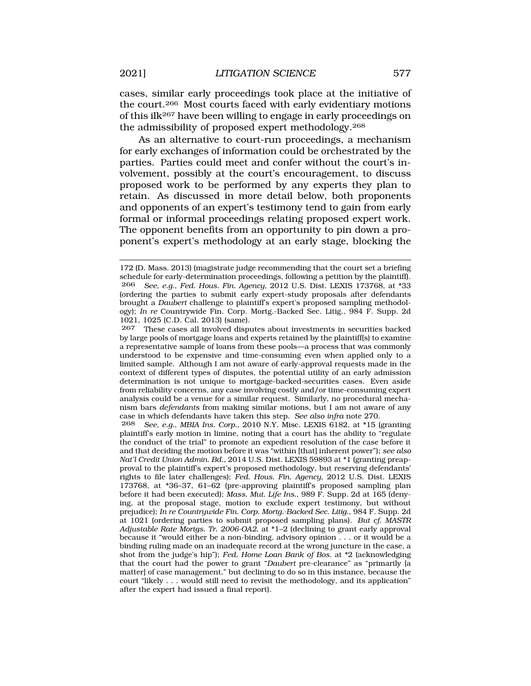cases, similar early proceedings took place at the initiative of the court.266 Most courts faced with early evidentiary motions of this ilk267 have been willing to engage in early proceedings on the admissibility of proposed expert methodology.268

As an alternative to court-run proceedings, a mechanism for early exchanges of information could be orchestrated by the parties. Parties could meet and confer without the court's involvement, possibly at the court's encouragement, to discuss proposed work to be performed by any experts they plan to retain. As discussed in more detail below, both proponents and opponents of an expert's testimony tend to gain from early formal or informal proceedings relating proposed expert work. The opponent benefits from an opportunity to pin down a proponent's expert's methodology at an early stage, blocking the

267 These cases all involved disputes about investments in securities backed by large pools of mortgage loans and experts retained by the plaintiff(s) to examine a representative sample of loans from these pools—a process that was commonly understood to be expensive and time-consuming even when applied only to a limited sample. Although I am not aware of early-approval requests made in the context of different types of disputes, the potential utility of an early admission determination is not unique to mortgage-backed-securities cases. Even aside from reliability concerns, any case involving costly and/or time-consuming expert analysis could be a venue for a similar request. Similarly, no procedural mechanism bars *defendants* from making similar motions, but I am not aware of any case in which defendants have taken this step. *See also infra* note 270.

268 *See, e.g.*, *MBIA Ins. Corp.*, 2010 N.Y. Misc. LEXIS 6182, at \*15 (granting plaintiff's early motion in limine, noting that a court has the ability to "regulate the conduct of the trial" to promote an expedient resolution of the case before it and that deciding the motion before it was "within [that] inherent power"); *see also Nat'l Credit Union Admin. Bd.*, 2014 U.S. Dist. LEXIS 59893 at \*1 (granting preapproval to the plaintiff's expert's proposed methodology, but reserving defendants' rights to file later challenges); *Fed. Hous. Fin. Agency*, 2012 U.S. Dist. LEXIS 173768, at \*36–37, 61–62 (pre-approving plaintiff's proposed sampling plan before it had been executed); *Mass. Mut. Life Ins.*, 989 F. Supp. 2d at 165 (denying, at the proposal stage, motion to exclude expert testimony, but without prejudice); *In re Countrywide Fin. Corp. Mortg.-Backed Sec. Litig.*, 984 F. Supp. 2d at 1021 (ordering parties to submit proposed sampling plans). *But cf. MASTR Adjustable Rate Mortgs. Tr. 2006-OA2*, at \*1–2 (declining to grant early approval because it "would either be a non-binding, advisory opinion . . . or it would be a binding ruling made on an inadequate record at the wrong juncture in the case, a shot from the judge's hip"); *Fed. Home Loan Bank of Bos.* at \*2 (acknowledging that the court had the power to grant "*Daubert* pre-clearance" as "primarily [a matter] of case management," but declining to do so in this instance, because the court "likely . . . would still need to revisit the methodology, and its application" after the expert had issued a final report).

<sup>172 (</sup>D. Mass. 2013) (magistrate judge recommending that the court set a briefing schedule for early-determination proceedings, following a petition by the plaintiff). 266 *See, e.g.*, *Fed. Hous. Fin. Agency*, 2012 U.S. Dist. LEXIS 173768, at \*33 (ordering the parties to submit early expert-study proposals after defendants brought a *Daubert* challenge to plaintiff's expert's proposed sampling methodology); *In re* Countrywide Fin. Corp. Mortg.-Backed Sec. Litig., 984 F. Supp. 2d 1021, 1025 (C.D. Cal. 2013) (same).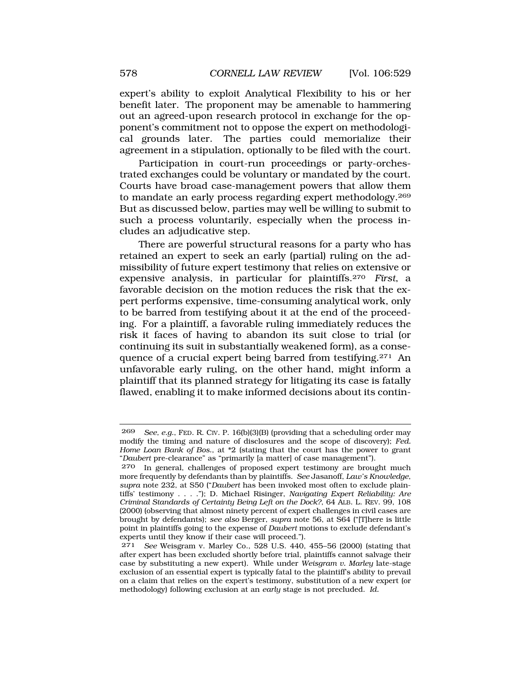expert's ability to exploit Analytical Flexibility to his or her benefit later. The proponent may be amenable to hammering out an agreed-upon research protocol in exchange for the opponent's commitment not to oppose the expert on methodological grounds later. The parties could memorialize their agreement in a stipulation, optionally to be filed with the court.

Participation in court-run proceedings or party-orchestrated exchanges could be voluntary or mandated by the court. Courts have broad case-management powers that allow them to mandate an early process regarding expert methodology.269 But as discussed below, parties may well be willing to submit to such a process voluntarily, especially when the process includes an adjudicative step.

There are powerful structural reasons for a party who has retained an expert to seek an early (partial) ruling on the admissibility of future expert testimony that relies on extensive or expensive analysis, in particular for plaintiffs.270 *First*, a favorable decision on the motion reduces the risk that the expert performs expensive, time-consuming analytical work, only to be barred from testifying about it at the end of the proceeding. For a plaintiff, a favorable ruling immediately reduces the risk it faces of having to abandon its suit close to trial (or continuing its suit in substantially weakened form), as a consequence of a crucial expert being barred from testifying.271 An unfavorable early ruling, on the other hand, might inform a plaintiff that its planned strategy for litigating its case is fatally flawed, enabling it to make informed decisions about its contin-

<sup>269</sup> *See, e.g.*, FED. R. CIV. P. 16(b)(3)(B) (providing that a scheduling order may modify the timing and nature of disclosures and the scope of discovery); *Fed. Home Loan Bank of Bos.*, at \*2 (stating that the court has the power to grant "*Daubert* pre-clearance" as "primarily [a matter] of case management").

<sup>270</sup> In general, challenges of proposed expert testimony are brought much more frequently by defendants than by plaintiffs. *See* Jasanoff, *Law's Knowledge*, *supra* note 232, at S50 ("*Daubert* has been invoked most often to exclude plaintiffs' testimony . . . ."); D. Michael Risinger, *Navigating Expert Reliability: Are Criminal Standards of Certainty Being Left on the Dock?*, 64 ALB. L. REV. 99, 108 (2000) (observing that almost ninety percent of expert challenges in civil cases are brought by defendants); *see also* Berger, *supra* note 56, at S64 ("[T]here is little point in plaintiffs going to the expense of *Daubert* motions to exclude defendant's experts until they know if their case will proceed.").

<sup>271</sup> *See* Weisgram v. Marley Co., 528 U.S. 440, 455–56 (2000) (stating that after expert has been excluded shortly before trial, plaintiffs cannot salvage their case by substituting a new expert). While under *Weisgram v. Marley* late-stage exclusion of an essential expert is typically fatal to the plaintiff's ability to prevail on a claim that relies on the expert's testimony, substitution of a new expert (or methodology) following exclusion at an *early* stage is not precluded. *Id.*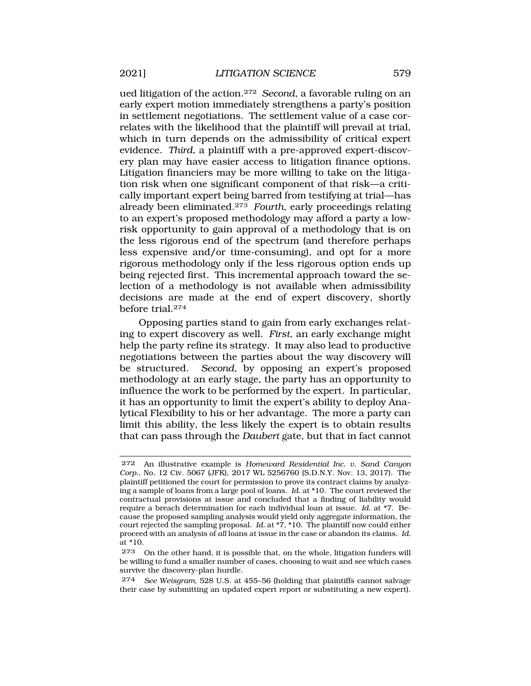ued litigation of the action.272 *Second*, a favorable ruling on an early expert motion immediately strengthens a party's position in settlement negotiations. The settlement value of a case correlates with the likelihood that the plaintiff will prevail at trial, which in turn depends on the admissibility of critical expert evidence. *Third*, a plaintiff with a pre-approved expert-discovery plan may have easier access to litigation finance options. Litigation financiers may be more willing to take on the litigation risk when one significant component of that risk—a critically important expert being barred from testifying at trial—has already been eliminated.273 *Fourth*, early proceedings relating to an expert's proposed methodology may afford a party a lowrisk opportunity to gain approval of a methodology that is on the less rigorous end of the spectrum (and therefore perhaps less expensive and/or time-consuming), and opt for a more rigorous methodology only if the less rigorous option ends up being rejected first. This incremental approach toward the selection of a methodology is not available when admissibility decisions are made at the end of expert discovery, shortly before trial.274

Opposing parties stand to gain from early exchanges relating to expert discovery as well. *First*, an early exchange might help the party refine its strategy. It may also lead to productive negotiations between the parties about the way discovery will be structured. *Second*, by opposing an expert's proposed methodology at an early stage, the party has an opportunity to influence the work to be performed by the expert. In particular, it has an opportunity to limit the expert's ability to deploy Analytical Flexibility to his or her advantage. The more a party can limit this ability, the less likely the expert is to obtain results that can pass through the *Daubert* gate, but that in fact cannot

274 *See Weisgram*, 528 U.S. at 455–56 (holding that plaintiffs cannot salvage their case by submitting an updated expert report or substituting a new expert).

<sup>272</sup> An illustrative example is *Homeward Residential Inc. v. Sand Canyon Corp.*, No. 12 Civ. 5067 (JFK), 2017 WL 5256760 (S.D.N.Y. Nov. 13, 2017). The plaintiff petitioned the court for permission to prove its contract claims by analyzing a sample of loans from a large pool of loans. *Id.* at \*10. The court reviewed the contractual provisions at issue and concluded that a finding of liability would require a breach determination for each individual loan at issue. *Id.* at \*7. Because the proposed sampling analysis would yield only aggregate information, the court rejected the sampling proposal. *Id.* at \*7, \*10. The plaintiff now could either proceed with an analysis of *all* loans at issue in the case or abandon its claims. *Id.*  at \*10.

<sup>273</sup> On the other hand, it is possible that, on the whole, litigation funders will be willing to fund a smaller number of cases, choosing to wait and see which cases survive the discovery-plan hurdle.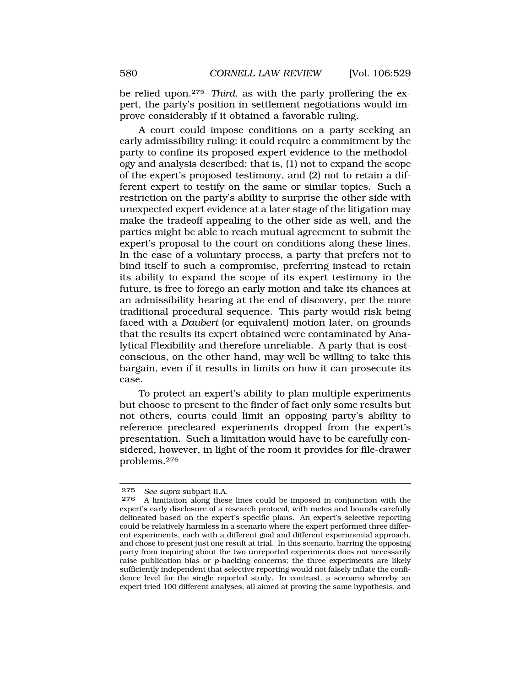be relied upon.275 *Third*, as with the party proffering the expert, the party's position in settlement negotiations would improve considerably if it obtained a favorable ruling.

A court could impose conditions on a party seeking an early admissibility ruling: it could require a commitment by the party to confine its proposed expert evidence to the methodology and analysis described: that is, (1) not to expand the scope of the expert's proposed testimony, and (2) not to retain a different expert to testify on the same or similar topics. Such a restriction on the party's ability to surprise the other side with unexpected expert evidence at a later stage of the litigation may make the tradeoff appealing to the other side as well, and the parties might be able to reach mutual agreement to submit the expert's proposal to the court on conditions along these lines. In the case of a voluntary process, a party that prefers not to bind itself to such a compromise, preferring instead to retain its ability to expand the scope of its expert testimony in the future, is free to forego an early motion and take its chances at an admissibility hearing at the end of discovery, per the more traditional procedural sequence. This party would risk being faced with a *Daubert* (or equivalent) motion later, on grounds that the results its expert obtained were contaminated by Analytical Flexibility and therefore unreliable. A party that is costconscious, on the other hand, may well be willing to take this bargain, even if it results in limits on how it can prosecute its case.

To protect an expert's ability to plan multiple experiments but choose to present to the finder of fact only some results but not others, courts could limit an opposing party's ability to reference precleared experiments dropped from the expert's presentation. Such a limitation would have to be carefully considered, however, in light of the room it provides for file-drawer problems.276

<sup>275</sup> *See supra* subpart II.A.

A limitation along these lines could be imposed in conjunction with the expert's early disclosure of a research protocol, with metes and bounds carefully delineated based on the expert's specific plans. An expert's selective reporting could be relatively harmless in a scenario where the expert performed three different experiments, each with a different goal and different experimental approach, and chose to present just one result at trial. In this scenario, barring the opposing party from inquiring about the two unreported experiments does not necessarily raise publication bias or *p*-hacking concerns; the three experiments are likely sufficiently independent that selective reporting would not falsely inflate the confidence level for the single reported study. In contrast, a scenario whereby an expert tried 100 different analyses, all aimed at proving the same hypothesis, and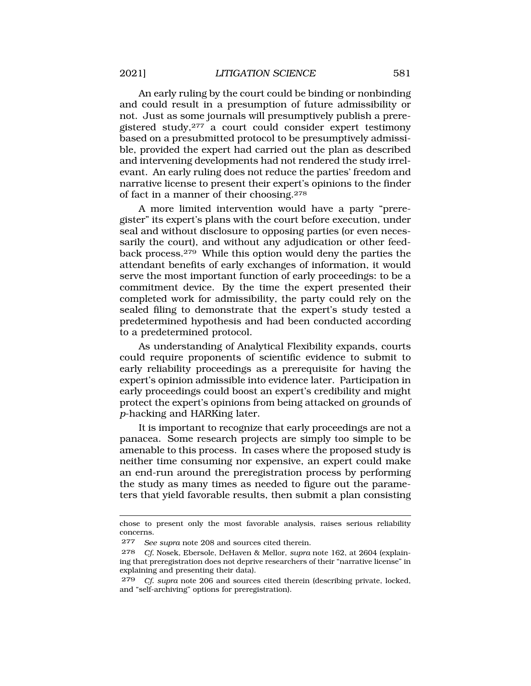An early ruling by the court could be binding or nonbinding and could result in a presumption of future admissibility or not. Just as some journals will presumptively publish a preregistered study,277 a court could consider expert testimony based on a presubmitted protocol to be presumptively admissible, provided the expert had carried out the plan as described and intervening developments had not rendered the study irrelevant. An early ruling does not reduce the parties' freedom and narrative license to present their expert's opinions to the finder of fact in a manner of their choosing.278

A more limited intervention would have a party "preregister" its expert's plans with the court before execution, under seal and without disclosure to opposing parties (or even necessarily the court), and without any adjudication or other feedback process.279 While this option would deny the parties the attendant benefits of early exchanges of information, it would serve the most important function of early proceedings: to be a commitment device. By the time the expert presented their completed work for admissibility, the party could rely on the sealed filing to demonstrate that the expert's study tested a predetermined hypothesis and had been conducted according to a predetermined protocol.

As understanding of Analytical Flexibility expands, courts could require proponents of scientific evidence to submit to early reliability proceedings as a prerequisite for having the expert's opinion admissible into evidence later. Participation in early proceedings could boost an expert's credibility and might protect the expert's opinions from being attacked on grounds of *p*-hacking and HARKing later.

It is important to recognize that early proceedings are not a panacea. Some research projects are simply too simple to be amenable to this process. In cases where the proposed study is neither time consuming nor expensive, an expert could make an end-run around the preregistration process by performing the study as many times as needed to figure out the parameters that yield favorable results, then submit a plan consisting

chose to present only the most favorable analysis, raises serious reliability concerns.

<sup>277</sup> *See supra* note 208 and sources cited therein.

<sup>278</sup> *Cf.* Nosek, Ebersole, DeHaven & Mellor, *supra* note 162, at 2604 (explaining that preregistration does not deprive researchers of their "narrative license" in explaining and presenting their data).

<sup>279</sup> *Cf. supra* note 206 and sources cited therein (describing private, locked, and "self-archiving" options for preregistration).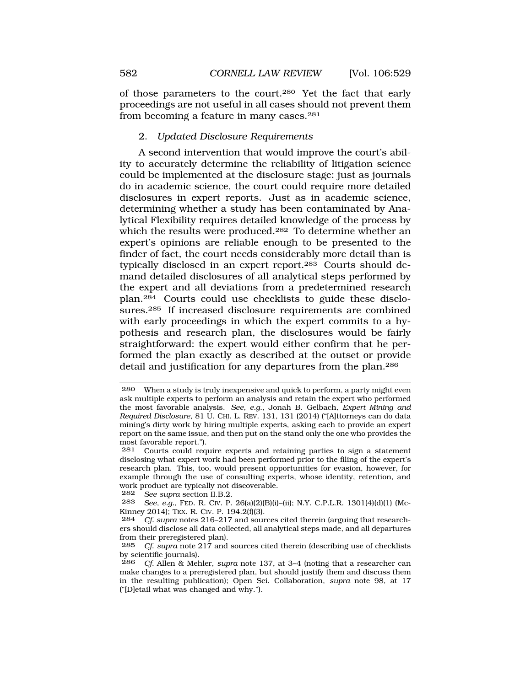of those parameters to the court.280 Yet the fact that early proceedings are not useful in all cases should not prevent them from becoming a feature in many cases.281

## 2. *Updated Disclosure Requirements*

A second intervention that would improve the court's ability to accurately determine the reliability of litigation science could be implemented at the disclosure stage: just as journals do in academic science, the court could require more detailed disclosures in expert reports. Just as in academic science, determining whether a study has been contaminated by Analytical Flexibility requires detailed knowledge of the process by which the results were produced.<sup>282</sup> To determine whether an expert's opinions are reliable enough to be presented to the finder of fact, the court needs considerably more detail than is typically disclosed in an expert report.283 Courts should demand detailed disclosures of all analytical steps performed by the expert and all deviations from a predetermined research plan.284 Courts could use checklists to guide these disclosures.285 If increased disclosure requirements are combined with early proceedings in which the expert commits to a hypothesis and research plan, the disclosures would be fairly straightforward: the expert would either confirm that he performed the plan exactly as described at the outset or provide detail and justification for any departures from the plan.286

282 *See supra* section II.B.2.

<sup>280</sup> When a study is truly inexpensive and quick to perform, a party might even ask multiple experts to perform an analysis and retain the expert who performed the most favorable analysis. *See, e.g.*, Jonah B. Gelbach, *Expert Mining and Required Disclosure*, 81 U. CHI. L. REV. 131, 131 (2014) ("[A]ttorneys can do data mining's dirty work by hiring multiple experts, asking each to provide an expert report on the same issue, and then put on the stand only the one who provides the most favorable report.").

<sup>281</sup> Courts could require experts and retaining parties to sign a statement disclosing what expert work had been performed prior to the filing of the expert's research plan. This, too, would present opportunities for evasion, however, for example through the use of consulting experts, whose identity, retention, and work product are typically not discoverable.<br> $282$  See supra section II B 2

<sup>283</sup> *See, e.g.*, FED. R. CIV. P. 26(a)(2)(B)(i)–(ii); N.Y. C.P.L.R. 1301(4)(d)(1) (Mc-Kinney 2014); TEX. R. CIV. P. 194.2(f)(3).<br>284 *Cf. supra* notes 216–217 and sour

Cf. supra notes 216–217 and sources cited therein (arguing that researchers should disclose all data collected, all analytical steps made, and all departures from their preregistered plan).<br>285 Cf sunra note 217 and

<sup>285</sup> *Cf*. *supra* note 217 and sources cited therein (describing use of checklists by scientific journals).

<sup>286</sup> *Cf.* Allen & Mehler, *supra* note 137, at 3–4 (noting that a researcher can make changes to a preregistered plan, but should justify them and discuss them in the resulting publication); Open Sci. Collaboration, *supra* note 98, at 17 ("[D]etail what was changed and why.").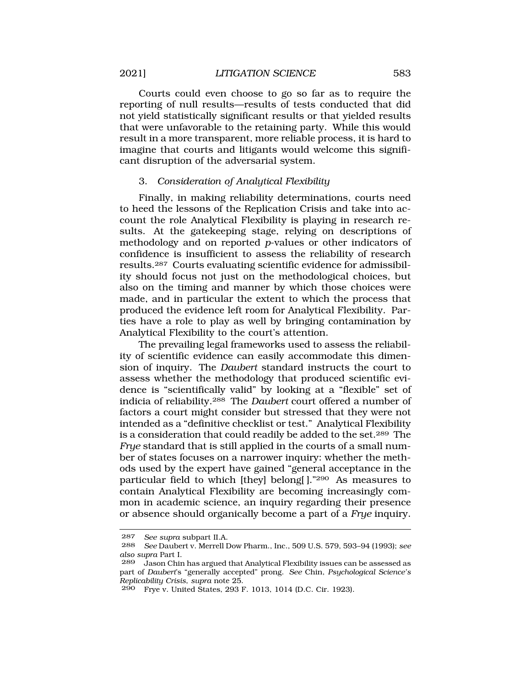Courts could even choose to go so far as to require the reporting of null results—results of tests conducted that did not yield statistically significant results or that yielded results that were unfavorable to the retaining party. While this would result in a more transparent, more reliable process, it is hard to imagine that courts and litigants would welcome this significant disruption of the adversarial system.

# 3. *Consideration of Analytical Flexibility*

Finally, in making reliability determinations, courts need to heed the lessons of the Replication Crisis and take into account the role Analytical Flexibility is playing in research results. At the gatekeeping stage, relying on descriptions of methodology and on reported *p*-values or other indicators of confidence is insufficient to assess the reliability of research results.287 Courts evaluating scientific evidence for admissibility should focus not just on the methodological choices, but also on the timing and manner by which those choices were made, and in particular the extent to which the process that produced the evidence left room for Analytical Flexibility. Parties have a role to play as well by bringing contamination by Analytical Flexibility to the court's attention.

The prevailing legal frameworks used to assess the reliability of scientific evidence can easily accommodate this dimension of inquiry. The *Daubert* standard instructs the court to assess whether the methodology that produced scientific evidence is "scientifically valid" by looking at a "flexible" set of indicia of reliability.288 The *Daubert* court offered a number of factors a court might consider but stressed that they were not intended as a "definitive checklist or test." Analytical Flexibility is a consideration that could readily be added to the set.289 The *Frye* standard that is still applied in the courts of a small number of states focuses on a narrower inquiry: whether the methods used by the expert have gained "general acceptance in the particular field to which [they] belong[ ]."290 As measures to contain Analytical Flexibility are becoming increasingly common in academic science, an inquiry regarding their presence or absence should organically become a part of a *Frye* inquiry.

<sup>287</sup> *See supra* subpart II.A.

<sup>288</sup> *See* Daubert v. Merrell Dow Pharm., Inc., 509 U.S. 579, 593–94 (1993); *see also supra* Part I.

<sup>289</sup> Jason Chin has argued that Analytical Flexibility issues can be assessed as part of *Daubert*'s "generally accepted" prong. *See* Chin, *Psychological Science's Replicability Crisis*, *supra* note 25.

<sup>290</sup> Frye v. United States, 293 F. 1013, 1014 (D.C. Cir. 1923).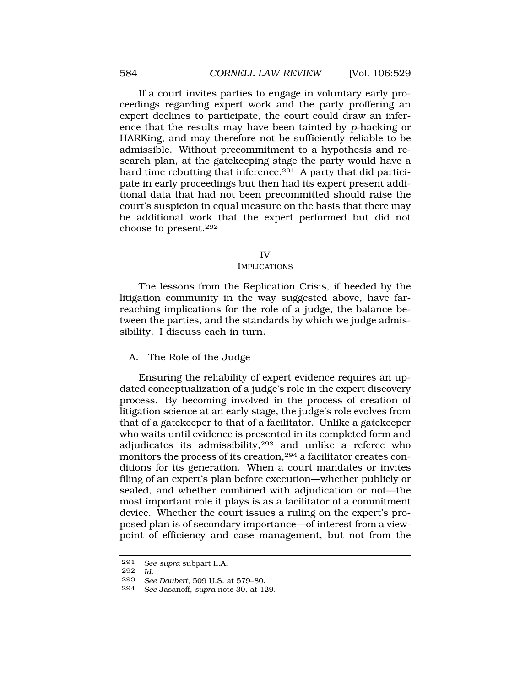If a court invites parties to engage in voluntary early proceedings regarding expert work and the party proffering an expert declines to participate, the court could draw an inference that the results may have been tainted by *p*-hacking or HARKing, and may therefore not be sufficiently reliable to be admissible. Without precommitment to a hypothesis and research plan, at the gatekeeping stage the party would have a hard time rebutting that inference.<sup>291</sup> A party that did participate in early proceedings but then had its expert present additional data that had not been precommitted should raise the court's suspicion in equal measure on the basis that there may be additional work that the expert performed but did not choose to present.292

#### IV

#### IMPLICATIONS

The lessons from the Replication Crisis, if heeded by the litigation community in the way suggested above, have farreaching implications for the role of a judge, the balance between the parties, and the standards by which we judge admissibility. I discuss each in turn.

#### A. The Role of the Judge

Ensuring the reliability of expert evidence requires an updated conceptualization of a judge's role in the expert discovery process. By becoming involved in the process of creation of litigation science at an early stage, the judge's role evolves from that of a gatekeeper to that of a facilitator. Unlike a gatekeeper who waits until evidence is presented in its completed form and adjudicates its admissibility,293 and unlike a referee who monitors the process of its creation,294 a facilitator creates conditions for its generation. When a court mandates or invites filing of an expert's plan before execution—whether publicly or sealed, and whether combined with adjudication or not—the most important role it plays is as a facilitator of a commitment device. Whether the court issues a ruling on the expert's proposed plan is of secondary importance—of interest from a viewpoint of efficiency and case management, but not from the

<sup>291</sup> *See supra* subpart II.A.

<sup>292</sup> *Id.* 

<sup>293</sup> *See Daubert*, 509 U.S. at 579–80.

<sup>294</sup> *See* Jasanoff, *supra* note 30, at 129.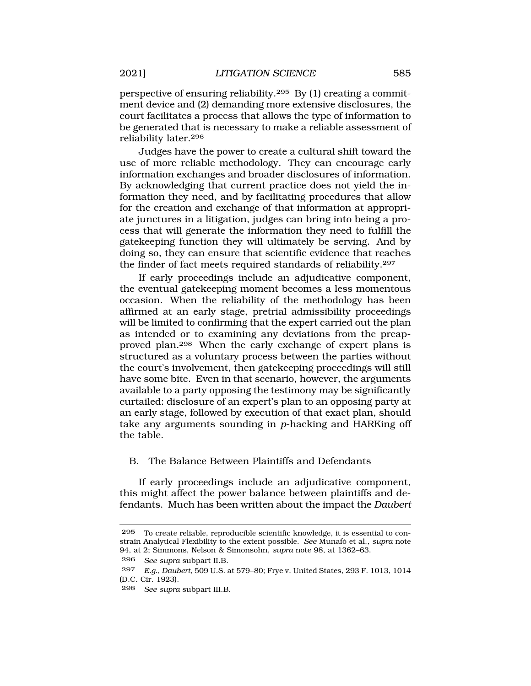perspective of ensuring reliability.295 By (1) creating a commitment device and (2) demanding more extensive disclosures, the court facilitates a process that allows the type of information to be generated that is necessary to make a reliable assessment of reliability later.296

Judges have the power to create a cultural shift toward the use of more reliable methodology. They can encourage early information exchanges and broader disclosures of information. By acknowledging that current practice does not yield the information they need, and by facilitating procedures that allow for the creation and exchange of that information at appropriate junctures in a litigation, judges can bring into being a process that will generate the information they need to fulfill the gatekeeping function they will ultimately be serving. And by doing so, they can ensure that scientific evidence that reaches the finder of fact meets required standards of reliability.297

If early proceedings include an adjudicative component, the eventual gatekeeping moment becomes a less momentous occasion. When the reliability of the methodology has been affirmed at an early stage, pretrial admissibility proceedings will be limited to confirming that the expert carried out the plan as intended or to examining any deviations from the preapproved plan.298 When the early exchange of expert plans is structured as a voluntary process between the parties without the court's involvement, then gatekeeping proceedings will still have some bite. Even in that scenario, however, the arguments available to a party opposing the testimony may be significantly curtailed: disclosure of an expert's plan to an opposing party at an early stage, followed by execution of that exact plan, should take any arguments sounding in *p*-hacking and HARKing off the table.

# B. The Balance Between Plaintiffs and Defendants

If early proceedings include an adjudicative component, this might affect the power balance between plaintiffs and defendants. Much has been written about the impact the *Daubert* 

296 *See supra* subpart II.B.

<sup>295</sup> To create reliable, reproducible scientific knowledge, it is essential to constrain Analytical Flexibility to the extent possible. *See Munafò et al., supra* note 94, at 2; Simmons, Nelson & Simonsohn, *supra* note 98, at 1362–63.

<sup>297</sup> *E.g.*, *Daubert*, 509 U.S. at 579–80; Frye v. United States, 293 F. 1013, 1014 (D.C. Cir. 1923).

<sup>298</sup> *See supra* subpart III.B.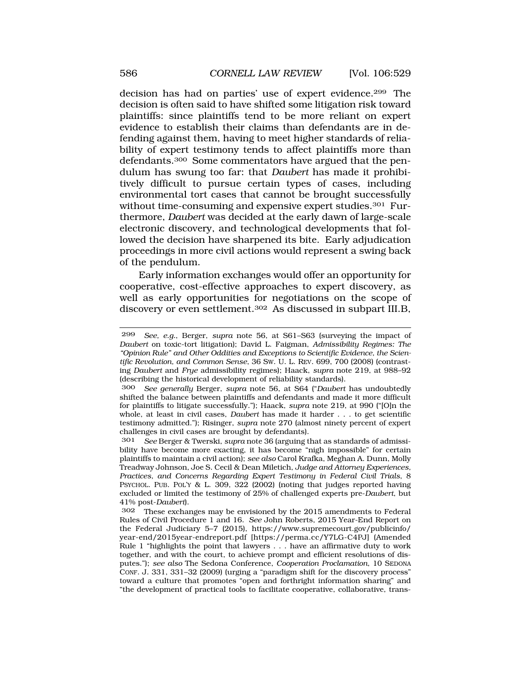decision has had on parties' use of expert evidence.299 The decision is often said to have shifted some litigation risk toward plaintiffs: since plaintiffs tend to be more reliant on expert evidence to establish their claims than defendants are in defending against them, having to meet higher standards of reliability of expert testimony tends to affect plaintiffs more than defendants.300 Some commentators have argued that the pendulum has swung too far: that *Daubert* has made it prohibitively difficult to pursue certain types of cases, including environmental tort cases that cannot be brought successfully without time-consuming and expensive expert studies.<sup>301</sup> Furthermore, *Daubert* was decided at the early dawn of large-scale electronic discovery, and technological developments that followed the decision have sharpened its bite. Early adjudication proceedings in more civil actions would represent a swing back of the pendulum.

Early information exchanges would offer an opportunity for cooperative, cost-effective approaches to expert discovery, as well as early opportunities for negotiations on the scope of discovery or even settlement.302 As discussed in subpart III.B,

<sup>299</sup> *See, e.g.*, Berger, *supra* note 56, at S61–S63 (surveying the impact of *Daubert* on toxic-tort litigation); David L. Faigman, *Admissibility Regimes: The "Opinion Rule" and Other Oddities and Exceptions to Scientific Evidence, the Scientific Revolution, and Common Sense*, 36 SW. U. L. REV. 699, 700 (2008) (contrasting *Daubert* and *Frye* admissibility regimes); Haack, *supra* note 219, at 988–92 (describing the historical development of reliability standards).

<sup>300</sup> *See generally* Berger, *supra* note 56, at S64 ("*Daubert* has undoubtedly shifted the balance between plaintiffs and defendants and made it more difficult for plaintiffs to litigate successfully."); Haack, *supra* note 219, at 990 ("[O]n the whole, at least in civil cases, *Daubert* has made it harder . . . to get scientific testimony admitted."); Risinger, *supra* note 270 (almost ninety percent of expert challenges in civil cases are brought by defendants).

<sup>301</sup> *See* Berger & Twerski, *supra* note 36 (arguing that as standards of admissibility have become more exacting, it has become "nigh impossible" for certain plaintiffs to maintain a civil action); *see also* Carol Krafka, Meghan A. Dunn, Molly Treadway Johnson, Joe S. Cecil & Dean Miletich, *Judge and Attorney Experiences, Practices, and Concerns Regarding Expert Testimony in Federal Civil Trials*, 8 PSYCHOL. PUB. POL'Y & L. 309, 322 (2002) (noting that judges reported having excluded or limited the testimony of 25% of challenged experts pre-*Daubert*, but 41% post-*Daubert*).

<sup>302</sup> These exchanges may be envisioned by the 2015 amendments to Federal Rules of Civil Procedure 1 and 16. *See* John Roberts, 2015 Year-End Report on the Federal Judiciary 5–7 (2015), [https://www.supremecourt.gov/publicinfo/](https://www.supremecourt.gov/publicinfo) year-end/2015year-endreport.pdf [\[https://perma.cc/Y7LG-C4PJ](https://perma.cc/Y7LG-C4PJ)] (Amended Rule 1 "highlights the point that lawyers . . . have an affirmative duty to work together, and with the court, to achieve prompt and efficient resolutions of disputes."); *see also* The Sedona Conference, *Cooperation Proclamation*, 10 SEDONA CONF. J. 331, 331–32 (2009) (urging a "paradigm shift for the discovery process" toward a culture that promotes "open and forthright information sharing" and "the development of practical tools to facilitate cooperative, collaborative, trans-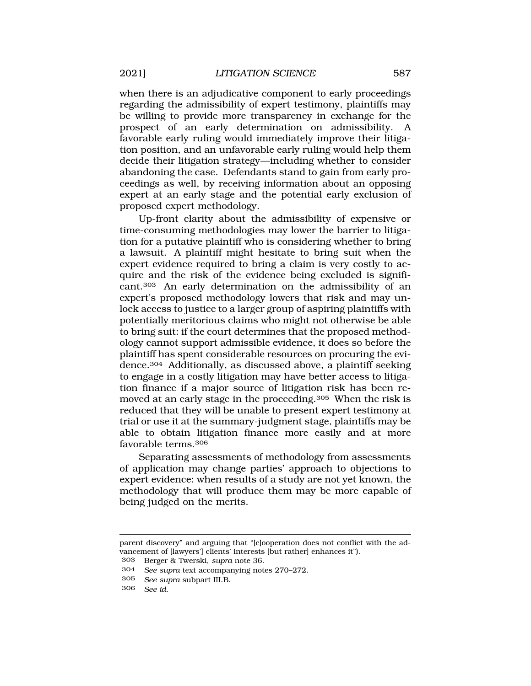when there is an adjudicative component to early proceedings regarding the admissibility of expert testimony, plaintiffs may be willing to provide more transparency in exchange for the prospect of an early determination on admissibility. A favorable early ruling would immediately improve their litigation position, and an unfavorable early ruling would help them decide their litigation strategy—including whether to consider abandoning the case. Defendants stand to gain from early proceedings as well, by receiving information about an opposing expert at an early stage and the potential early exclusion of proposed expert methodology.

Up-front clarity about the admissibility of expensive or time-consuming methodologies may lower the barrier to litigation for a putative plaintiff who is considering whether to bring a lawsuit. A plaintiff might hesitate to bring suit when the expert evidence required to bring a claim is very costly to acquire and the risk of the evidence being excluded is significant.303 An early determination on the admissibility of an expert's proposed methodology lowers that risk and may unlock access to justice to a larger group of aspiring plaintiffs with potentially meritorious claims who might not otherwise be able to bring suit: if the court determines that the proposed methodology cannot support admissible evidence, it does so before the plaintiff has spent considerable resources on procuring the evidence.304 Additionally, as discussed above, a plaintiff seeking to engage in a costly litigation may have better access to litigation finance if a major source of litigation risk has been removed at an early stage in the proceeding.305 When the risk is reduced that they will be unable to present expert testimony at trial or use it at the summary-judgment stage, plaintiffs may be able to obtain litigation finance more easily and at more favorable terms.306

Separating assessments of methodology from assessments of application may change parties' approach to objections to expert evidence: when results of a study are not yet known, the methodology that will produce them may be more capable of being judged on the merits.

303 Berger & Twerski, *supra* note 36.

parent discovery" and arguing that "[c]ooperation does not conflict with the advancement of [lawyers'] clients' interests [but rather] enhances it").

<sup>304</sup> *See supra* text accompanying notes 270–272.

<sup>305</sup> *See supra* subpart III.B.

<sup>306</sup> *See id.*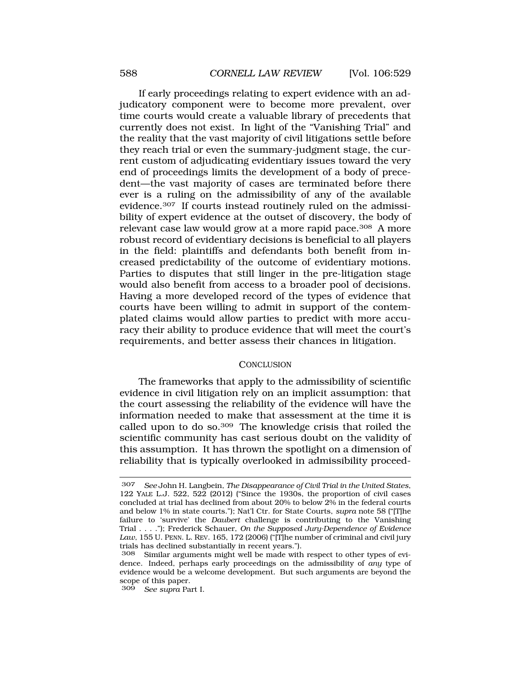If early proceedings relating to expert evidence with an adjudicatory component were to become more prevalent, over time courts would create a valuable library of precedents that currently does not exist. In light of the "Vanishing Trial" and the reality that the vast majority of civil litigations settle before they reach trial or even the summary-judgment stage, the current custom of adjudicating evidentiary issues toward the very end of proceedings limits the development of a body of precedent—the vast majority of cases are terminated before there ever is a ruling on the admissibility of any of the available evidence.307 If courts instead routinely ruled on the admissibility of expert evidence at the outset of discovery, the body of relevant case law would grow at a more rapid pace.<sup>308</sup> A more robust record of evidentiary decisions is beneficial to all players in the field: plaintiffs and defendants both benefit from increased predictability of the outcome of evidentiary motions. Parties to disputes that still linger in the pre-litigation stage would also benefit from access to a broader pool of decisions. Having a more developed record of the types of evidence that courts have been willing to admit in support of the contemplated claims would allow parties to predict with more accuracy their ability to produce evidence that will meet the court's requirements, and better assess their chances in litigation.

#### **CONCLUSION**

The frameworks that apply to the admissibility of scientific evidence in civil litigation rely on an implicit assumption: that the court assessing the reliability of the evidence will have the information needed to make that assessment at the time it is called upon to do so.309 The knowledge crisis that roiled the scientific community has cast serious doubt on the validity of this assumption. It has thrown the spotlight on a dimension of reliability that is typically overlooked in admissibility proceed-

<sup>307</sup> *See* John H. Langbein, *The Disappearance of Civil Trial in the United States*, 122 YALE L.J. 522, 522 (2012) ("Since the 1930s, the proportion of civil cases concluded at trial has declined from about 20% to below 2% in the federal courts and below 1% in state courts."); Nat'l Ctr. for State Courts, *supra* note 58 ("[T]he failure to 'survive' the *Daubert* challenge is contributing to the Vanishing Trial . . . ."); Frederick Schauer, *On the Supposed Jury-Dependence of Evidence Law*, 155 U. PENN. L. REV. 165, 172 (2006) ("[T]he number of criminal and civil jury trials has declined substantially in recent years.").

<sup>308</sup> Similar arguments might well be made with respect to other types of evidence. Indeed, perhaps early proceedings on the admissibility of *any* type of evidence would be a welcome development. But such arguments are beyond the scope of this paper.

<sup>309</sup> *See supra* Part I.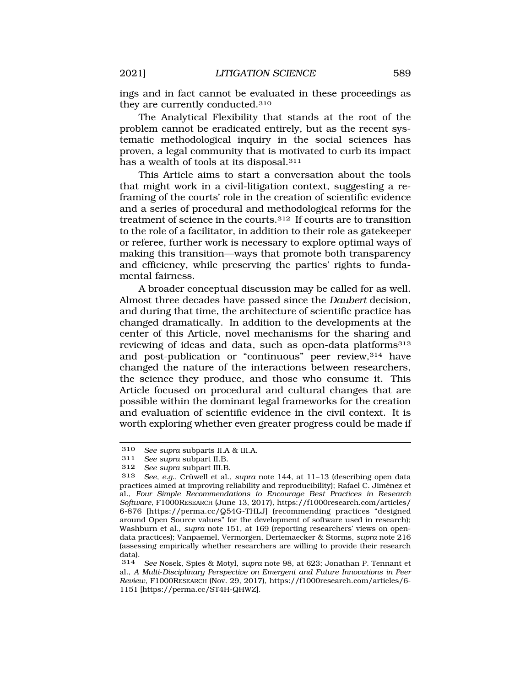ings and in fact cannot be evaluated in these proceedings as they are currently conducted.310

The Analytical Flexibility that stands at the root of the problem cannot be eradicated entirely, but as the recent systematic methodological inquiry in the social sciences has proven, a legal community that is motivated to curb its impact has a wealth of tools at its disposal.311

This Article aims to start a conversation about the tools that might work in a civil-litigation context, suggesting a reframing of the courts' role in the creation of scientific evidence and a series of procedural and methodological reforms for the treatment of science in the courts.312 If courts are to transition to the role of a facilitator, in addition to their role as gatekeeper or referee, further work is necessary to explore optimal ways of making this transition—ways that promote both transparency and efficiency, while preserving the parties' rights to fundamental fairness.

A broader conceptual discussion may be called for as well. Almost three decades have passed since the *Daubert* decision, and during that time, the architecture of scientific practice has changed dramatically. In addition to the developments at the center of this Article, novel mechanisms for the sharing and reviewing of ideas and data, such as open-data platforms<sup>313</sup> and post-publication or "continuous" peer review, 314 have changed the nature of the interactions between researchers, the science they produce, and those who consume it. This Article focused on procedural and cultural changes that are possible within the dominant legal frameworks for the creation and evaluation of scientific evidence in the civil context. It is worth exploring whether even greater progress could be made if

<sup>310</sup> *See supra* subparts II.A & III.A.

See supra subpart II.B.

<sup>312</sup> *See supra* subpart III.B.

See, e.g., Crüwell et al., *supra* note 144, at 11-13 (describing open data practices aimed at improving reliability and reproducibility); Rafael C. Jiménez et al., *Four Simple Recommendations to Encourage Best Practices in Research Software*, F1000RESEARCH (June 13, 2017), [https://f1000research.com/articles/](https://f1000research.com/articles) 6-876 [<https://perma.cc/Q54G-THLJ>] (recommending practices "designed around Open Source values" for the development of software used in research); Washburn et al., *supra* note 151, at 169 (reporting researchers' views on opendata practices); Vanpaemel, Vermorgen, Deriemaecker & Storms, *supra* note 216 (assessing empirically whether researchers are willing to provide their research data).<br> $314$ 

<sup>314</sup> *See* Nosek, Spies & Motyl, *supra* note 98, at 623; Jonathan P. Tennant et al., *A Multi*-*Disciplinary Perspective on Emergent and Future Innovations in Peer Review*, F1000RESEARCH (Nov. 29, 2017), [https://f1000research.com/articles/6-](https://f1000research.com/articles/6) 1151 [\[https://perma.cc/ST4H-QHWZ\]](https://perma.cc/ST4H-QHWZ).